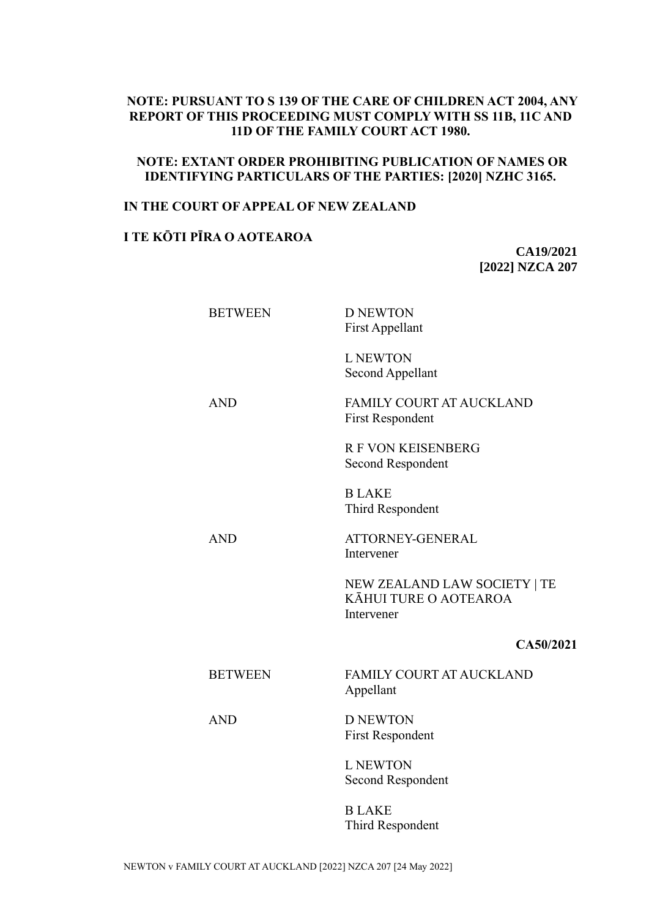# **NOTE: PURSUANT TO S 139 OF THE CARE OF CHILDREN ACT 2004, ANY REPORT OF THIS PROCEEDING MUST COMPLY WITH SS 11B, 11C AND 11D OF THE FAMILY COURT ACT 1980.**

# **NOTE: EXTANT ORDER PROHIBITING PUBLICATION OF NAMES OR IDENTIFYING PARTICULARS OF THE PARTIES: [2020] NZHC 3165.**

## **IN THE COURT OF APPEAL OF NEW ZEALAND**

# **I TE KŌTI PĪRA O AOTEAROA**

**CA19/2021 [2022] NZCA 207**

| <b>BETWEEN</b> | <b>D NEWTON</b><br><b>First Appellant</b>                           |
|----------------|---------------------------------------------------------------------|
|                | <b>L NEWTON</b><br>Second Appellant                                 |
| <b>AND</b>     | <b>FAMILY COURT AT AUCKLAND</b><br><b>First Respondent</b>          |
|                | <b>R F VON KEISENBERG</b><br>Second Respondent                      |
|                | <b>BLAKE</b><br>Third Respondent                                    |
| <b>AND</b>     | ATTORNEY-GENERAL<br>Intervener                                      |
|                | NEW ZEALAND LAW SOCIETY   TE<br>KĀHUI TURE O AOTEAROA<br>Intervener |
|                | CA50/2021                                                           |
| <b>BETWEEN</b> | <b>FAMILY COURT AT AUCKLAND</b><br>Appellant                        |
| <b>AND</b>     | <b>D NEWTON</b><br><b>First Respondent</b>                          |
|                | <b>L NEWTON</b><br>Second Respondent                                |
|                | <b>BLAKE</b><br>Third Respondent                                    |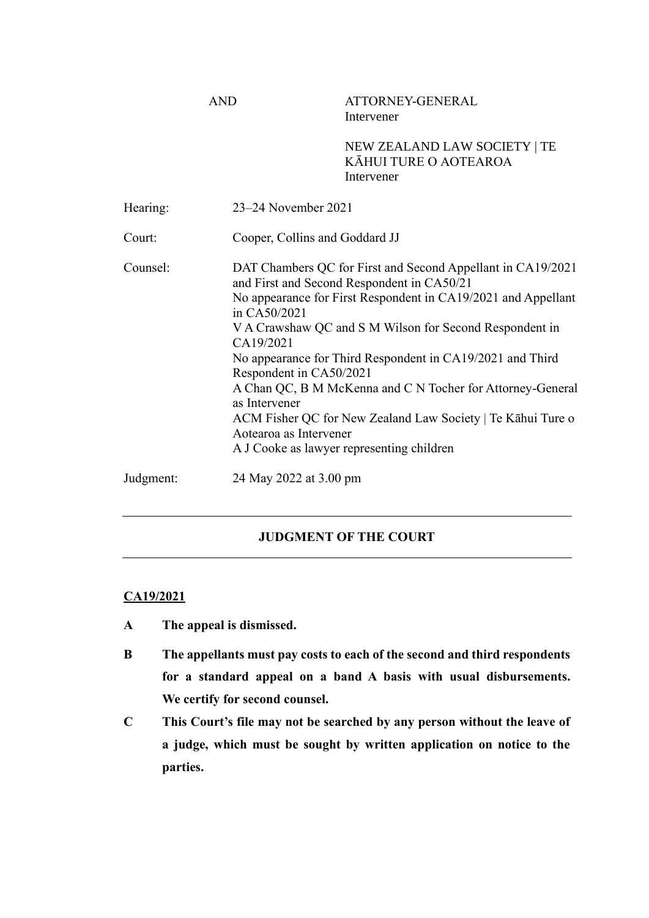AND ATTORNEY-GENERAL Intervener

> NEW ZEALAND LAW SOCIETY | TE KĀHUI TURE O AOTEAROA Intervener

| Hearing:  | 23–24 November 2021                                                                                                                                                                                                                                                                                                                                                                                                                                                                                                                                                             |
|-----------|---------------------------------------------------------------------------------------------------------------------------------------------------------------------------------------------------------------------------------------------------------------------------------------------------------------------------------------------------------------------------------------------------------------------------------------------------------------------------------------------------------------------------------------------------------------------------------|
| Court:    | Cooper, Collins and Goddard JJ                                                                                                                                                                                                                                                                                                                                                                                                                                                                                                                                                  |
| Counsel:  | DAT Chambers QC for First and Second Appellant in CA19/2021<br>and First and Second Respondent in CA50/21<br>No appearance for First Respondent in CA19/2021 and Appellant<br>in CA50/2021<br>V A Crawshaw QC and S M Wilson for Second Respondent in<br>CA19/2021<br>No appearance for Third Respondent in CA19/2021 and Third<br>Respondent in CA50/2021<br>A Chan QC, B M McKenna and C N Tocher for Attorney-General<br>as Intervener<br>ACM Fisher QC for New Zealand Law Society   Te Kāhui Ture o<br>Aotearoa as Intervener<br>A J Cooke as lawyer representing children |
| Judgment: | 24 May 2022 at 3.00 pm                                                                                                                                                                                                                                                                                                                                                                                                                                                                                                                                                          |

# **JUDGMENT OF THE COURT**

## **CA19/2021**

- **A The appeal is dismissed.**
- **B The appellants must pay costs to each of the second and third respondents for a standard appeal on a band A basis with usual disbursements. We certify for second counsel.**
- **C This Court's file may not be searched by any person without the leave of a judge, which must be sought by written application on notice to the parties.**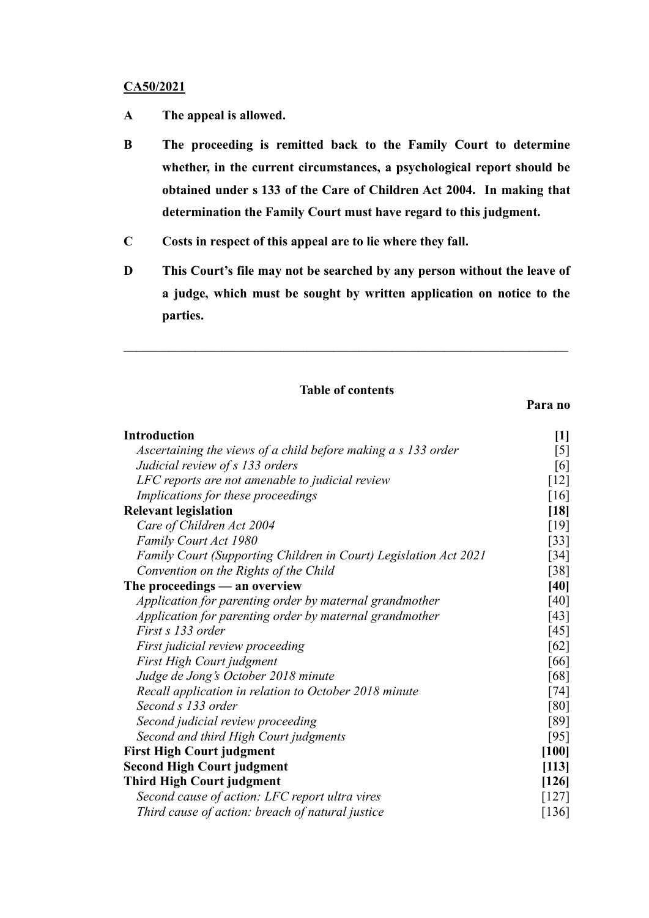### **CA50/2021**

- **A The appeal is allowed.**
- **B The proceeding is remitted back to the Family Court to determine whether, in the current circumstances, a psychological report should be obtained under s 133 of the Care of Children Act 2004. In making that determination the Family Court must have regard to this judgment.**
- **C Costs in respect of this appeal are to lie where they fall.**
- **D This Court's file may not be searched by any person without the leave of a judge, which must be sought by written application on notice to the parties.**

# **Table of contents**

## **Para no**

| <b>Introduction</b>                                              | $[1]$              |
|------------------------------------------------------------------|--------------------|
| Ascertaining the views of a child before making a s 133 order    | $[5]$              |
| Judicial review of s 133 orders                                  | [6]                |
| LFC reports are not amenable to judicial review                  | $[12]$             |
| Implications for these proceedings                               | $[16]$             |
| <b>Relevant legislation</b>                                      |                    |
| Care of Children Act 2004                                        | $[18]$<br>$[19]$   |
| Family Court Act 1980                                            | $[33]$             |
| Family Court (Supporting Children in Court) Legislation Act 2021 | $\lceil 34 \rceil$ |
| Convention on the Rights of the Child                            | $\lceil 38 \rceil$ |
| The proceedings $-$ an overview                                  |                    |
| Application for parenting order by maternal grandmother          | $[40]$<br>[40]     |
| Application for parenting order by maternal grandmother          | [43]               |
| First s 133 order                                                | [45]               |
| First judicial review proceeding                                 | $[62]$             |
| First High Court judgment                                        | [66]               |
| Judge de Jong's October 2018 minute                              | [68]               |
| Recall application in relation to October 2018 minute            | [74]               |
| Second s 133 order                                               | [80]               |
| Second judicial review proceeding                                | [89]               |
| Second and third High Court judgments                            | [95]               |
| <b>First High Court judgment</b>                                 |                    |
| <b>Second High Court judgment</b>                                |                    |
| <b>Third High Court judgment</b>                                 |                    |
| Second cause of action: LFC report ultra vires                   | [126]<br>$[127]$   |
| Third cause of action: breach of natural justice                 | $[136]$            |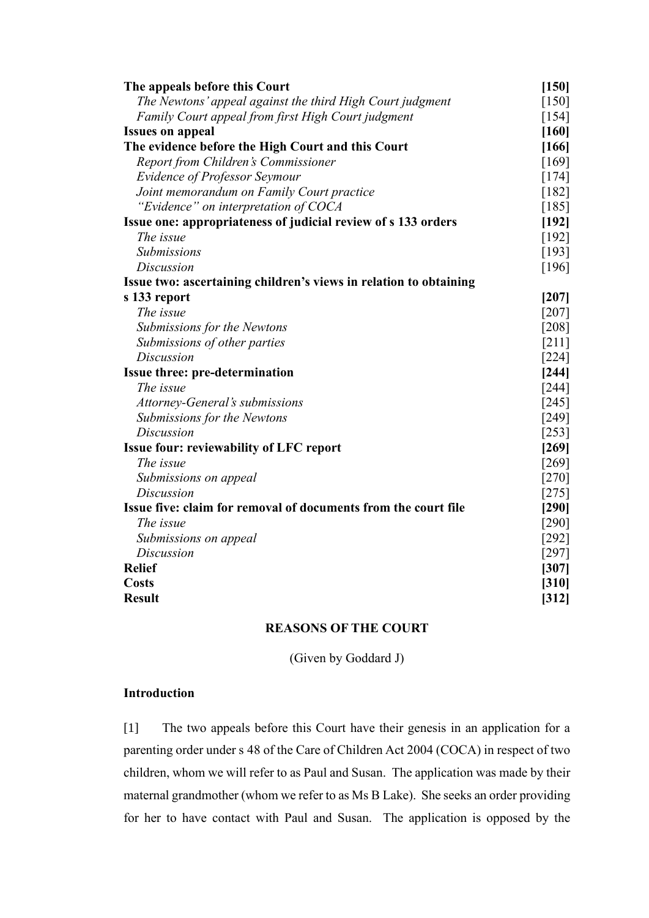| The appeals before this Court                                     | [150]   |
|-------------------------------------------------------------------|---------|
| The Newtons' appeal against the third High Court judgment         | $[150]$ |
| Family Court appeal from first High Court judgment                | $[154]$ |
| <b>Issues on appeal</b>                                           | [160]   |
| The evidence before the High Court and this Court                 |         |
| Report from Children's Commissioner                               | [169]   |
| <b>Evidence of Professor Seymour</b>                              | $[174]$ |
| Joint memorandum on Family Court practice                         | $[182]$ |
| "Evidence" on interpretation of COCA                              | [185]   |
| Issue one: appropriateness of judicial review of s 133 orders     |         |
| The issue                                                         | [192]   |
| Submissions                                                       | [193]   |
| <b>Discussion</b>                                                 | [196]   |
| Issue two: ascertaining children's views in relation to obtaining |         |
| s 133 report                                                      | $[207]$ |
| The issue                                                         | $[207]$ |
| Submissions for the Newtons                                       | [208]   |
| Submissions of other parties                                      | [211]   |
| <b>Discussion</b>                                                 | $[224]$ |
| <b>Issue three: pre-determination</b>                             |         |
| The issue                                                         | $[244]$ |
| Attorney-General's submissions                                    | $[245]$ |
| Submissions for the Newtons                                       | [249]   |
| <b>Discussion</b>                                                 | $[253]$ |
| <b>Issue four: reviewability of LFC report</b>                    | [269]   |
| The issue                                                         | [269]   |
| Submissions on appeal                                             | $[270]$ |
| <b>Discussion</b>                                                 | $[275]$ |
| Issue five: claim for removal of documents from the court file    | [290]   |
| The issue                                                         | $[290]$ |
| Submissions on appeal                                             | $[292]$ |
| Discussion                                                        | $[297]$ |
| <b>Relief</b>                                                     | [307]   |
| <b>Costs</b>                                                      | [310]   |
| <b>Result</b>                                                     | $[312]$ |

# **REASONS OF THE COURT**

(Given by Goddard J)

# <span id="page-3-0"></span>**Introduction**

[1] The two appeals before this Court have their genesis in an application for a parenting order under s 48 of the Care of Children Act 2004 (COCA) in respect of two children, whom we will refer to as Paul and Susan. The application was made by their maternal grandmother (whom we refer to as Ms B Lake). She seeks an order providing for her to have contact with Paul and Susan. The application is opposed by the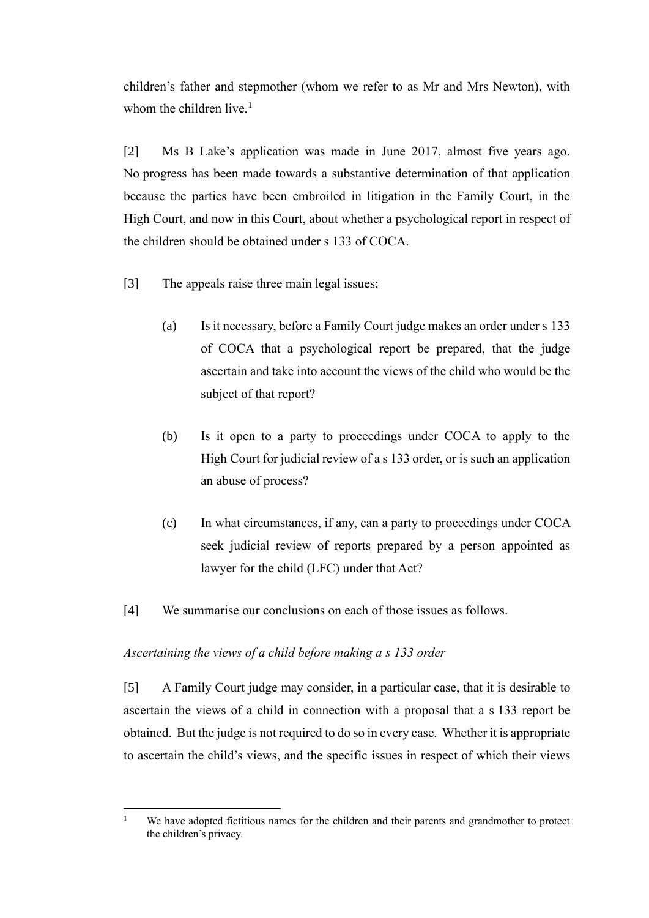children's father and stepmother (whom we refer to as Mr and Mrs Newton), with whom the children live. $<sup>1</sup>$ </sup>

[2] Ms B Lake's application was made in June 2017, almost five years ago. No progress has been made towards a substantive determination of that application because the parties have been embroiled in litigation in the Family Court, in the High Court, and now in this Court, about whether a psychological report in respect of the children should be obtained under s 133 of COCA.

- [3] The appeals raise three main legal issues:
	- (a) Is it necessary, before a Family Court judge makes an order under s 133 of COCA that a psychological report be prepared, that the judge ascertain and take into account the views of the child who would be the subject of that report?
	- (b) Is it open to a party to proceedings under COCA to apply to the High Court for judicial review of a s 133 order, or is such an application an abuse of process?
	- (c) In what circumstances, if any, can a party to proceedings under COCA seek judicial review of reports prepared by a person appointed as lawyer for the child (LFC) under that Act?
- [4] We summarise our conclusions on each of those issues as follows.

### <span id="page-4-0"></span>*Ascertaining the views of a child before making a s 133 order*

[5] A Family Court judge may consider, in a particular case, that it is desirable to ascertain the views of a child in connection with a proposal that a s 133 report be obtained. But the judge is not required to do so in every case. Whether it is appropriate to ascertain the child's views, and the specific issues in respect of which their views

<sup>&</sup>lt;sup>1</sup> We have adopted fictitious names for the children and their parents and grandmother to protect the children's privacy.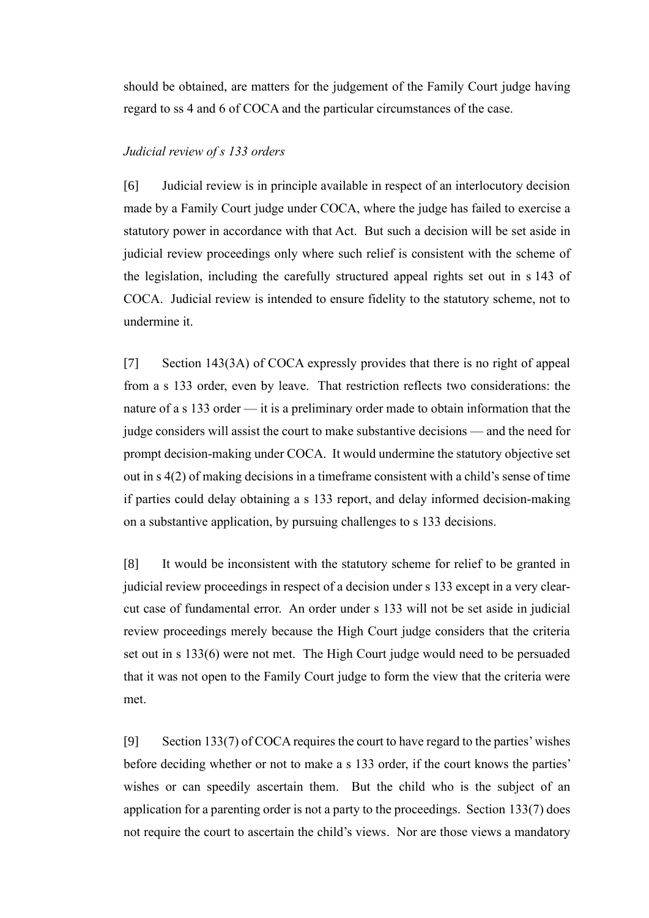should be obtained, are matters for the judgement of the Family Court judge having regard to ss 4 and 6 of COCA and the particular circumstances of the case.

### <span id="page-5-0"></span>*Judicial review of s 133 orders*

[6] Judicial review is in principle available in respect of an interlocutory decision made by a Family Court judge under COCA, where the judge has failed to exercise a statutory power in accordance with that Act. But such a decision will be set aside in judicial review proceedings only where such relief is consistent with the scheme of the legislation, including the carefully structured appeal rights set out in s 143 of COCA. Judicial review is intended to ensure fidelity to the statutory scheme, not to undermine it.

[7] Section 143(3A) of COCA expressly provides that there is no right of appeal from a s 133 order, even by leave. That restriction reflects two considerations: the nature of a s 133 order — it is a preliminary order made to obtain information that the judge considers will assist the court to make substantive decisions — and the need for prompt decision-making under COCA. It would undermine the statutory objective set out in s 4(2) of making decisions in a timeframe consistent with a child's sense of time if parties could delay obtaining a s 133 report, and delay informed decision-making on a substantive application, by pursuing challenges to s 133 decisions.

[8] It would be inconsistent with the statutory scheme for relief to be granted in judicial review proceedings in respect of a decision under s 133 except in a very clearcut case of fundamental error. An order under s 133 will not be set aside in judicial review proceedings merely because the High Court judge considers that the criteria set out in s 133(6) were not met. The High Court judge would need to be persuaded that it was not open to the Family Court judge to form the view that the criteria were met.

[9] Section 133(7) of COCA requires the court to have regard to the parties'wishes before deciding whether or not to make a s 133 order, if the court knows the parties' wishes or can speedily ascertain them. But the child who is the subject of an application for a parenting order is not a party to the proceedings. Section 133(7) does not require the court to ascertain the child's views. Nor are those views a mandatory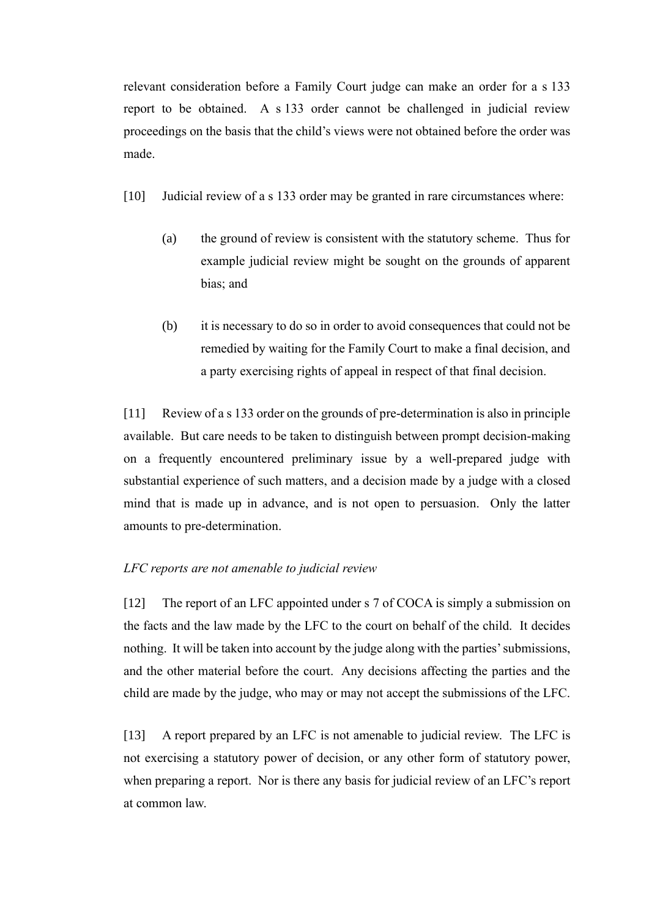relevant consideration before a Family Court judge can make an order for a s 133 report to be obtained. A s 133 order cannot be challenged in judicial review proceedings on the basis that the child's views were not obtained before the order was made.

- [10] Judicial review of a s 133 order may be granted in rare circumstances where:
	- (a) the ground of review is consistent with the statutory scheme. Thus for example judicial review might be sought on the grounds of apparent bias; and
	- (b) it is necessary to do so in order to avoid consequences that could not be remedied by waiting for the Family Court to make a final decision, and a party exercising rights of appeal in respect of that final decision.

[11] Review of a s 133 order on the grounds of pre-determination is also in principle available. But care needs to be taken to distinguish between prompt decision-making on a frequently encountered preliminary issue by a well-prepared judge with substantial experience of such matters, and a decision made by a judge with a closed mind that is made up in advance, and is not open to persuasion. Only the latter amounts to pre-determination.

### <span id="page-6-0"></span>*LFC reports are not amenable to judicial review*

[12] The report of an LFC appointed under s 7 of COCA is simply a submission on the facts and the law made by the LFC to the court on behalf of the child. It decides nothing. It will be taken into account by the judge along with the parties' submissions, and the other material before the court. Any decisions affecting the parties and the child are made by the judge, who may or may not accept the submissions of the LFC.

[13] A report prepared by an LFC is not amenable to judicial review. The LFC is not exercising a statutory power of decision, or any other form of statutory power, when preparing a report. Nor is there any basis for judicial review of an LFC's report at common law.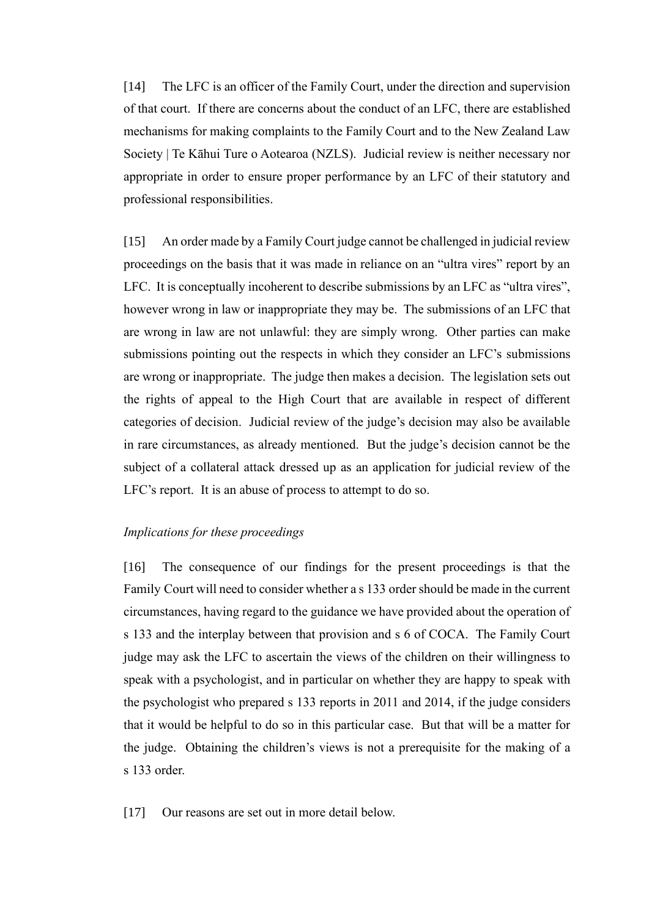[14] The LFC is an officer of the Family Court, under the direction and supervision of that court. If there are concerns about the conduct of an LFC, there are established mechanisms for making complaints to the Family Court and to the New Zealand Law Society | Te Kāhui Ture o Aotearoa (NZLS). Judicial review is neither necessary nor appropriate in order to ensure proper performance by an LFC of their statutory and professional responsibilities.

[15] An order made by a Family Court judge cannot be challenged in judicial review proceedings on the basis that it was made in reliance on an "ultra vires" report by an LFC. It is conceptually incoherent to describe submissions by an LFC as "ultra vires", however wrong in law or inappropriate they may be. The submissions of an LFC that are wrong in law are not unlawful: they are simply wrong. Other parties can make submissions pointing out the respects in which they consider an LFC's submissions are wrong or inappropriate. The judge then makes a decision. The legislation sets out the rights of appeal to the High Court that are available in respect of different categories of decision. Judicial review of the judge's decision may also be available in rare circumstances, as already mentioned. But the judge's decision cannot be the subject of a collateral attack dressed up as an application for judicial review of the LFC's report. It is an abuse of process to attempt to do so.

## <span id="page-7-0"></span>*Implications for these proceedings*

[16] The consequence of our findings for the present proceedings is that the Family Court will need to consider whether a s 133 order should be made in the current circumstances, having regard to the guidance we have provided about the operation of s 133 and the interplay between that provision and s 6 of COCA. The Family Court judge may ask the LFC to ascertain the views of the children on their willingness to speak with a psychologist, and in particular on whether they are happy to speak with the psychologist who prepared s 133 reports in 2011 and 2014, if the judge considers that it would be helpful to do so in this particular case. But that will be a matter for the judge. Obtaining the children's views is not a prerequisite for the making of a s 133 order.

[17] Our reasons are set out in more detail below.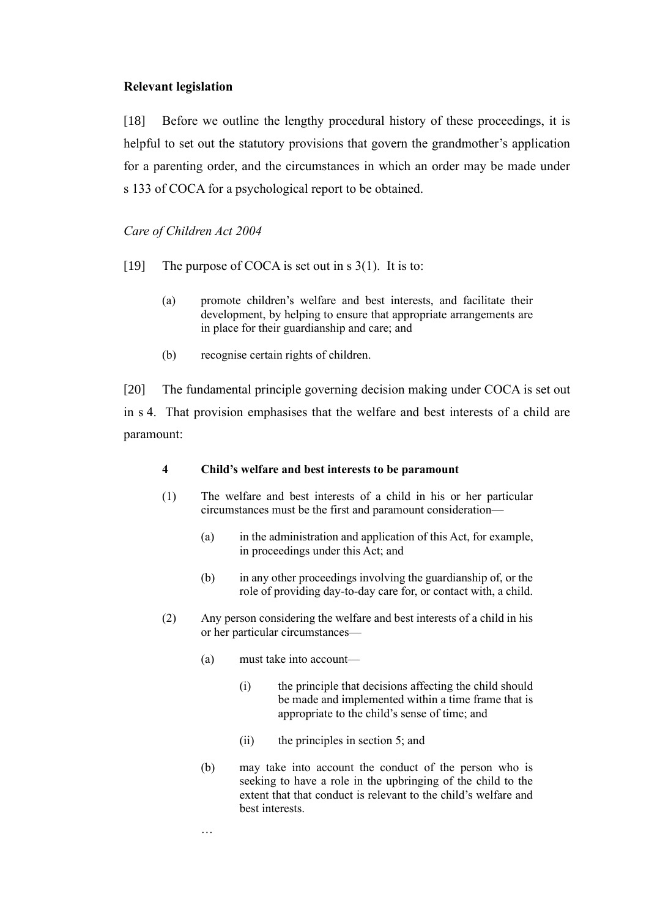### <span id="page-8-0"></span>**Relevant legislation**

[18] Before we outline the lengthy procedural history of these proceedings, it is helpful to set out the statutory provisions that govern the grandmother's application for a parenting order, and the circumstances in which an order may be made under s 133 of COCA for a psychological report to be obtained.

## <span id="page-8-1"></span>*Care of Children Act 2004*

- [19] The purpose of COCA is set out in s 3(1). It is to:
	- (a) promote children's welfare and best interests, and facilitate their development, by helping to ensure that appropriate arrangements are in place for their guardianship and care; and
	- (b) recognise certain rights of children.

[20] The fundamental principle governing decision making under COCA is set out in s 4. That provision emphasises that the welfare and best interests of a child are paramount:

### **4 Child's welfare and best interests to be paramount**

- (1) The welfare and best interests of a child in his or her particular circumstances must be the first and paramount consideration—
	- (a) in the administration and application of this Act, for example, in proceedings under this Act; and
	- (b) in any other proceedings involving the guardianship of, or the role of providing day-to-day care for, or contact with, a child.
- (2) Any person considering the welfare and best interests of a child in his or her particular circumstances—
	- (a) must take into account—
		- (i) the principle that decisions affecting the child should be made and implemented within a time frame that is appropriate to the child's sense of time; and
		- (ii) the principles in section 5; and
	- (b) may take into account the conduct of the person who is seeking to have a role in the upbringing of the child to the extent that that conduct is relevant to the child's welfare and best interests.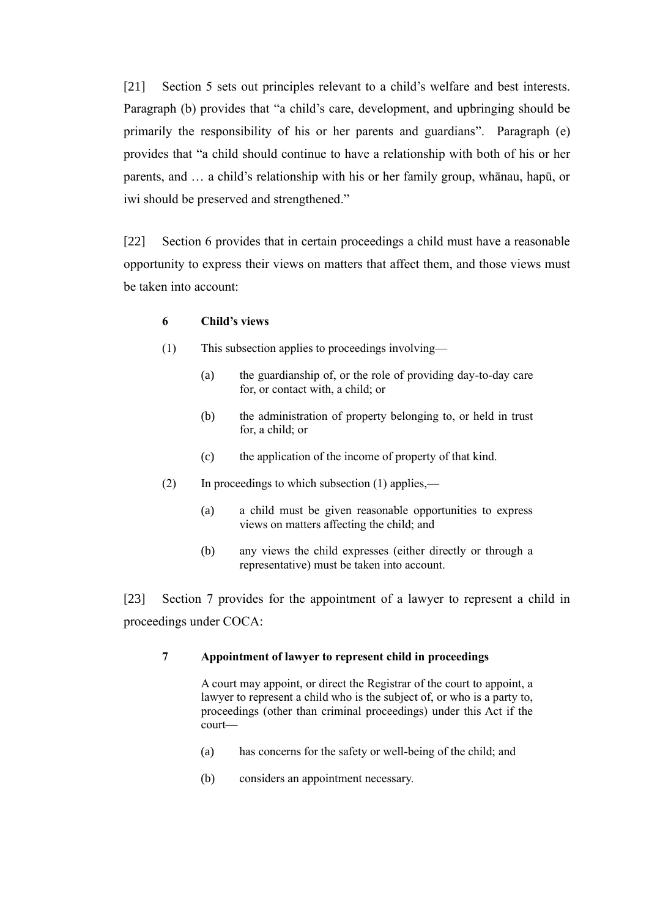[21] Section 5 sets out principles relevant to a child's welfare and best interests. Paragraph (b) provides that "a child's care, development, and upbringing should be primarily the responsibility of his or her parents and guardians". Paragraph (e) provides that "a child should continue to have a relationship with both of his or her parents, and … a child's relationship with his or her family group, whānau, hapū, or iwi should be preserved and strengthened."

[22] Section 6 provides that in certain proceedings a child must have a reasonable opportunity to express their views on matters that affect them, and those views must be taken into account:

#### **6 Child's views**

- (1) This subsection applies to proceedings involving—
	- (a) the guardianship of, or the role of providing day-to-day care for, or contact with, a child; or
	- (b) the administration of property belonging to, or held in trust for, a child; or
	- (c) the application of the income of property of that kind.
- (2) In proceedings to which subsection (1) applies,—
	- (a) a child must be given reasonable opportunities to express views on matters affecting the child; and
	- (b) any views the child expresses (either directly or through a representative) must be taken into account.

[23] Section 7 provides for the appointment of a lawyer to represent a child in proceedings under COCA:

### **7 Appointment of lawyer to represent child in proceedings**

A court may appoint, or direct the Registrar of the court to appoint, a lawyer to represent a child who is the subject of, or who is a party to, proceedings (other than criminal proceedings) under this Act if the court—

- (a) has concerns for the safety or well-being of the child; and
- (b) considers an appointment necessary.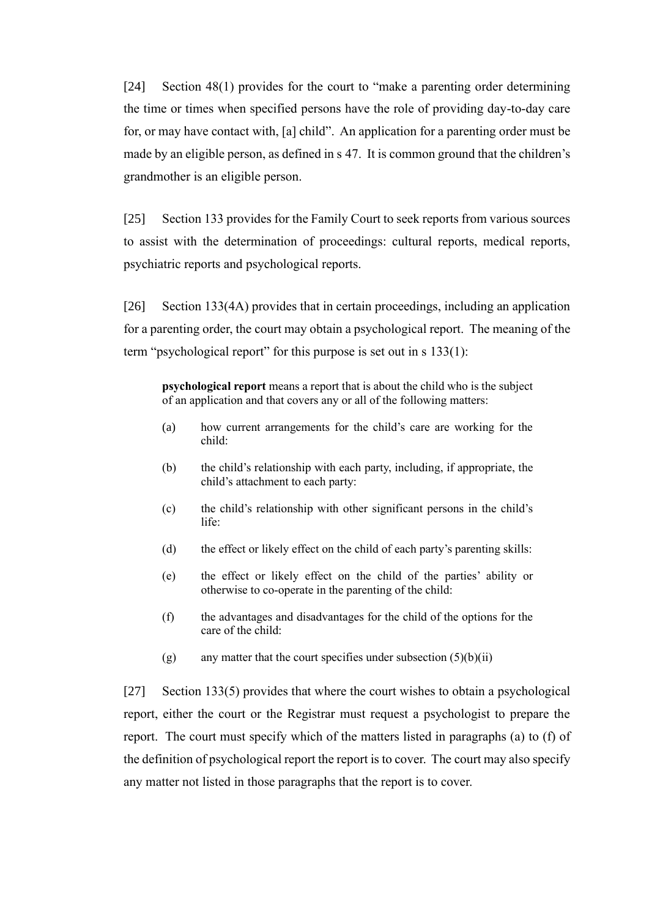[24] Section 48(1) provides for the court to "make a parenting order determining the time or times when specified persons have the role of providing day-to-day care for, or may have contact with, [a] child". An application for a parenting order must be made by an eligible person, as defined in s 47. It is common ground that the children's grandmother is an eligible person.

[25] Section 133 provides for the Family Court to seek reports from various sources to assist with the determination of proceedings: cultural reports, medical reports, psychiatric reports and psychological reports.

[26] Section 133(4A) provides that in certain proceedings, including an application for a parenting order, the court may obtain a psychological report. The meaning of the term "psychological report" for this purpose is set out in s 133(1):

**psychological report** means a report that is about the child who is the subject of an application and that covers any or all of the following matters:

- (a) how current arrangements for the child's care are working for the child:
- (b) the child's relationship with each party, including, if appropriate, the child's attachment to each party:
- (c) the child's relationship with other significant persons in the child's life:
- (d) the effect or likely effect on the child of each party's parenting skills:
- (e) the effect or likely effect on the child of the parties' ability or otherwise to co-operate in the parenting of the child:
- (f) the advantages and disadvantages for the child of the options for the care of the child:
- (g) any matter that the court specifies under subsection  $(5)(b)(ii)$

[27] Section 133(5) provides that where the court wishes to obtain a psychological report, either the court or the Registrar must request a psychologist to prepare the report. The court must specify which of the matters listed in paragraphs (a) to (f) of the definition of psychological report the report is to cover. The court may also specify any matter not listed in those paragraphs that the report is to cover.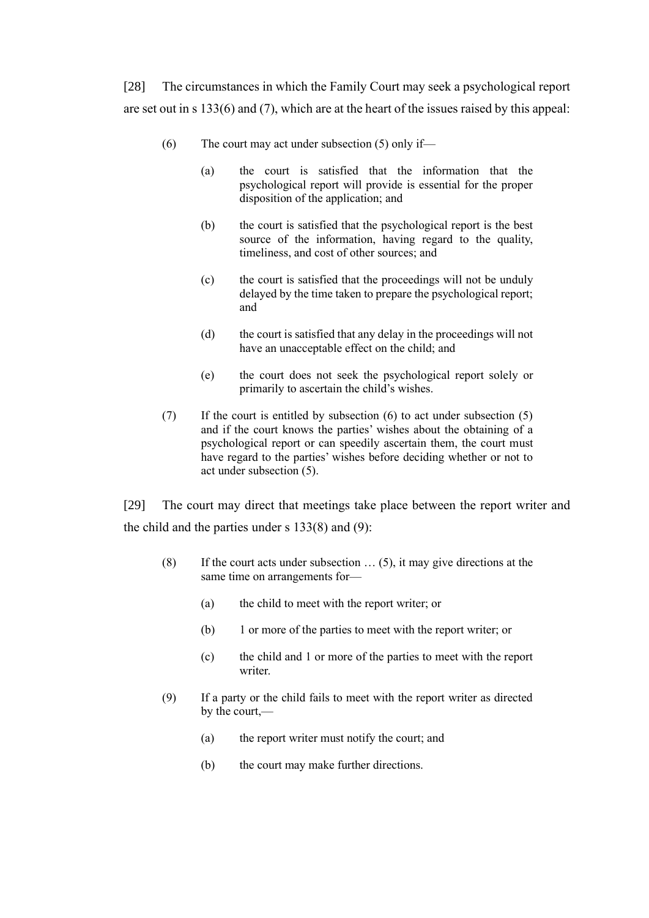[28] The circumstances in which the Family Court may seek a psychological report are set out in s 133(6) and (7), which are at the heart of the issues raised by this appeal:

- $(6)$  The court may act under subsection  $(5)$  only if—
	- (a) the court is satisfied that the information that the psychological report will provide is essential for the proper disposition of the application; and
	- (b) the court is satisfied that the psychological report is the best source of the information, having regard to the quality, timeliness, and cost of other sources; and
	- (c) the court is satisfied that the proceedings will not be unduly delayed by the time taken to prepare the psychological report; and
	- (d) the court is satisfied that any delay in the proceedings will not have an unacceptable effect on the child; and
	- (e) the court does not seek the psychological report solely or primarily to ascertain the child's wishes.
- (7) If the court is entitled by subsection (6) to act under subsection (5) and if the court knows the parties' wishes about the obtaining of a psychological report or can speedily ascertain them, the court must have regard to the parties' wishes before deciding whether or not to act under subsection (5).

[29] The court may direct that meetings take place between the report writer and the child and the parties under  $s$  133(8) and (9):

- (8) If the court acts under subsection  $\ldots$  (5), it may give directions at the same time on arrangements for—
	- (a) the child to meet with the report writer; or
	- (b) 1 or more of the parties to meet with the report writer; or
	- (c) the child and 1 or more of the parties to meet with the report writer.
- (9) If a party or the child fails to meet with the report writer as directed by the court,—
	- (a) the report writer must notify the court; and
	- (b) the court may make further directions.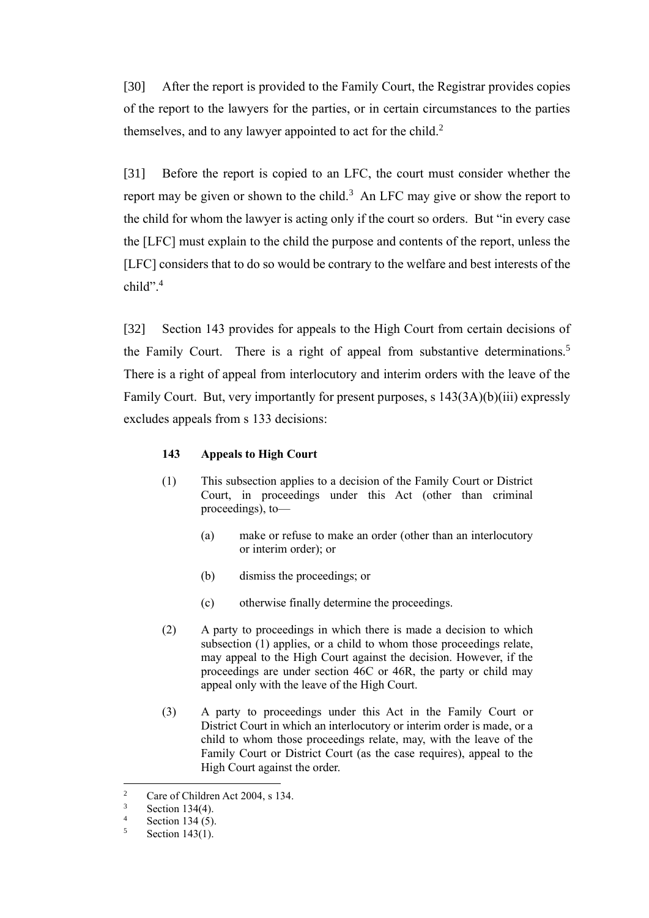[30] After the report is provided to the Family Court, the Registrar provides copies of the report to the lawyers for the parties, or in certain circumstances to the parties themselves, and to any lawyer appointed to act for the child. $2^2$ 

[31] Before the report is copied to an LFC, the court must consider whether the report may be given or shown to the child.<sup>3</sup> An LFC may give or show the report to the child for whom the lawyer is acting only if the court so orders. But "in every case the [LFC] must explain to the child the purpose and contents of the report, unless the [LFC] considers that to do so would be contrary to the welfare and best interests of the child". 4

[32] Section 143 provides for appeals to the High Court from certain decisions of the Family Court. There is a right of appeal from substantive determinations.<sup>5</sup> There is a right of appeal from interlocutory and interim orders with the leave of the Family Court. But, very importantly for present purposes, s 143(3A)(b)(iii) expressly excludes appeals from s 133 decisions:

### **143 Appeals to High Court**

- (1) This subsection applies to a decision of the Family Court or District Court, in proceedings under this Act (other than criminal proceedings), to—
	- (a) make or refuse to make an order (other than an interlocutory or interim order); or
	- (b) dismiss the proceedings; or
	- (c) otherwise finally determine the proceedings.
- (2) A party to proceedings in which there is made a decision to which subsection (1) applies, or a child to whom those proceedings relate, may appeal to the High Court against the decision. However, if the proceedings are under section 46C or 46R, the party or child may appeal only with the leave of the High Court.
- (3) A party to proceedings under this Act in the Family Court or District Court in which an interlocutory or interim order is made, or a child to whom those proceedings relate, may, with the leave of the Family Court or District Court (as the case requires), appeal to the High Court against the order.

<sup>&</sup>lt;sup>2</sup> Care of Children Act 2004, s 134.<br> $\frac{3}{2}$  Section 134(4)

 $\frac{3}{4}$  Section 134(4).

 $\frac{4}{5}$  Section 134 (5).<br>Section 143(1)

Section 143(1).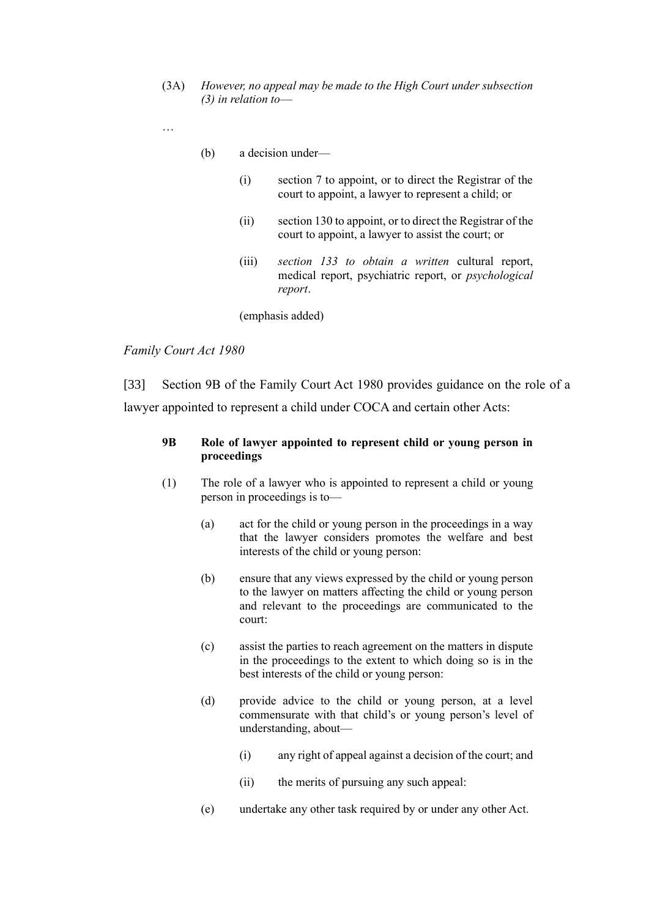(3A) *However, no appeal may be made to the High Court under subsection (3) in relation to*—

…

- (b) a decision under—
	- (i) section 7 to appoint, or to direct the Registrar of the court to appoint, a lawyer to represent a child; or
	- (ii) section 130 to appoint, or to direct the Registrar of the court to appoint, a lawyer to assist the court; or
	- (iii) *section 133 to obtain a written* cultural report, medical report, psychiatric report, or *psychological report*.

(emphasis added)

#### <span id="page-13-0"></span>*Family Court Act 1980*

[33] Section 9B of the Family Court Act 1980 provides guidance on the role of a lawyer appointed to represent a child under COCA and certain other Acts:

## **9B Role of lawyer appointed to represent child or young person in proceedings**

- (1) The role of a lawyer who is appointed to represent a child or young person in proceedings is to—
	- (a) act for the child or young person in the proceedings in a way that the lawyer considers promotes the welfare and best interests of the child or young person:
	- (b) ensure that any views expressed by the child or young person to the lawyer on matters affecting the child or young person and relevant to the proceedings are communicated to the court:
	- (c) assist the parties to reach agreement on the matters in dispute in the proceedings to the extent to which doing so is in the best interests of the child or young person:
	- (d) provide advice to the child or young person, at a level commensurate with that child's or young person's level of understanding, about—
		- (i) any right of appeal against a decision of the court; and
		- (ii) the merits of pursuing any such appeal:
	- (e) undertake any other task required by or under any other Act.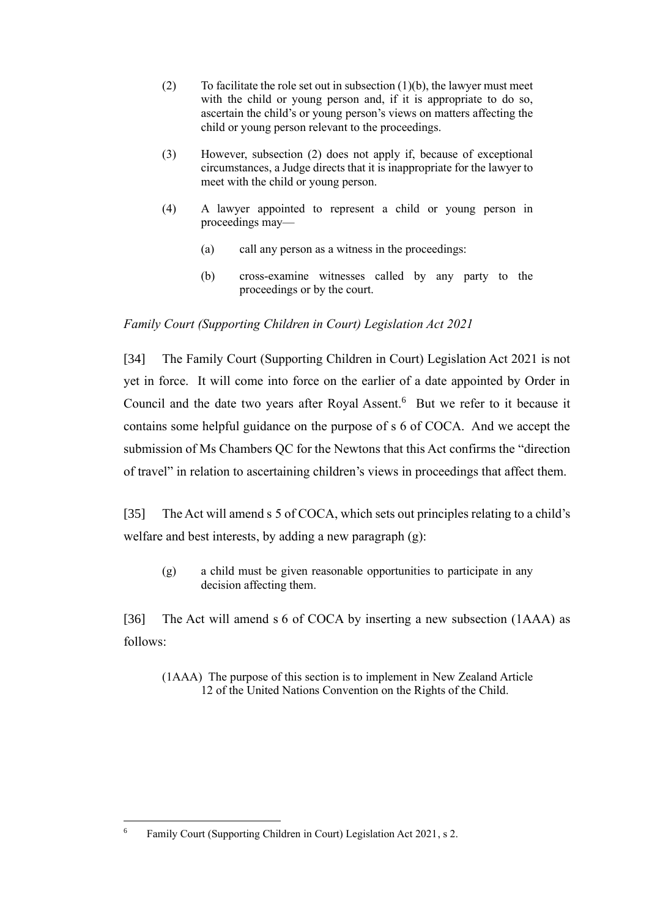- (2) To facilitate the role set out in subsection  $(1)(b)$ , the lawyer must meet with the child or young person and, if it is appropriate to do so, ascertain the child's or young person's views on matters affecting the child or young person relevant to the proceedings.
- (3) However, subsection (2) does not apply if, because of exceptional circumstances, a Judge directs that it is inappropriate for the lawyer to meet with the child or young person.
- (4) A lawyer appointed to represent a child or young person in proceedings may—
	- (a) call any person as a witness in the proceedings:
	- (b) cross-examine witnesses called by any party to the proceedings or by the court.

# <span id="page-14-0"></span>*Family Court (Supporting Children in Court) Legislation Act 2021*

[34] The Family Court (Supporting Children in Court) Legislation Act 2021 is not yet in force. It will come into force on the earlier of a date appointed by Order in Council and the date two years after Royal Assent. <sup>6</sup> But we refer to it because it contains some helpful guidance on the purpose of s 6 of COCA. And we accept the submission of Ms Chambers QC for the Newtons that this Act confirms the "direction of travel" in relation to ascertaining children's views in proceedings that affect them.

[35] The Act will amend s 5 of COCA, which sets out principles relating to a child's welfare and best interests, by adding a new paragraph (g):

(g) a child must be given reasonable opportunities to participate in any decision affecting them.

[36] The Act will amend s 6 of COCA by inserting a new subsection (1AAA) as follows:

(1AAA) The purpose of this section is to implement in New Zealand Article 12 of the United Nations Convention on the Rights of the Child.

<sup>6</sup> Family Court (Supporting Children in Court) Legislation Act 2021, s 2.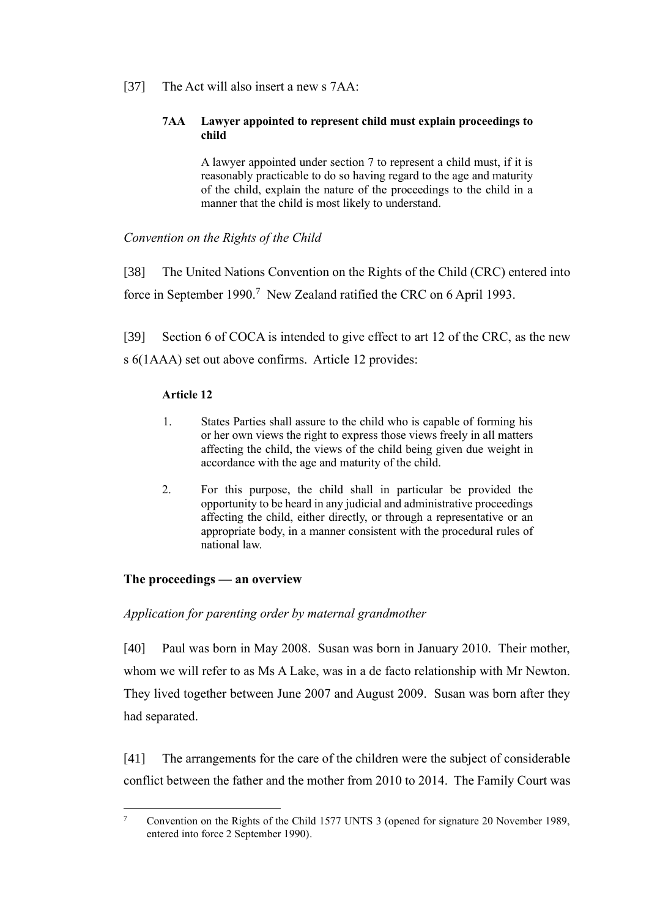# [37] The Act will also insert a new s 7AA:

### **7AA Lawyer appointed to represent child must explain proceedings to child**

A lawyer appointed under section 7 to represent a child must, if it is reasonably practicable to do so having regard to the age and maturity of the child, explain the nature of the proceedings to the child in a manner that the child is most likely to understand.

# <span id="page-15-0"></span>*Convention on the Rights of the Child*

[38] The United Nations Convention on the Rights of the Child (CRC) entered into force in September 1990.<sup>7</sup> New Zealand ratified the CRC on 6 April 1993.

[39] Section 6 of COCA is intended to give effect to art 12 of the CRC, as the new s 6(1AAA) set out above confirms. Article 12 provides:

## **Article 12**

- 1. States Parties shall assure to the child who is capable of forming his or her own views the right to express those views freely in all matters affecting the child, the views of the child being given due weight in accordance with the age and maturity of the child.
- 2. For this purpose, the child shall in particular be provided the opportunity to be heard in any judicial and administrative proceedings affecting the child, either directly, or through a representative or an appropriate body, in a manner consistent with the procedural rules of national law.

# <span id="page-15-1"></span>**The proceedings — an overview**

# <span id="page-15-2"></span>*Application for parenting order by maternal grandmother*

[40] Paul was born in May 2008. Susan was born in January 2010. Their mother, whom we will refer to as Ms A Lake, was in a de facto relationship with Mr Newton. They lived together between June 2007 and August 2009. Susan was born after they had separated.

[41] The arrangements for the care of the children were the subject of considerable conflict between the father and the mother from 2010 to 2014. The Family Court was

<sup>7</sup> Convention on the Rights of the Child 1577 UNTS 3 (opened for signature 20 November 1989, entered into force 2 September 1990).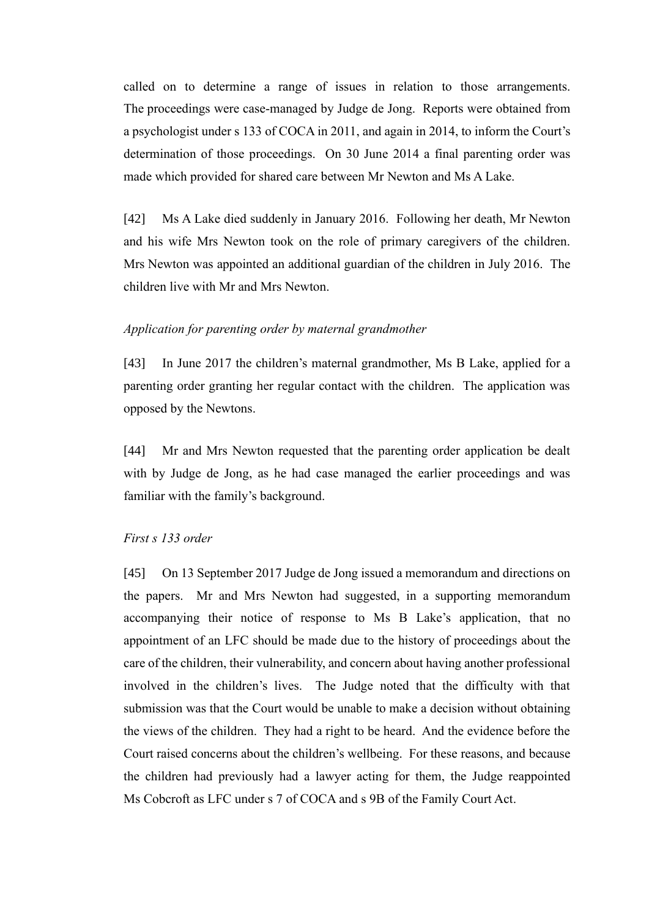called on to determine a range of issues in relation to those arrangements. The proceedings were case-managed by Judge de Jong. Reports were obtained from a psychologist under s 133 of COCA in 2011, and again in 2014, to inform the Court's determination of those proceedings. On 30 June 2014 a final parenting order was made which provided for shared care between Mr Newton and Ms A Lake.

[42] Ms A Lake died suddenly in January 2016. Following her death, Mr Newton and his wife Mrs Newton took on the role of primary caregivers of the children. Mrs Newton was appointed an additional guardian of the children in July 2016. The children live with Mr and Mrs Newton.

# <span id="page-16-0"></span>*Application for parenting order by maternal grandmother*

[43] In June 2017 the children's maternal grandmother, Ms B Lake, applied for a parenting order granting her regular contact with the children. The application was opposed by the Newtons.

[44] Mr and Mrs Newton requested that the parenting order application be dealt with by Judge de Jong, as he had case managed the earlier proceedings and was familiar with the family's background.

### <span id="page-16-1"></span>*First s 133 order*

[45] On 13 September 2017 Judge de Jong issued a memorandum and directions on the papers. Mr and Mrs Newton had suggested, in a supporting memorandum accompanying their notice of response to Ms B Lake's application, that no appointment of an LFC should be made due to the history of proceedings about the care of the children, their vulnerability, and concern about having another professional involved in the children's lives. The Judge noted that the difficulty with that submission was that the Court would be unable to make a decision without obtaining the views of the children. They had a right to be heard. And the evidence before the Court raised concerns about the children's wellbeing. For these reasons, and because the children had previously had a lawyer acting for them, the Judge reappointed Ms Cobcroft as LFC under s 7 of COCA and s 9B of the Family Court Act.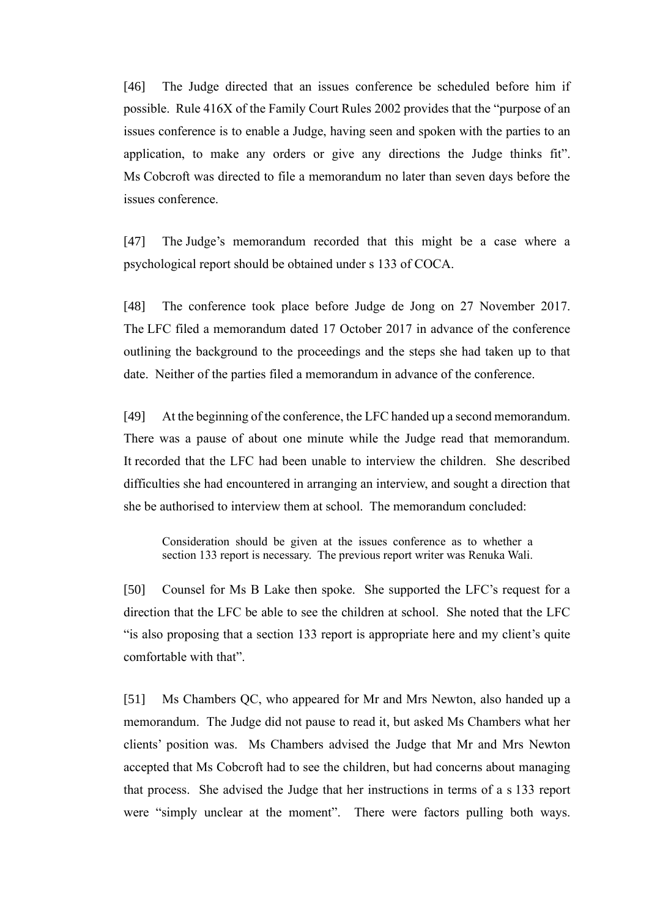[46] The Judge directed that an issues conference be scheduled before him if possible. Rule 416X of the Family Court Rules 2002 provides that the "purpose of an issues conference is to enable a Judge, having seen and spoken with the parties to an application, to make any orders or give any directions the Judge thinks fit". Ms Cobcroft was directed to file a memorandum no later than seven days before the issues conference.

[47] The Judge's memorandum recorded that this might be a case where a psychological report should be obtained under s 133 of COCA.

[48] The conference took place before Judge de Jong on 27 November 2017. The LFC filed a memorandum dated 17 October 2017 in advance of the conference outlining the background to the proceedings and the steps she had taken up to that date. Neither of the parties filed a memorandum in advance of the conference.

[49] At the beginning of the conference, the LFC handed up a second memorandum. There was a pause of about one minute while the Judge read that memorandum. It recorded that the LFC had been unable to interview the children. She described difficulties she had encountered in arranging an interview, and sought a direction that she be authorised to interview them at school. The memorandum concluded:

Consideration should be given at the issues conference as to whether a section 133 report is necessary. The previous report writer was Renuka Wali.

[50] Counsel for Ms B Lake then spoke. She supported the LFC's request for a direction that the LFC be able to see the children at school. She noted that the LFC "is also proposing that a section 133 report is appropriate here and my client's quite comfortable with that".

[51] Ms Chambers QC, who appeared for Mr and Mrs Newton, also handed up a memorandum. The Judge did not pause to read it, but asked Ms Chambers what her clients' position was. Ms Chambers advised the Judge that Mr and Mrs Newton accepted that Ms Cobcroft had to see the children, but had concerns about managing that process. She advised the Judge that her instructions in terms of a s 133 report were "simply unclear at the moment". There were factors pulling both ways.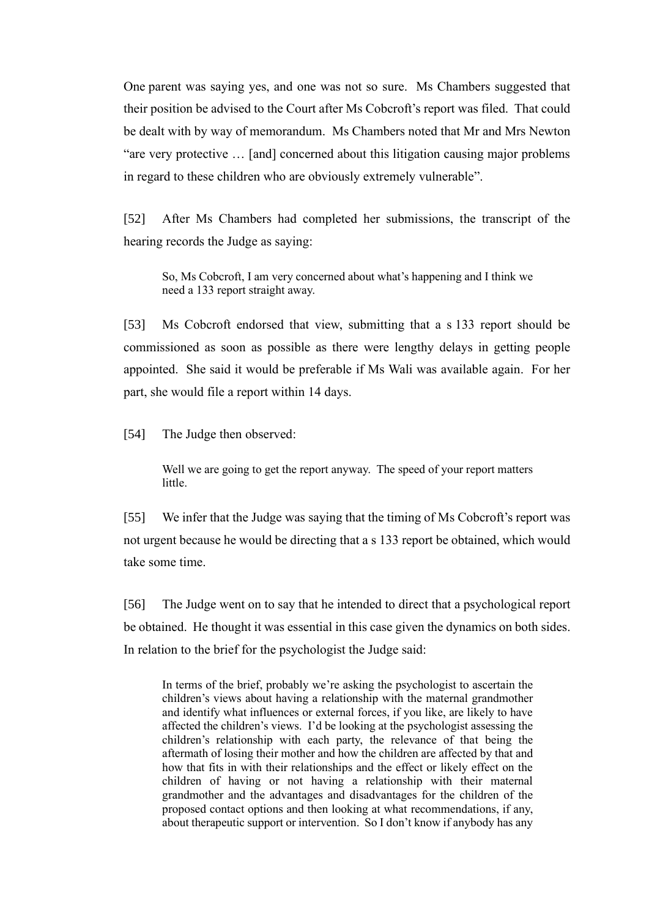One parent was saying yes, and one was not so sure. Ms Chambers suggested that their position be advised to the Court after Ms Cobcroft's report was filed. That could be dealt with by way of memorandum. Ms Chambers noted that Mr and Mrs Newton "are very protective … [and] concerned about this litigation causing major problems in regard to these children who are obviously extremely vulnerable".

[52] After Ms Chambers had completed her submissions, the transcript of the hearing records the Judge as saying:

So, Ms Cobcroft, I am very concerned about what's happening and I think we need a 133 report straight away.

[53] Ms Cobcroft endorsed that view, submitting that a s 133 report should be commissioned as soon as possible as there were lengthy delays in getting people appointed. She said it would be preferable if Ms Wali was available again. For her part, she would file a report within 14 days.

[54] The Judge then observed:

Well we are going to get the report anyway. The speed of your report matters little.

[55] We infer that the Judge was saying that the timing of Ms Cobcroft's report was not urgent because he would be directing that a s 133 report be obtained, which would take some time.

[56] The Judge went on to say that he intended to direct that a psychological report be obtained. He thought it was essential in this case given the dynamics on both sides. In relation to the brief for the psychologist the Judge said:

In terms of the brief, probably we're asking the psychologist to ascertain the children's views about having a relationship with the maternal grandmother and identify what influences or external forces, if you like, are likely to have affected the children's views. I'd be looking at the psychologist assessing the children's relationship with each party, the relevance of that being the aftermath of losing their mother and how the children are affected by that and how that fits in with their relationships and the effect or likely effect on the children of having or not having a relationship with their maternal grandmother and the advantages and disadvantages for the children of the proposed contact options and then looking at what recommendations, if any, about therapeutic support or intervention. So I don't know if anybody has any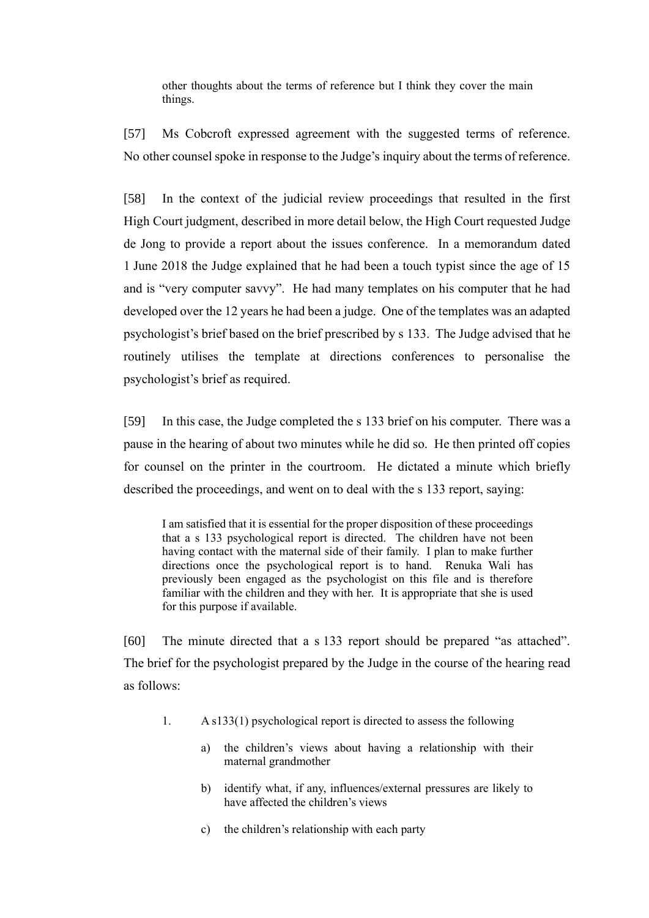other thoughts about the terms of reference but I think they cover the main things.

[57] Ms Cobcroft expressed agreement with the suggested terms of reference. No other counsel spoke in response to the Judge's inquiry about the terms of reference.

[58] In the context of the judicial review proceedings that resulted in the first High Court judgment, described in more detail below, the High Court requested Judge de Jong to provide a report about the issues conference. In a memorandum dated 1 June 2018 the Judge explained that he had been a touch typist since the age of 15 and is "very computer savvy". He had many templates on his computer that he had developed over the 12 years he had been a judge. One of the templates was an adapted psychologist's brief based on the brief prescribed by s 133. The Judge advised that he routinely utilises the template at directions conferences to personalise the psychologist's brief as required.

[59] In this case, the Judge completed the s 133 brief on his computer. There was a pause in the hearing of about two minutes while he did so. He then printed off copies for counsel on the printer in the courtroom. He dictated a minute which briefly described the proceedings, and went on to deal with the s 133 report, saying:

I am satisfied that it is essential for the proper disposition of these proceedings that a s 133 psychological report is directed. The children have not been having contact with the maternal side of their family. I plan to make further directions once the psychological report is to hand. Renuka Wali has previously been engaged as the psychologist on this file and is therefore familiar with the children and they with her. It is appropriate that she is used for this purpose if available.

[60] The minute directed that a s 133 report should be prepared "as attached". The brief for the psychologist prepared by the Judge in the course of the hearing read as follows:

- 1. A s133(1) psychological report is directed to assess the following
	- a) the children's views about having a relationship with their maternal grandmother
	- b) identify what, if any, influences/external pressures are likely to have affected the children's views
	- c) the children's relationship with each party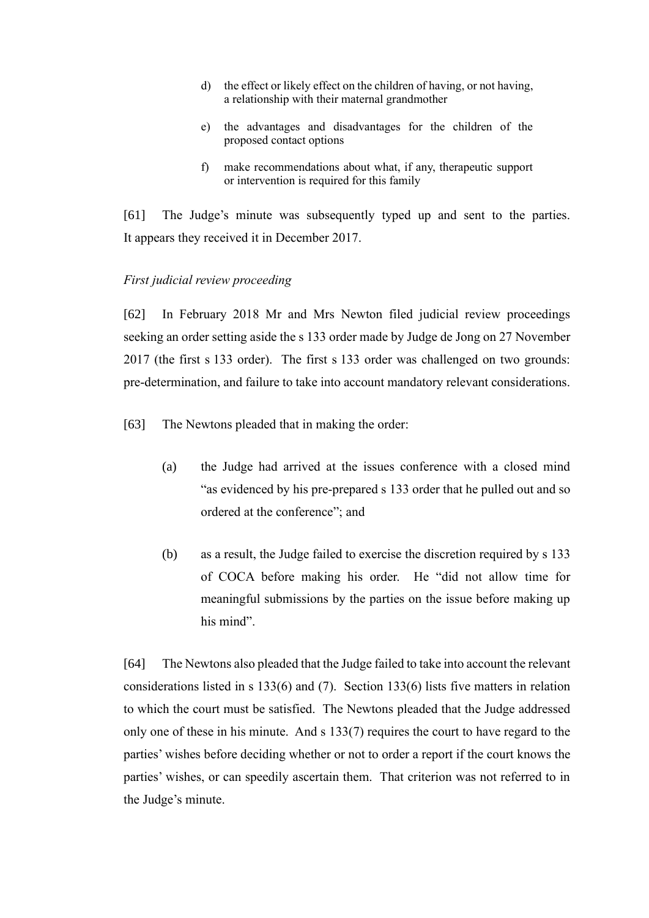- d) the effect or likely effect on the children of having, or not having, a relationship with their maternal grandmother
- e) the advantages and disadvantages for the children of the proposed contact options
- f) make recommendations about what, if any, therapeutic support or intervention is required for this family

[61] The Judge's minute was subsequently typed up and sent to the parties. It appears they received it in December 2017.

### <span id="page-20-0"></span>*First judicial review proceeding*

[62] In February 2018 Mr and Mrs Newton filed judicial review proceedings seeking an order setting aside the s 133 order made by Judge de Jong on 27 November 2017 (the first s 133 order). The first s 133 order was challenged on two grounds: pre-determination, and failure to take into account mandatory relevant considerations.

- [63] The Newtons pleaded that in making the order:
	- (a) the Judge had arrived at the issues conference with a closed mind "as evidenced by his pre-prepared s 133 order that he pulled out and so ordered at the conference"; and
	- (b) as a result, the Judge failed to exercise the discretion required by s 133 of COCA before making his order. He "did not allow time for meaningful submissions by the parties on the issue before making up his mind".

[64] The Newtons also pleaded that the Judge failed to take into account the relevant considerations listed in s 133(6) and (7). Section 133(6) lists five matters in relation to which the court must be satisfied. The Newtons pleaded that the Judge addressed only one of these in his minute. And s  $133(7)$  requires the court to have regard to the parties' wishes before deciding whether or not to order a report if the court knows the parties' wishes, or can speedily ascertain them. That criterion was not referred to in the Judge's minute.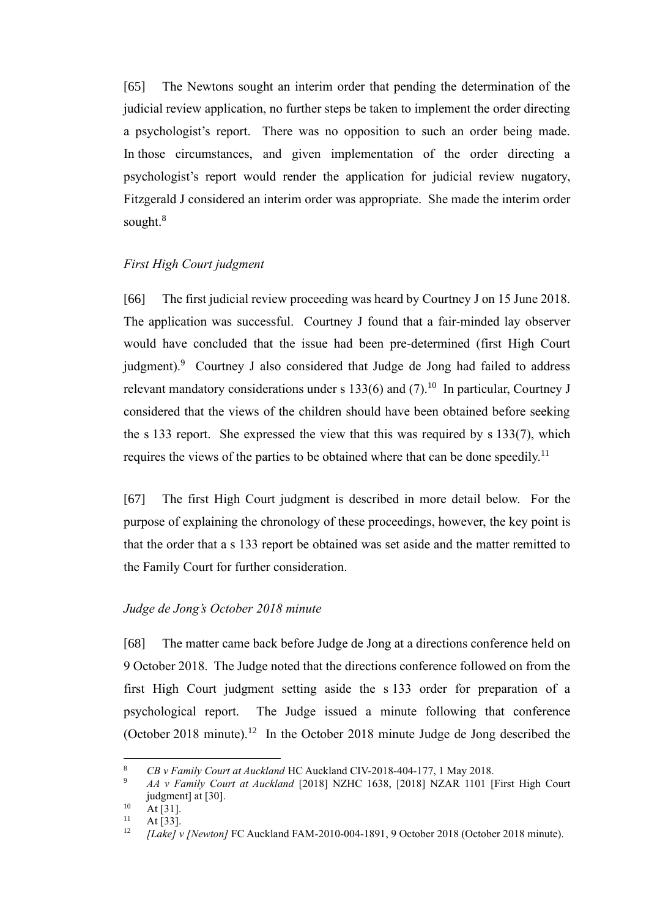[65] The Newtons sought an interim order that pending the determination of the judicial review application, no further steps be taken to implement the order directing a psychologist's report. There was no opposition to such an order being made. In those circumstances, and given implementation of the order directing a psychologist's report would render the application for judicial review nugatory, Fitzgerald J considered an interim order was appropriate. She made the interim order sought.<sup>8</sup>

### <span id="page-21-0"></span>*First High Court judgment*

<span id="page-21-3"></span>[66] The first judicial review proceeding was heard by Courtney J on 15 June 2018. The application was successful. Courtney J found that a fair-minded lay observer would have concluded that the issue had been pre-determined (first High Court judgment).<sup>9</sup> Courtney J also considered that Judge de Jong had failed to address relevant mandatory considerations under s 133(6) and  $(7)$ .<sup>10</sup> In particular, Courtney J considered that the views of the children should have been obtained before seeking the s 133 report. She expressed the view that this was required by s 133(7), which requires the views of the parties to be obtained where that can be done speedily.<sup>11</sup>

[67] The first High Court judgment is described in more detail below. For the purpose of explaining the chronology of these proceedings, however, the key point is that the order that a s 133 report be obtained was set aside and the matter remitted to the Family Court for further consideration.

### <span id="page-21-1"></span>*Judge de Jong's October 2018 minute*

[68] The matter came back before Judge de Jong at a directions conference held on 9 October 2018. The Judge noted that the directions conference followed on from the first High Court judgment setting aside the s 133 order for preparation of a psychological report. The Judge issued a minute following that conference (October 2018 minute).<sup>12</sup> In the October 2018 minute Judge de Jong described the

<span id="page-21-2"></span><sup>8</sup> *CB v Family Court at Auckland* HC Auckland CIV-2018-404-177, 1 May 2018.

<sup>9</sup> *AA v Family Court at Auckland* [2018] NZHC 1638, [2018] NZAR 1101 [First High Court judgment] at [30].

 $10$  At [31].

 $11 \text{ At [33]}$ .<br> $12 \text{ Hz}$ 

<sup>12</sup> *[Lake] v [Newton]* FC Auckland FAM-2010-004-1891, 9 October 2018 (October 2018 minute).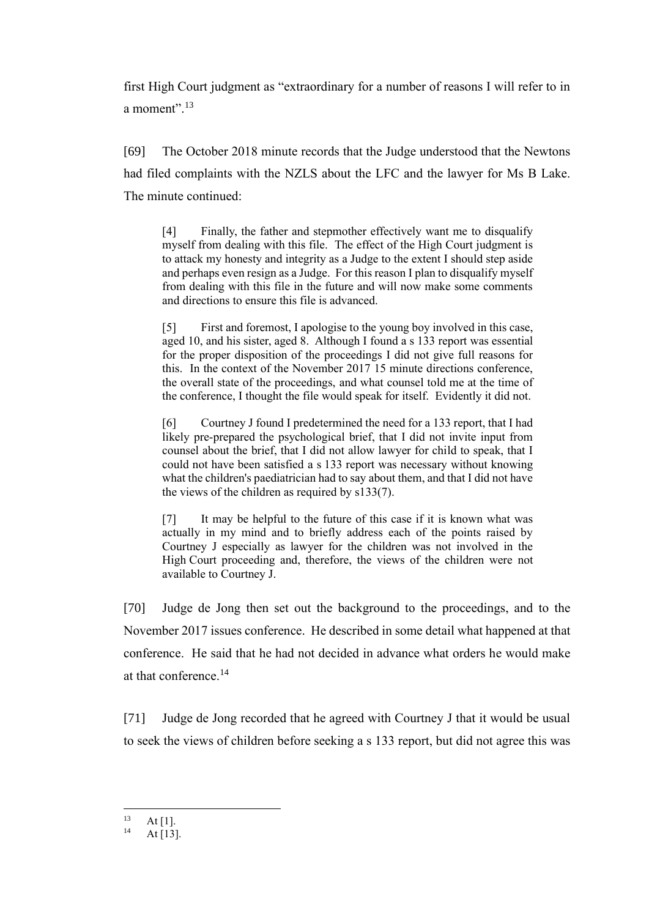first High Court judgment as "extraordinary for a number of reasons I will refer to in a moment".<sup>13</sup>

[69] The October 2018 minute records that the Judge understood that the Newtons had filed complaints with the NZLS about the LFC and the lawyer for Ms B Lake. The minute continued:

[4] Finally, the father and stepmother effectively want me to disqualify myself from dealing with this file. The effect of the High Court judgment is to attack my honesty and integrity as a Judge to the extent I should step aside and perhaps even resign as a Judge. For this reason I plan to disqualify myself from dealing with this file in the future and will now make some comments and directions to ensure this file is advanced.

[5] First and foremost, I apologise to the young boy involved in this case, aged 10, and his sister, aged 8. Although I found a s 133 report was essential for the proper disposition of the proceedings I did not give full reasons for this. In the context of the November 2017 15 minute directions conference, the overall state of the proceedings, and what counsel told me at the time of the conference, I thought the file would speak for itself. Evidently it did not.

[6] Courtney J found I predetermined the need for a 133 report, that I had likely pre-prepared the psychological brief, that I did not invite input from counsel about the brief, that I did not allow lawyer for child to speak, that I could not have been satisfied a s 133 report was necessary without knowing what the children's paediatrician had to say about them, and that I did not have the views of the children as required by s133(7).

[7] It may be helpful to the future of this case if it is known what was actually in my mind and to briefly address each of the points raised by Courtney J especially as lawyer for the children was not involved in the High Court proceeding and, therefore, the views of the children were not available to Courtney J.

[70] Judge de Jong then set out the background to the proceedings, and to the November 2017 issues conference. He described in some detail what happened at that conference. He said that he had not decided in advance what orders he would make at that conference.<sup>14</sup>

[71] Judge de Jong recorded that he agreed with Courtney J that it would be usual to seek the views of children before seeking a s 133 report, but did not agree this was

 $13$  At [1].

At  $[13]$ .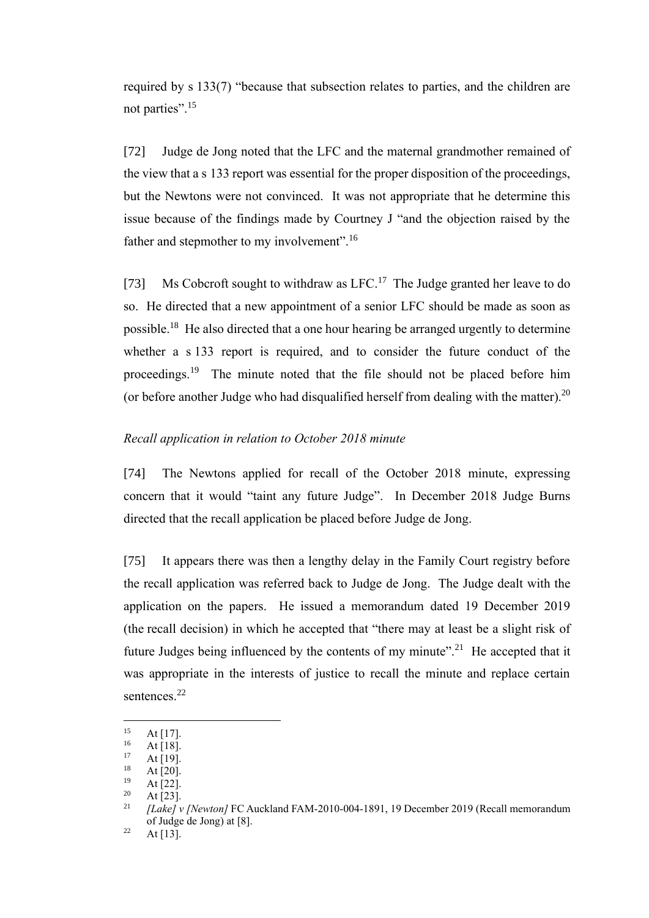required by s 133(7) "because that subsection relates to parties, and the children are not parties".<sup>15</sup>

[72] Judge de Jong noted that the LFC and the maternal grandmother remained of the view that a s 133 report was essential for the proper disposition of the proceedings, but the Newtons were not convinced. It was not appropriate that he determine this issue because of the findings made by Courtney J "and the objection raised by the father and stepmother to my involvement".<sup>16</sup>

[73] Ms Cobcroft sought to withdraw as LFC.<sup>17</sup> The Judge granted her leave to do so. He directed that a new appointment of a senior LFC should be made as soon as possible.<sup>18</sup> He also directed that a one hour hearing be arranged urgently to determine whether a s 133 report is required, and to consider the future conduct of the proceedings.<sup>19</sup> The minute noted that the file should not be placed before him (or before another Judge who had disqualified herself from dealing with the matter). $^{20}$ 

# <span id="page-23-0"></span>*Recall application in relation to October 2018 minute*

[74] The Newtons applied for recall of the October 2018 minute, expressing concern that it would "taint any future Judge". In December 2018 Judge Burns directed that the recall application be placed before Judge de Jong.

[75] It appears there was then a lengthy delay in the Family Court registry before the recall application was referred back to Judge de Jong. The Judge dealt with the application on the papers. He issued a memorandum dated 19 December 2019 (the recall decision) in which he accepted that "there may at least be a slight risk of future Judges being influenced by the contents of my minute".<sup>21</sup> He accepted that it was appropriate in the interests of justice to recall the minute and replace certain sentences.<sup>22</sup>

<span id="page-23-1"></span> $15$  At [17].

 $16$  At [18].

At  $[19]$ .

 $18$  At [20].

At [22].

 $20$  At [23].

<sup>21</sup> *[Lake] v [Newton]* FC Auckland FAM-2010-004-1891, 19 December 2019 (Recall memorandum of Judge de Jong) at [8].

 $22$  At [13].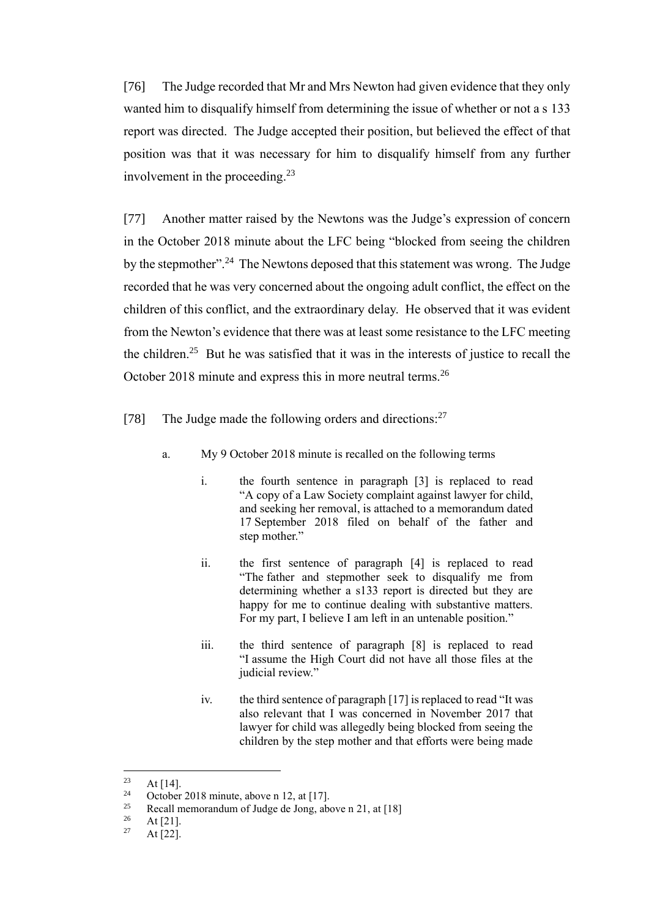[76] The Judge recorded that Mr and Mrs Newton had given evidence that they only wanted him to disqualify himself from determining the issue of whether or not a s 133 report was directed. The Judge accepted their position, but believed the effect of that position was that it was necessary for him to disqualify himself from any further involvement in the proceeding.<sup>23</sup>

[77] Another matter raised by the Newtons was the Judge's expression of concern in the October 2018 minute about the LFC being "blocked from seeing the children by the stepmother".<sup>24</sup> The Newtons deposed that this statement was wrong. The Judge recorded that he was very concerned about the ongoing adult conflict, the effect on the children of this conflict, and the extraordinary delay. He observed that it was evident from the Newton's evidence that there was at least some resistance to the LFC meeting the children.<sup>25</sup> But he was satisfied that it was in the interests of justice to recall the October 2018 minute and express this in more neutral terms.<sup>26</sup>

- [78] The Judge made the following orders and directions:<sup>27</sup>
	- a. My 9 October 2018 minute is recalled on the following terms
		- i. the fourth sentence in paragraph [3] is replaced to read "A copy of a Law Society complaint against lawyer for child, and seeking her removal, is attached to a memorandum dated 17 September 2018 filed on behalf of the father and step mother."
		- ii. the first sentence of paragraph [4] is replaced to read "The father and stepmother seek to disqualify me from determining whether a s133 report is directed but they are happy for me to continue dealing with substantive matters. For my part, I believe I am left in an untenable position."
		- iii. the third sentence of paragraph [8] is replaced to read "I assume the High Court did not have all those files at the judicial review."
		- iv. the third sentence of paragraph [17] is replaced to read "It was also relevant that I was concerned in November 2017 that lawyer for child was allegedly being blocked from seeing the children by the step mother and that efforts were being made

 $23 \text{ At } [14].$ <br>  $24 \text{ October}$ 

<sup>&</sup>lt;sup>24</sup> October 2018 minute, above n [12,](#page-21-2) at [17].<br><sup>25</sup> Besell memorandum of Judge de Jong ab

<sup>25</sup> Recall memorandum of Judge de Jong, above n [21,](#page-23-1) at  $[18]$ <br>26 At  $[21]$ 

 $\frac{26}{27}$  At [21].

At  $[22]$ .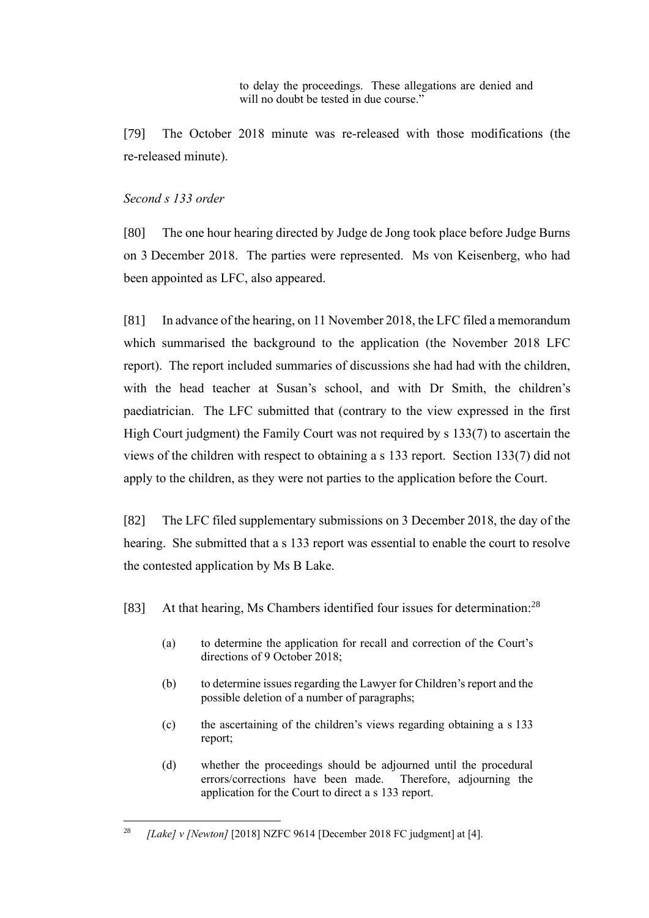to delay the proceedings. These allegations are denied and will no doubt be tested in due course."

[79] The October 2018 minute was re-released with those modifications (the re-released minute).

# <span id="page-25-0"></span>*Second s 133 order*

[80] The one hour hearing directed by Judge de Jong took place before Judge Burns on 3 December 2018. The parties were represented. Ms von Keisenberg, who had been appointed as LFC, also appeared.

[81] In advance of the hearing, on 11 November 2018, the LFC filed a memorandum which summarised the background to the application (the November 2018 LFC report). The report included summaries of discussions she had had with the children, with the head teacher at Susan's school, and with Dr Smith, the children's paediatrician. The LFC submitted that (contrary to the view expressed in the first High Court judgment) the Family Court was not required by s 133(7) to ascertain the views of the children with respect to obtaining a s 133 report. Section 133(7) did not apply to the children, as they were not parties to the application before the Court.

[82] The LFC filed supplementary submissions on 3 December 2018, the day of the hearing. She submitted that a s 133 report was essential to enable the court to resolve the contested application by Ms B Lake.

[83] At that hearing, Ms Chambers identified four issues for determination:<sup>28</sup>

- (a) to determine the application for recall and correction of the Court's directions of 9 October 2018;
- (b) to determine issues regarding the Lawyer for Children's report and the possible deletion of a number of paragraphs;
- (c) the ascertaining of the children's views regarding obtaining a s 133 report;
- (d) whether the proceedings should be adjourned until the procedural errors/corrections have been made. Therefore, adjourning the application for the Court to direct a s 133 report.

<sup>28</sup> *[Lake] v [Newton]* [2018] NZFC 9614 [December 2018 FC judgment] at [4].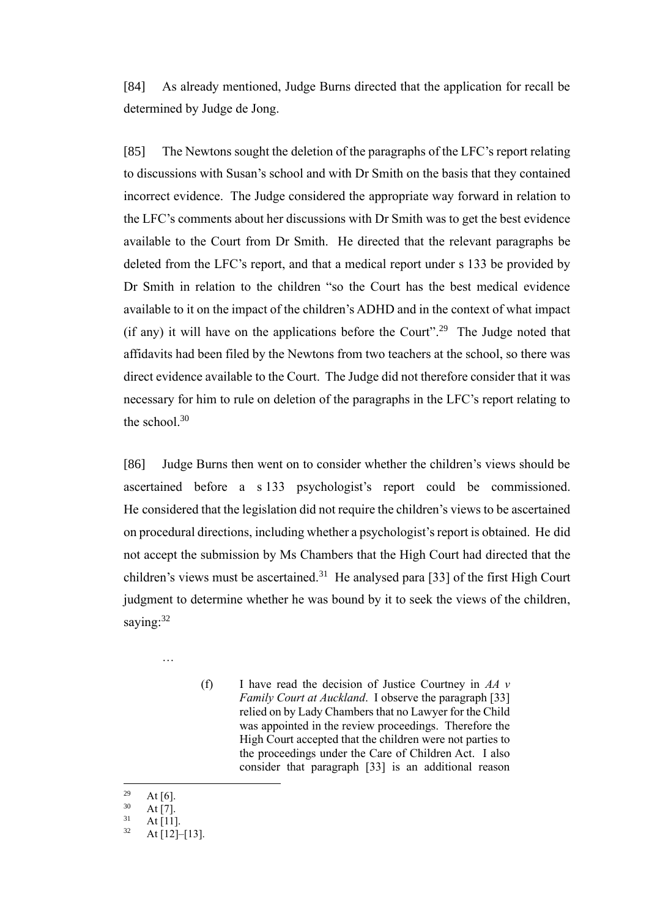[84] As already mentioned, Judge Burns directed that the application for recall be determined by Judge de Jong.

[85] The Newtons sought the deletion of the paragraphs of the LFC's report relating to discussions with Susan's school and with Dr Smith on the basis that they contained incorrect evidence. The Judge considered the appropriate way forward in relation to the LFC's comments about her discussions with Dr Smith was to get the best evidence available to the Court from Dr Smith. He directed that the relevant paragraphs be deleted from the LFC's report, and that a medical report under s 133 be provided by Dr Smith in relation to the children "so the Court has the best medical evidence available to it on the impact of the children's ADHD and in the context of what impact (if any) it will have on the applications before the Court".<sup>29</sup> The Judge noted that affidavits had been filed by the Newtons from two teachers at the school, so there was direct evidence available to the Court. The Judge did not therefore consider that it was necessary for him to rule on deletion of the paragraphs in the LFC's report relating to the school. $30$ 

[86] Judge Burns then went on to consider whether the children's views should be ascertained before a s 133 psychologist's report could be commissioned. He considered that the legislation did not require the children's views to be ascertained on procedural directions, including whether a psychologist's report is obtained. He did not accept the submission by Ms Chambers that the High Court had directed that the children's views must be ascertained.<sup>31</sup> He analysed para [33] of the first High Court judgment to determine whether he was bound by it to seek the views of the children, saying:<sup>32</sup>

…

(f) I have read the decision of Justice Courtney in *AA v Family Court at Auckland*. I observe the paragraph [33] relied on by Lady Chambers that no Lawyer for the Child was appointed in the review proceedings. Therefore the High Court accepted that the children were not parties to the proceedings under the Care of Children Act. I also consider that paragraph [33] is an additional reason

 $\frac{29}{30}$  At [6].

 $\frac{30}{31}$  At [7].

 $31$  At [11].

At  $[12]$ – $[13]$ .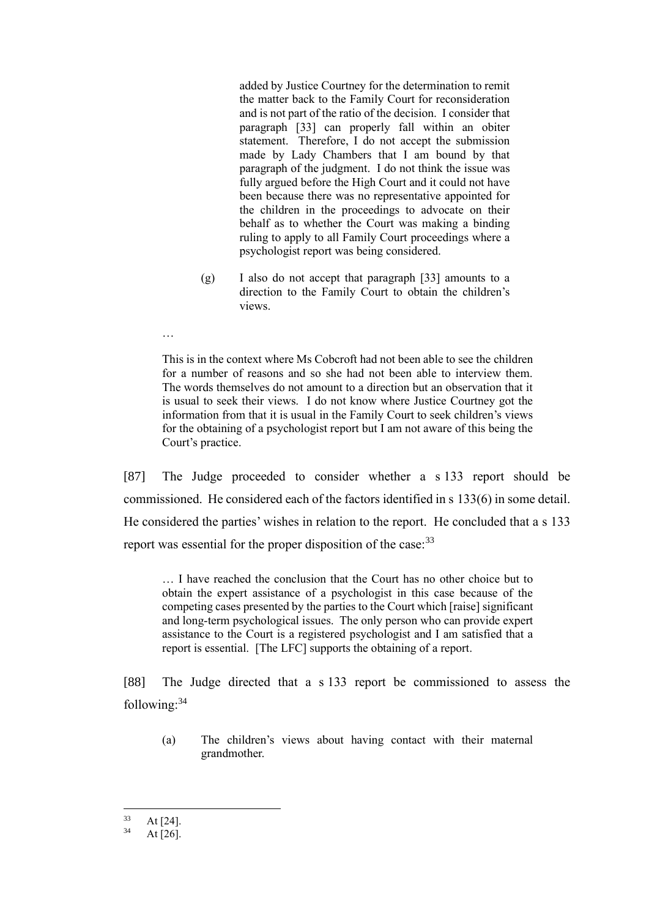added by Justice Courtney for the determination to remit the matter back to the Family Court for reconsideration and is not part of the ratio of the decision. I consider that paragraph [33] can properly fall within an obiter statement. Therefore, I do not accept the submission made by Lady Chambers that I am bound by that paragraph of the judgment. I do not think the issue was fully argued before the High Court and it could not have been because there was no representative appointed for the children in the proceedings to advocate on their behalf as to whether the Court was making a binding ruling to apply to all Family Court proceedings where a psychologist report was being considered.

- (g) I also do not accept that paragraph [33] amounts to a direction to the Family Court to obtain the children's views.
- …

This is in the context where Ms Cobcroft had not been able to see the children for a number of reasons and so she had not been able to interview them. The words themselves do not amount to a direction but an observation that it is usual to seek their views. I do not know where Justice Courtney got the information from that it is usual in the Family Court to seek children's views for the obtaining of a psychologist report but I am not aware of this being the Court's practice.

[87] The Judge proceeded to consider whether a s 133 report should be commissioned. He considered each of the factors identified in s 133(6) in some detail. He considered the parties' wishes in relation to the report. He concluded that a s 133 report was essential for the proper disposition of the case:<sup>33</sup>

… I have reached the conclusion that the Court has no other choice but to obtain the expert assistance of a psychologist in this case because of the competing cases presented by the parties to the Court which [raise] significant and long-term psychological issues. The only person who can provide expert assistance to the Court is a registered psychologist and I am satisfied that a report is essential. [The LFC] supports the obtaining of a report.

[88] The Judge directed that a s 133 report be commissioned to assess the following:<sup>34</sup>

(a) The children's views about having contact with their maternal grandmother.

 $33$  At [24].

At  $[26]$ .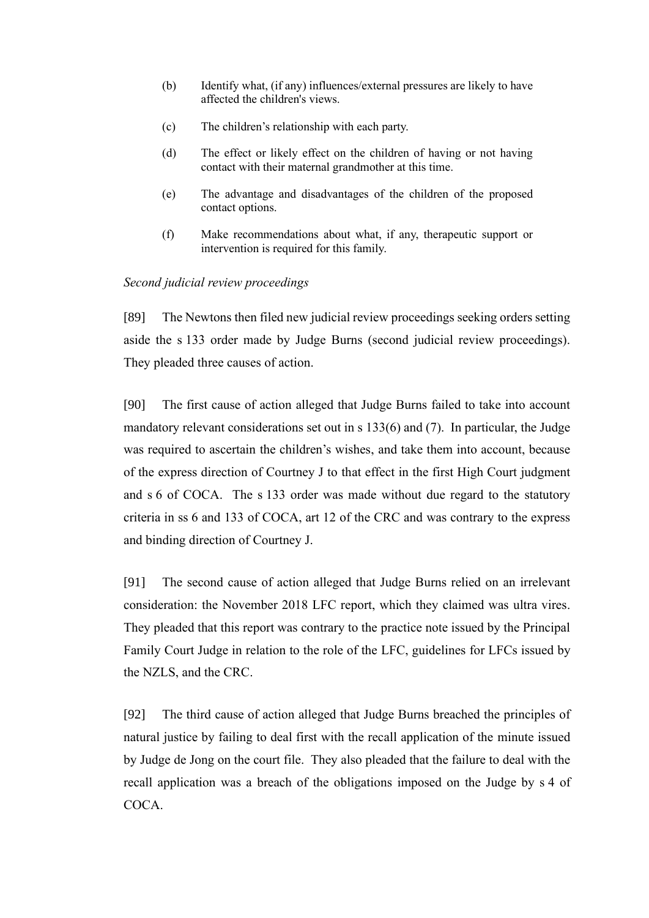- (b) Identify what, (if any) influences/external pressures are likely to have affected the children's views.
- (c) The children's relationship with each party.
- (d) The effect or likely effect on the children of having or not having contact with their maternal grandmother at this time.
- (e) The advantage and disadvantages of the children of the proposed contact options.
- (f) Make recommendations about what, if any, therapeutic support or intervention is required for this family.

## <span id="page-28-0"></span>*Second judicial review proceedings*

[89] The Newtons then filed new judicial review proceedings seeking orders setting aside the s 133 order made by Judge Burns (second judicial review proceedings). They pleaded three causes of action.

[90] The first cause of action alleged that Judge Burns failed to take into account mandatory relevant considerations set out in s 133(6) and (7). In particular, the Judge was required to ascertain the children's wishes, and take them into account, because of the express direction of Courtney J to that effect in the first High Court judgment and s 6 of COCA. The s 133 order was made without due regard to the statutory criteria in ss 6 and 133 of COCA, art 12 of the CRC and was contrary to the express and binding direction of Courtney J.

[91] The second cause of action alleged that Judge Burns relied on an irrelevant consideration: the November 2018 LFC report, which they claimed was ultra vires. They pleaded that this report was contrary to the practice note issued by the Principal Family Court Judge in relation to the role of the LFC, guidelines for LFCs issued by the NZLS, and the CRC.

[92] The third cause of action alleged that Judge Burns breached the principles of natural justice by failing to deal first with the recall application of the minute issued by Judge de Jong on the court file. They also pleaded that the failure to deal with the recall application was a breach of the obligations imposed on the Judge by s 4 of COCA.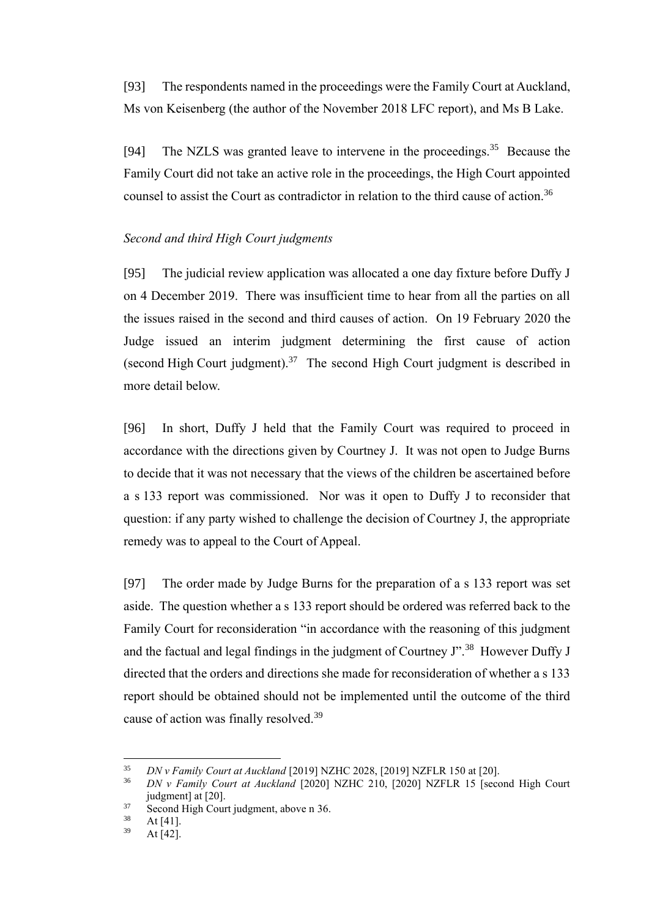[93] The respondents named in the proceedings were the Family Court at Auckland, Ms von Keisenberg (the author of the November 2018 LFC report), and Ms B Lake.

<span id="page-29-1"></span>[94] The NZLS was granted leave to intervene in the proceedings.<sup>35</sup> Because the Family Court did not take an active role in the proceedings, the High Court appointed counsel to assist the Court as contradictor in relation to the third cause of action.<sup>36</sup>

### <span id="page-29-0"></span>*Second and third High Court judgments*

[95] The judicial review application was allocated a one day fixture before Duffy J on 4 December 2019. There was insufficient time to hear from all the parties on all the issues raised in the second and third causes of action. On 19 February 2020 the Judge issued an interim judgment determining the first cause of action (second High Court judgment). $37$  The second High Court judgment is described in more detail below.

[96] In short, Duffy J held that the Family Court was required to proceed in accordance with the directions given by Courtney J. It was not open to Judge Burns to decide that it was not necessary that the views of the children be ascertained before a s 133 report was commissioned. Nor was it open to Duffy J to reconsider that question: if any party wished to challenge the decision of Courtney J, the appropriate remedy was to appeal to the Court of Appeal.

[97] The order made by Judge Burns for the preparation of a s 133 report was set aside. The question whether a s 133 report should be ordered was referred back to the Family Court for reconsideration "in accordance with the reasoning of this judgment and the factual and legal findings in the judgment of Courtney J".<sup>38</sup> However Duffy J directed that the orders and directions she made for reconsideration of whether a s 133 report should be obtained should not be implemented until the outcome of the third cause of action was finally resolved.<sup>39</sup>

<sup>35</sup> *DN v Family Court at Auckland* [2019] NZHC 2028, [2019] NZFLR 150 at [20].

<sup>36</sup> *DN v Family Court at Auckland* [2020] NZHC 210, [2020] NZFLR 15 [second High Court judgment] at [20].

 $37$  Second High Court judgment, above n [36.](#page-29-1)

 $38$  At [41].

At  $[42]$ .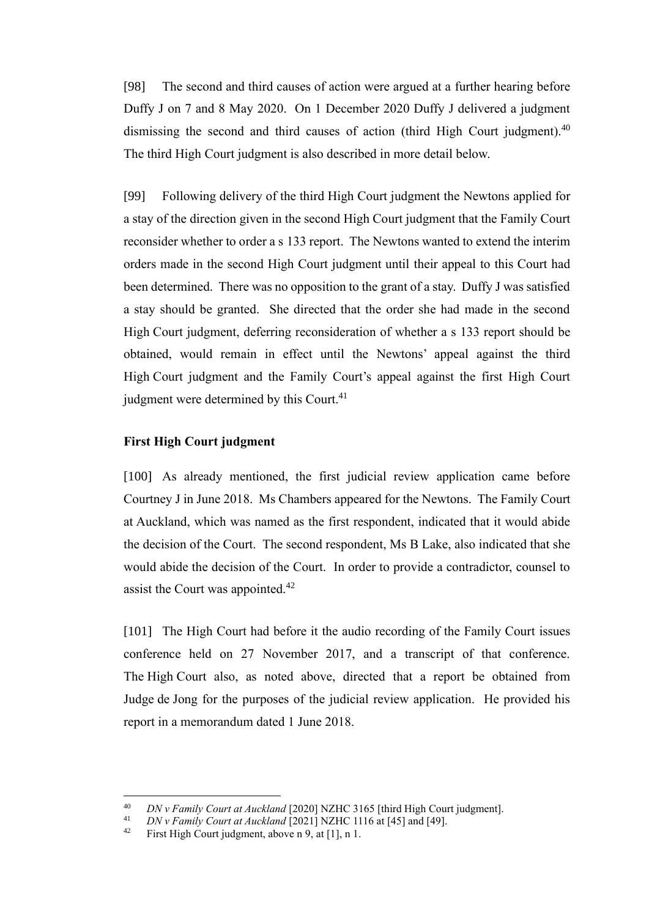[98] The second and third causes of action were argued at a further hearing before Duffy J on 7 and 8 May 2020. On 1 December 2020 Duffy J delivered a judgment dismissing the second and third causes of action (third High Court judgment).<sup>40</sup> The third High Court judgment is also described in more detail below.

[99] Following delivery of the third High Court judgment the Newtons applied for a stay of the direction given in the second High Court judgment that the Family Court reconsider whether to order a s 133 report. The Newtons wanted to extend the interim orders made in the second High Court judgment until their appeal to this Court had been determined. There was no opposition to the grant of a stay. Duffy J was satisfied a stay should be granted. She directed that the order she had made in the second High Court judgment, deferring reconsideration of whether a s 133 report should be obtained, would remain in effect until the Newtons' appeal against the third High Court judgment and the Family Court's appeal against the first High Court judgment were determined by this Court.<sup>41</sup>

## <span id="page-30-0"></span>**First High Court judgment**

[100] As already mentioned, the first judicial review application came before Courtney J in June 2018. Ms Chambers appeared for the Newtons. The Family Court at Auckland, which was named as the first respondent, indicated that it would abide the decision of the Court. The second respondent, Ms B Lake, also indicated that she would abide the decision of the Court. In order to provide a contradictor, counsel to assist the Court was appointed.<sup>42</sup>

[101] The High Court had before it the audio recording of the Family Court issues conference held on 27 November 2017, and a transcript of that conference. The High Court also, as noted above, directed that a report be obtained from Judge de Jong for the purposes of the judicial review application. He provided his report in a memorandum dated 1 June 2018.

<sup>40</sup> *DN v Family Court at Auckland* [2020] NZHC 3165 [third High Court judgment].

<sup>&</sup>lt;sup>41</sup> *DN v Family Court at Auckland*  $\left[2021\right]$  NZHC 1116 at  $\left[45\right]$  and  $\left[49\right]$ .<br><sup>42</sup> First High Court judgment, above n 9, at [11, n 1]

First High Court judgment, above n [9,](#page-21-3) at [1], n 1.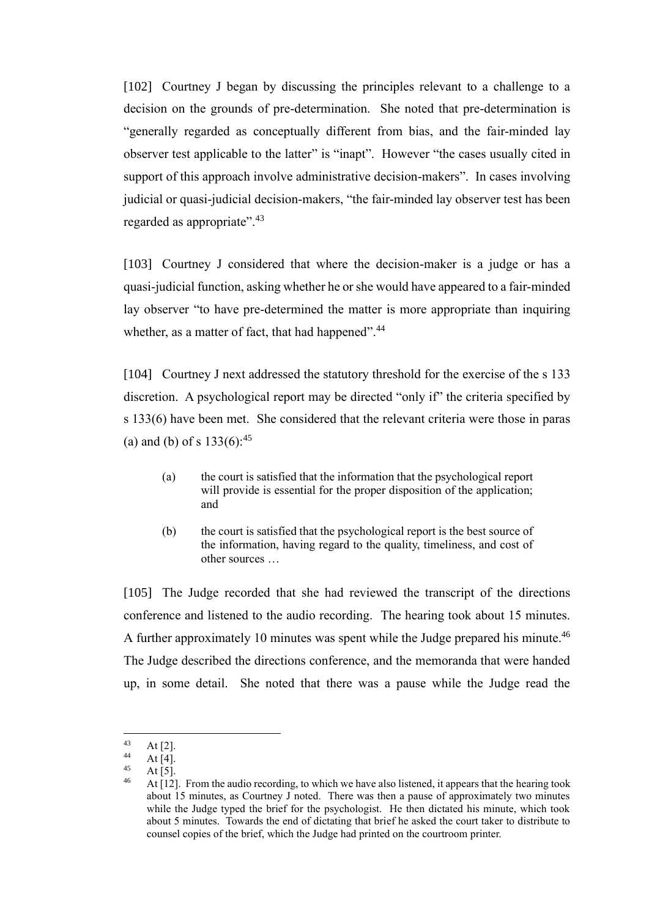[102] Courtney J began by discussing the principles relevant to a challenge to a decision on the grounds of pre-determination. She noted that pre-determination is "generally regarded as conceptually different from bias, and the fair-minded lay observer test applicable to the latter" is "inapt". However "the cases usually cited in support of this approach involve administrative decision-makers". In cases involving judicial or quasi-judicial decision-makers, "the fair-minded lay observer test has been regarded as appropriate".<sup>43</sup>

[103] Courtney J considered that where the decision-maker is a judge or has a quasi-judicial function, asking whether he or she would have appeared to a fair-minded lay observer "to have pre-determined the matter is more appropriate than inquiring whether, as a matter of fact, that had happened".<sup>44</sup>

[104] Courtney J next addressed the statutory threshold for the exercise of the s 133 discretion. A psychological report may be directed "only if" the criteria specified by s 133(6) have been met. She considered that the relevant criteria were those in paras (a) and (b) of s  $133(6)$ :<sup>45</sup>

- (a) the court is satisfied that the information that the psychological report will provide is essential for the proper disposition of the application; and
- (b) the court is satisfied that the psychological report is the best source of the information, having regard to the quality, timeliness, and cost of other sources …

[105] The Judge recorded that she had reviewed the transcript of the directions conference and listened to the audio recording. The hearing took about 15 minutes. A further approximately 10 minutes was spent while the Judge prepared his minute. $46$ The Judge described the directions conference, and the memoranda that were handed up, in some detail. She noted that there was a pause while the Judge read the

 $43$  At [2].

 $44$  At [4].

 $45$  At [5].

<sup>46</sup> At [12]. From the audio recording, to which we have also listened, it appears that the hearing took about 15 minutes, as Courtney J noted. There was then a pause of approximately two minutes while the Judge typed the brief for the psychologist. He then dictated his minute, which took about 5 minutes. Towards the end of dictating that brief he asked the court taker to distribute to counsel copies of the brief, which the Judge had printed on the courtroom printer.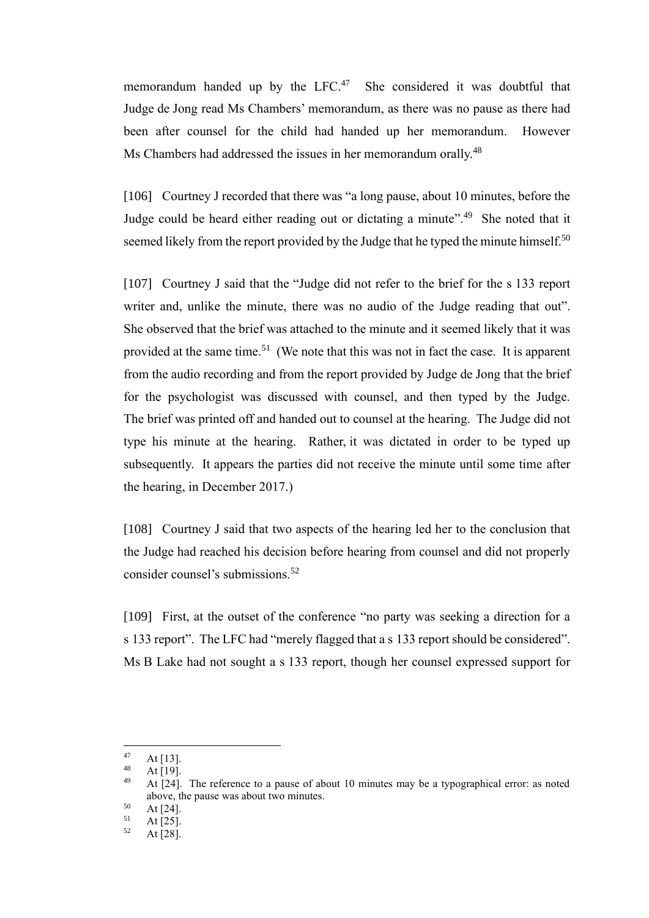memorandum handed up by the LFC.<sup>47</sup> She considered it was doubtful that Judge de Jong read Ms Chambers' memorandum, as there was no pause as there had been after counsel for the child had handed up her memorandum. However Ms Chambers had addressed the issues in her memorandum orally.<sup>48</sup>

[106] Courtney J recorded that there was "a long pause, about 10 minutes, before the Judge could be heard either reading out or dictating a minute".<sup>49</sup> She noted that it seemed likely from the report provided by the Judge that he typed the minute himself.<sup>50</sup>

[107] Courtney J said that the "Judge did not refer to the brief for the s 133 report writer and, unlike the minute, there was no audio of the Judge reading that out". She observed that the brief was attached to the minute and it seemed likely that it was provided at the same time.<sup>51</sup> (We note that this was not in fact the case. It is apparent from the audio recording and from the report provided by Judge de Jong that the brief for the psychologist was discussed with counsel, and then typed by the Judge. The brief was printed off and handed out to counsel at the hearing. The Judge did not type his minute at the hearing. Rather, it was dictated in order to be typed up subsequently. It appears the parties did not receive the minute until some time after the hearing, in December 2017.)

[108] Courtney J said that two aspects of the hearing led her to the conclusion that the Judge had reached his decision before hearing from counsel and did not properly consider counsel's submissions. 52

[109] First, at the outset of the conference "no party was seeking a direction for a s 133 report". The LFC had "merely flagged that a s 133 report should be considered". Ms B Lake had not sought a s 133 report, though her counsel expressed support for

 $47$  At [13].

 $48$  At [19].

At [24]. The reference to a pause of about 10 minutes may be a typographical error: as noted above, the pause was about two minutes.

 $50$  At [24].

 $51$  At [25].

At  $[28]$ .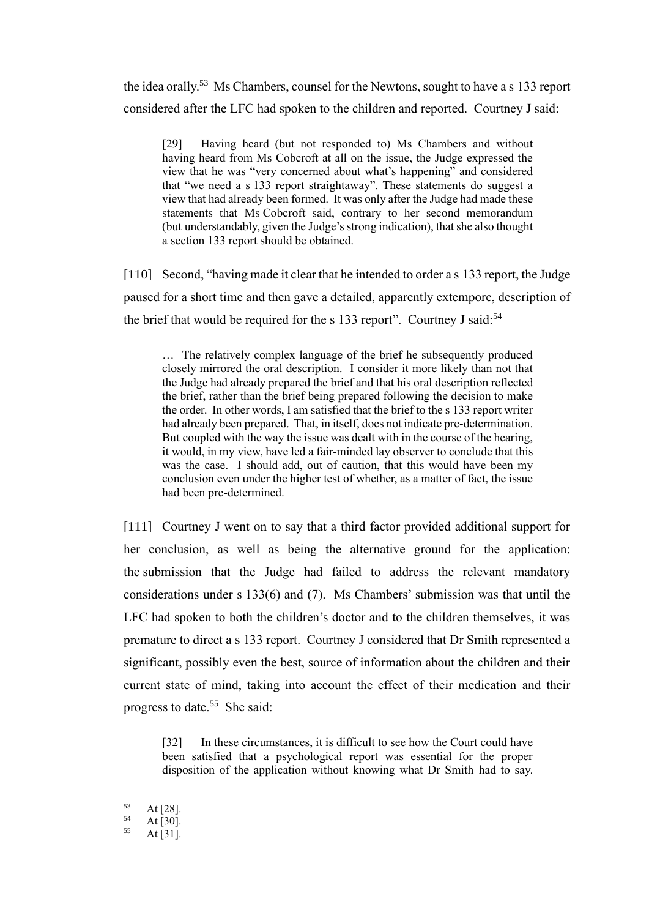the idea orally.<sup>53</sup> Ms Chambers, counsel for the Newtons, sought to have a s 133 report considered after the LFC had spoken to the children and reported. Courtney J said:

[29] Having heard (but not responded to) Ms Chambers and without having heard from Ms Cobcroft at all on the issue, the Judge expressed the view that he was "very concerned about what's happening" and considered that "we need a s 133 report straightaway". These statements do suggest a view that had already been formed. It was only after the Judge had made these statements that Ms Cobcroft said, contrary to her second memorandum (but understandably, given the Judge's strong indication), that she also thought a section 133 report should be obtained.

[110] Second, "having made it clear that he intended to order a s 133 report, the Judge paused for a short time and then gave a detailed, apparently extempore, description of the brief that would be required for the s 133 report". Courtney J said: $54$ 

… The relatively complex language of the brief he subsequently produced closely mirrored the oral description. I consider it more likely than not that the Judge had already prepared the brief and that his oral description reflected the brief, rather than the brief being prepared following the decision to make the order. In other words, I am satisfied that the brief to the s 133 report writer had already been prepared. That, in itself, does not indicate pre-determination. But coupled with the way the issue was dealt with in the course of the hearing, it would, in my view, have led a fair-minded lay observer to conclude that this was the case. I should add, out of caution, that this would have been my conclusion even under the higher test of whether, as a matter of fact, the issue had been pre-determined.

[111] Courtney J went on to say that a third factor provided additional support for her conclusion, as well as being the alternative ground for the application: the submission that the Judge had failed to address the relevant mandatory considerations under s 133(6) and (7). Ms Chambers' submission was that until the LFC had spoken to both the children's doctor and to the children themselves, it was premature to direct a s 133 report. Courtney J considered that Dr Smith represented a significant, possibly even the best, source of information about the children and their current state of mind, taking into account the effect of their medication and their progress to date.<sup>55</sup> She said:

[32] In these circumstances, it is difficult to see how the Court could have been satisfied that a psychological report was essential for the proper disposition of the application without knowing what Dr Smith had to say.

 $53$  At [28].

 $54$  At [30].

At  $[31]$ .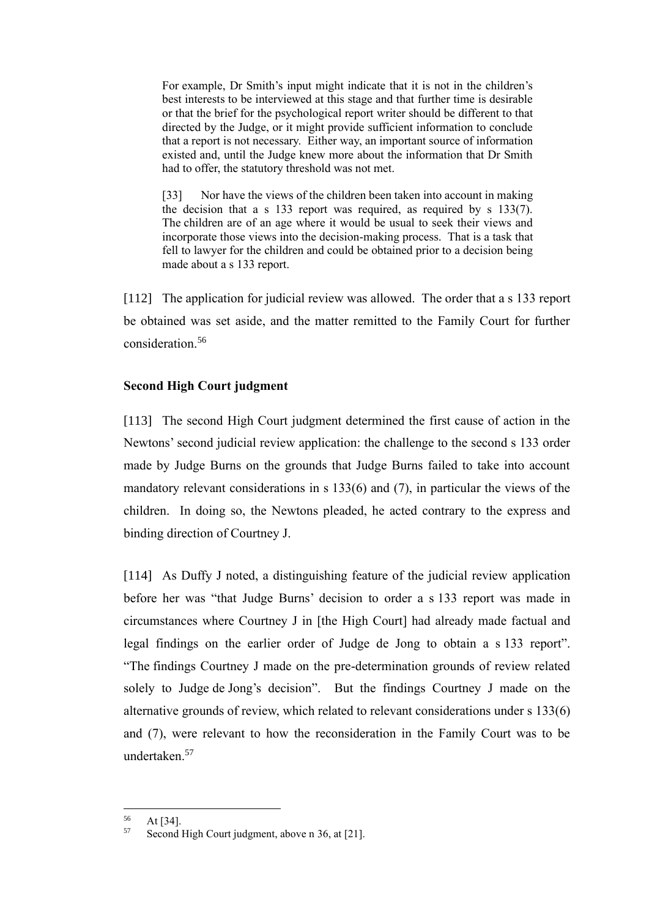For example, Dr Smith's input might indicate that it is not in the children's best interests to be interviewed at this stage and that further time is desirable or that the brief for the psychological report writer should be different to that directed by the Judge, or it might provide sufficient information to conclude that a report is not necessary. Either way, an important source of information existed and, until the Judge knew more about the information that Dr Smith had to offer, the statutory threshold was not met.

[33] Nor have the views of the children been taken into account in making the decision that a s 133 report was required, as required by s 133(7). The children are of an age where it would be usual to seek their views and incorporate those views into the decision-making process. That is a task that fell to lawyer for the children and could be obtained prior to a decision being made about a s 133 report.

[112] The application for judicial review was allowed. The order that a s 133 report be obtained was set aside, and the matter remitted to the Family Court for further consideration.<sup>56</sup>

## <span id="page-34-0"></span>**Second High Court judgment**

[113] The second High Court judgment determined the first cause of action in the Newtons' second judicial review application: the challenge to the second s 133 order made by Judge Burns on the grounds that Judge Burns failed to take into account mandatory relevant considerations in s 133(6) and (7), in particular the views of the children. In doing so, the Newtons pleaded, he acted contrary to the express and binding direction of Courtney J.

[114] As Duffy J noted, a distinguishing feature of the judicial review application before her was "that Judge Burns' decision to order a s 133 report was made in circumstances where Courtney J in [the High Court] had already made factual and legal findings on the earlier order of Judge de Jong to obtain a s 133 report". "The findings Courtney J made on the pre-determination grounds of review related solely to Judge de Jong's decision". But the findings Courtney J made on the alternative grounds of review, which related to relevant considerations under s 133(6) and (7), were relevant to how the reconsideration in the Family Court was to be undertaken.<sup>57</sup>

 $56$  At [34].<br> $57$  Second

Second High Court judgment, above n [36,](#page-29-1) at [21].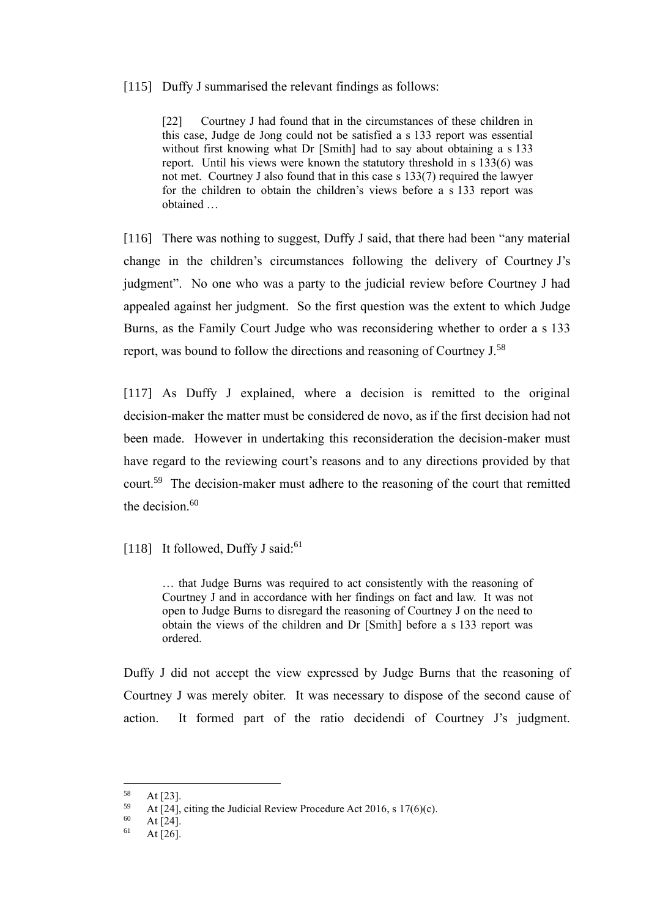### [115] Duffy J summarised the relevant findings as follows:

[22] Courtney J had found that in the circumstances of these children in this case, Judge de Jong could not be satisfied a s 133 report was essential without first knowing what Dr [Smith] had to say about obtaining a s 133 report. Until his views were known the statutory threshold in s 133(6) was not met. Courtney J also found that in this case s 133(7) required the lawyer for the children to obtain the children's views before a s 133 report was obtained …

[116] There was nothing to suggest, Duffy J said, that there had been "any material change in the children's circumstances following the delivery of Courtney J's judgment". No one who was a party to the judicial review before Courtney J had appealed against her judgment. So the first question was the extent to which Judge Burns, as the Family Court Judge who was reconsidering whether to order a s 133 report, was bound to follow the directions and reasoning of Courtney J.<sup>58</sup>

[117] As Duffy J explained, where a decision is remitted to the original decision-maker the matter must be considered de novo, as if the first decision had not been made. However in undertaking this reconsideration the decision-maker must have regard to the reviewing court's reasons and to any directions provided by that court.<sup>59</sup> The decision-maker must adhere to the reasoning of the court that remitted the decision. $60$ 

[118] It followed, Duffy J said:<sup>61</sup>

… that Judge Burns was required to act consistently with the reasoning of Courtney J and in accordance with her findings on fact and law. It was not open to Judge Burns to disregard the reasoning of Courtney J on the need to obtain the views of the children and Dr [Smith] before a s 133 report was ordered.

Duffy J did not accept the view expressed by Judge Burns that the reasoning of Courtney J was merely obiter. It was necessary to dispose of the second cause of action. It formed part of the ratio decidendi of Courtney J's judgment.

 $58$  At [23].

<sup>&</sup>lt;sup>59</sup> At [24], citing the Judicial Review Procedure Act 2016, s 17(6)(c).<br><sup>60</sup> At [24]

 $\begin{array}{cc}\n 60 \\
61 \\
41\n \end{array}$  At [24].

At  $[26]$ .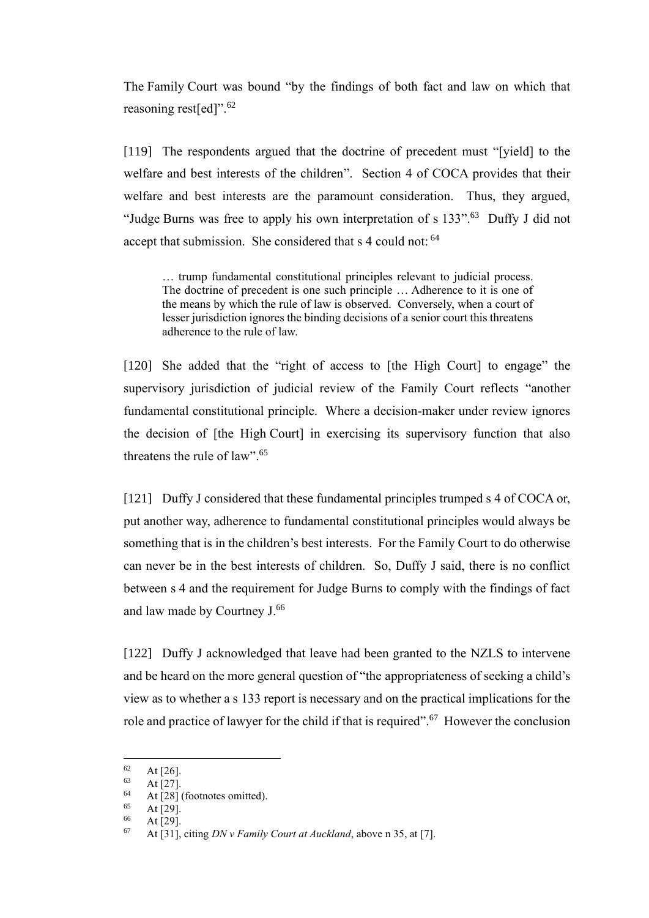The Family Court was bound "by the findings of both fact and law on which that reasoning rest[ed]".<sup>62</sup>

[119] The respondents argued that the doctrine of precedent must "[yield] to the welfare and best interests of the children". Section 4 of COCA provides that their welfare and best interests are the paramount consideration. Thus, they argued, "Judge Burns was free to apply his own interpretation of s 133".<sup>63</sup> Duffy J did not accept that submission. She considered that s 4 could not: <sup>64</sup>

… trump fundamental constitutional principles relevant to judicial process. The doctrine of precedent is one such principle … Adherence to it is one of the means by which the rule of law is observed. Conversely, when a court of lesser jurisdiction ignores the binding decisions of a senior court this threatens adherence to the rule of law.

[120] She added that the "right of access to [the High Court] to engage" the supervisory jurisdiction of judicial review of the Family Court reflects "another fundamental constitutional principle. Where a decision-maker under review ignores the decision of [the High Court] in exercising its supervisory function that also threatens the rule of law". 65

[121] Duffy J considered that these fundamental principles trumped s 4 of COCA or, put another way, adherence to fundamental constitutional principles would always be something that is in the children's best interests. For the Family Court to do otherwise can never be in the best interests of children. So, Duffy J said, there is no conflict between s 4 and the requirement for Judge Burns to comply with the findings of fact and law made by Courtney J.<sup>66</sup>

[122] Duffy J acknowledged that leave had been granted to the NZLS to intervene and be heard on the more general question of "the appropriateness of seeking a child's view as to whether a s 133 report is necessary and on the practical implications for the role and practice of lawyer for the child if that is required".<sup>67</sup> However the conclusion

 $\begin{bmatrix} 62 \\ 63 \end{bmatrix}$  At [26].

 $\begin{array}{c} 63 \\ 64 \end{array}$  At [27].

<sup>&</sup>lt;sup>64</sup> At [28] (footnotes omitted).

 $\frac{65}{66}$  At [29].

At  $[29]$ .

<sup>67</sup> At [31], citing *DN v Family Court at Auckland*, above n [35,](#page-29-0) at [7].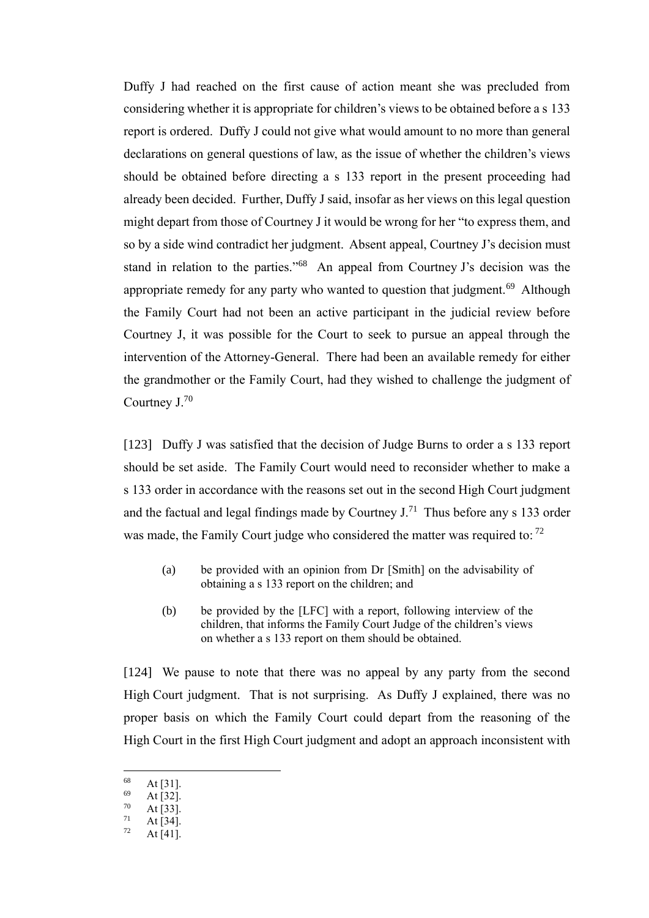Duffy J had reached on the first cause of action meant she was precluded from considering whether it is appropriate for children's views to be obtained before a s 133 report is ordered. Duffy J could not give what would amount to no more than general declarations on general questions of law, as the issue of whether the children's views should be obtained before directing a s 133 report in the present proceeding had already been decided. Further, Duffy J said, insofar as her views on this legal question might depart from those of Courtney J it would be wrong for her "to express them, and so by a side wind contradict her judgment. Absent appeal, Courtney J's decision must stand in relation to the parties."<sup>68</sup> An appeal from Courtney J's decision was the appropriate remedy for any party who wanted to question that judgment.<sup>69</sup> Although the Family Court had not been an active participant in the judicial review before Courtney J, it was possible for the Court to seek to pursue an appeal through the intervention of the Attorney-General. There had been an available remedy for either the grandmother or the Family Court, had they wished to challenge the judgment of Courtney J.<sup>70</sup>

[123] Duffy J was satisfied that the decision of Judge Burns to order a s 133 report should be set aside. The Family Court would need to reconsider whether to make a s 133 order in accordance with the reasons set out in the second High Court judgment and the factual and legal findings made by Courtney  $J^{1}$ . Thus before any s 133 order was made, the Family Court judge who considered the matter was required to:  $72$ 

- (a) be provided with an opinion from Dr [Smith] on the advisability of obtaining a s 133 report on the children; and
- (b) be provided by the [LFC] with a report, following interview of the children, that informs the Family Court Judge of the children's views on whether a s 133 report on them should be obtained.

[124] We pause to note that there was no appeal by any party from the second High Court judgment. That is not surprising. As Duffy J explained, there was no proper basis on which the Family Court could depart from the reasoning of the High Court in the first High Court judgment and adopt an approach inconsistent with

 $\begin{array}{c} 68 \\ 69 \\ 111 \\ 69 \end{array}$  At [31].

 $\frac{69}{70}$  At [32].

 $\frac{70}{71}$  At [33].

 $\frac{71}{72}$  At [34].

At  $[41]$ .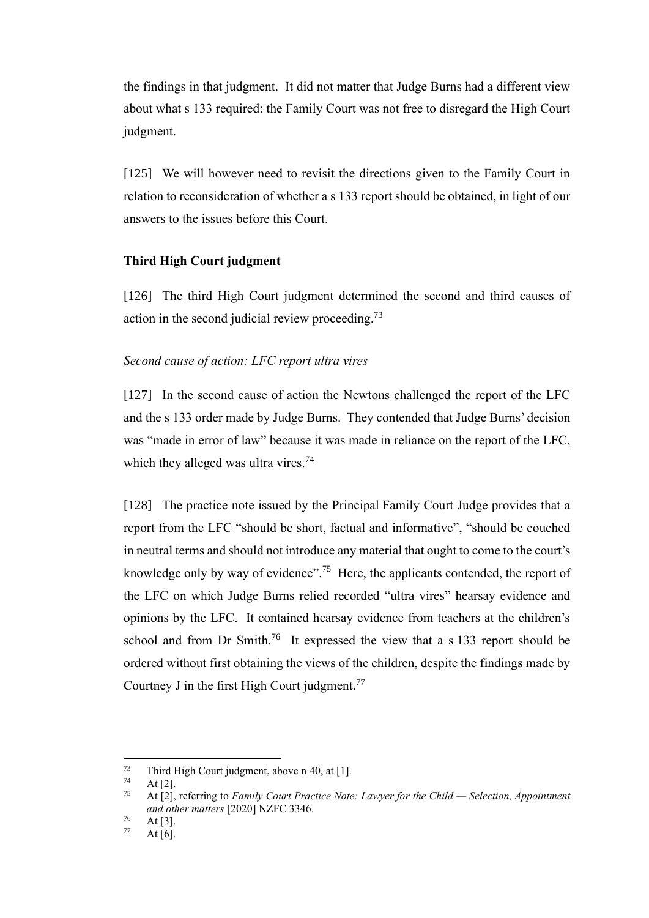the findings in that judgment. It did not matter that Judge Burns had a different view about what s 133 required: the Family Court was not free to disregard the High Court judgment.

[125] We will however need to revisit the directions given to the Family Court in relation to reconsideration of whether a s 133 report should be obtained, in light of our answers to the issues before this Court.

### **Third High Court judgment**

[126] The third High Court judgment determined the second and third causes of action in the second judicial review proceeding.<sup>73</sup>

#### *Second cause of action: LFC report ultra vires*

[127] In the second cause of action the Newtons challenged the report of the LFC and the s 133 order made by Judge Burns. They contended that Judge Burns' decision was "made in error of law" because it was made in reliance on the report of the LFC, which they alleged was ultra vires. $74$ 

[128] The practice note issued by the Principal Family Court Judge provides that a report from the LFC "should be short, factual and informative", "should be couched in neutral terms and should not introduce any material that ought to come to the court's knowledge only by way of evidence".<sup>75</sup> Here, the applicants contended, the report of the LFC on which Judge Burns relied recorded "ultra vires" hearsay evidence and opinions by the LFC. It contained hearsay evidence from teachers at the children's school and from Dr Smith.<sup>76</sup> It expressed the view that a s 133 report should be ordered without first obtaining the views of the children, despite the findings made by Courtney J in the first High Court judgment.<sup>77</sup>

 $^{73}$  Third High Court judgment, above n [40,](#page-30-0) at [1].

At  $[2]$ .

<sup>75</sup> At [2], referring to *Family Court Practice Note: Lawyer for the Child — Selection, Appointment and other matters* [2020] NZFC 3346.

 $\frac{76}{77}$  At [3].

At  $[6]$ .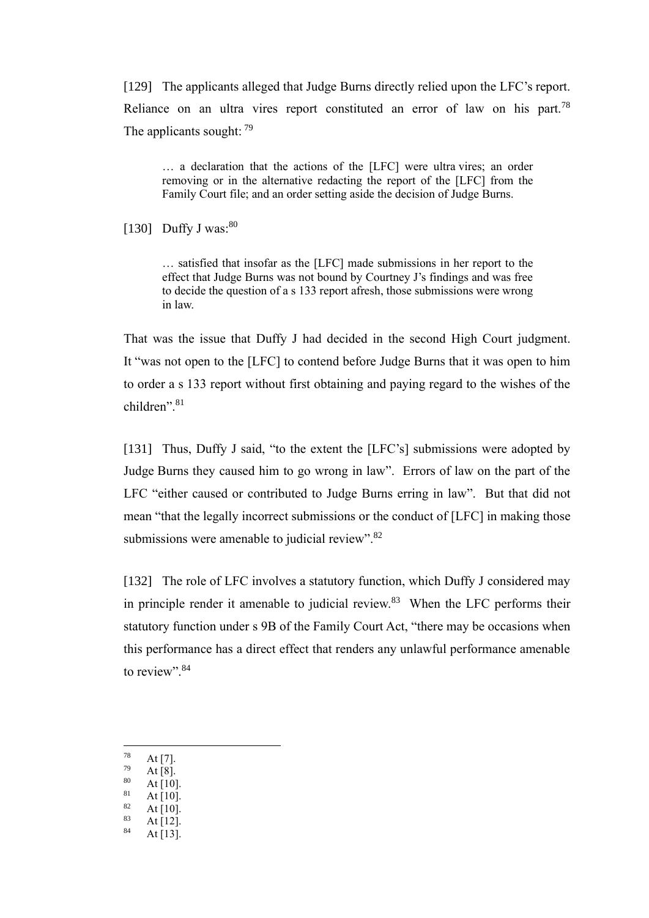[129] The applicants alleged that Judge Burns directly relied upon the LFC's report. Reliance on an ultra vires report constituted an error of law on his part.<sup>78</sup> The applicants sought: 79

… a declaration that the actions of the [LFC] were ultra vires; an order removing or in the alternative redacting the report of the [LFC] from the Family Court file; and an order setting aside the decision of Judge Burns.

[130] Duffy J was: $80$ 

… satisfied that insofar as the [LFC] made submissions in her report to the effect that Judge Burns was not bound by Courtney J's findings and was free to decide the question of a s 133 report afresh, those submissions were wrong in law.

That was the issue that Duffy J had decided in the second High Court judgment. It "was not open to the [LFC] to contend before Judge Burns that it was open to him to order a s 133 report without first obtaining and paying regard to the wishes of the children". 81

[131] Thus, Duffy J said, "to the extent the [LFC's] submissions were adopted by Judge Burns they caused him to go wrong in law". Errors of law on the part of the LFC "either caused or contributed to Judge Burns erring in law". But that did not mean "that the legally incorrect submissions or the conduct of [LFC] in making those submissions were amenable to judicial review".<sup>82</sup>

[132] The role of LFC involves a statutory function, which Duffy J considered may in principle render it amenable to judicial review. $83$  When the LFC performs their statutory function under s 9B of the Family Court Act, "there may be occasions when this performance has a direct effect that renders any unlawful performance amenable to review".<sup>84</sup>

- $\frac{78}{79}$  At [7].
- $\frac{79}{80}$  At [8].
- At  $[10]$ .
- $81$  At [10].
- $\frac{82}{83}$  At [10].
- $\frac{83}{84}$  At [12].
- At  $[13]$ .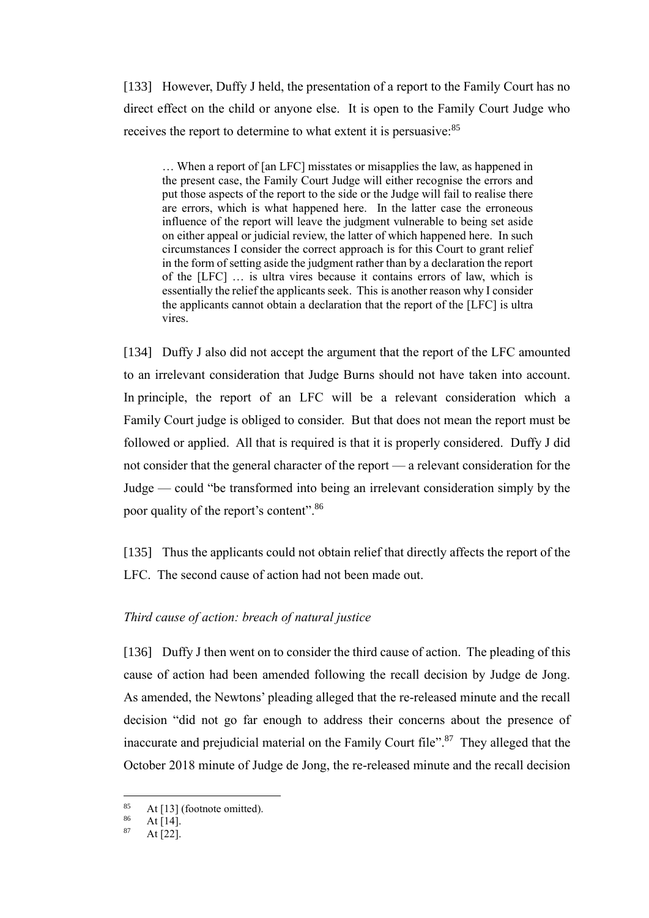[133] However, Duffy J held, the presentation of a report to the Family Court has no direct effect on the child or anyone else. It is open to the Family Court Judge who receives the report to determine to what extent it is persuasive:<sup>85</sup>

… When a report of [an LFC] misstates or misapplies the law, as happened in the present case, the Family Court Judge will either recognise the errors and put those aspects of the report to the side or the Judge will fail to realise there are errors, which is what happened here. In the latter case the erroneous influence of the report will leave the judgment vulnerable to being set aside on either appeal or judicial review, the latter of which happened here. In such circumstances I consider the correct approach is for this Court to grant relief in the form of setting aside the judgment rather than by a declaration the report of the [LFC] … is ultra vires because it contains errors of law, which is essentially the relief the applicants seek. This is another reason why I consider the applicants cannot obtain a declaration that the report of the [LFC] is ultra vires.

[134] Duffy J also did not accept the argument that the report of the LFC amounted to an irrelevant consideration that Judge Burns should not have taken into account. In principle, the report of an LFC will be a relevant consideration which a Family Court judge is obliged to consider. But that does not mean the report must be followed or applied. All that is required is that it is properly considered. Duffy J did not consider that the general character of the report — a relevant consideration for the Judge — could "be transformed into being an irrelevant consideration simply by the poor quality of the report's content".<sup>86</sup>

[135] Thus the applicants could not obtain relief that directly affects the report of the LFC. The second cause of action had not been made out.

### *Third cause of action: breach of natural justice*

[136] Duffy J then went on to consider the third cause of action. The pleading of this cause of action had been amended following the recall decision by Judge de Jong. As amended, the Newtons' pleading alleged that the re-released minute and the recall decision "did not go far enough to address their concerns about the presence of inaccurate and prejudicial material on the Family Court file".<sup>87</sup> They alleged that the October 2018 minute of Judge de Jong, the re-released minute and the recall decision

<sup>&</sup>lt;sup>85</sup> At [13] (footnote omitted).

 $\frac{86}{87}$  At [14].

At  $[22]$ .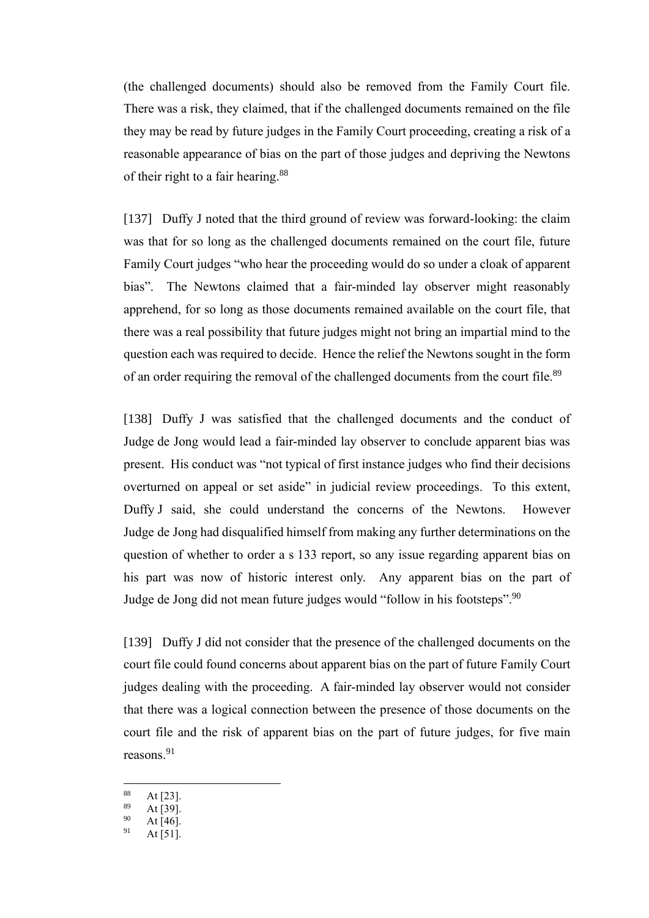(the challenged documents) should also be removed from the Family Court file. There was a risk, they claimed, that if the challenged documents remained on the file they may be read by future judges in the Family Court proceeding, creating a risk of a reasonable appearance of bias on the part of those judges and depriving the Newtons of their right to a fair hearing.<sup>88</sup>

[137] Duffy J noted that the third ground of review was forward-looking: the claim was that for so long as the challenged documents remained on the court file, future Family Court judges "who hear the proceeding would do so under a cloak of apparent bias". The Newtons claimed that a fair-minded lay observer might reasonably apprehend, for so long as those documents remained available on the court file, that there was a real possibility that future judges might not bring an impartial mind to the question each was required to decide. Hence the relief the Newtons sought in the form of an order requiring the removal of the challenged documents from the court file.<sup>89</sup>

[138] Duffy J was satisfied that the challenged documents and the conduct of Judge de Jong would lead a fair-minded lay observer to conclude apparent bias was present. His conduct was "not typical of first instance judges who find their decisions overturned on appeal or set aside" in judicial review proceedings. To this extent, Duffy J said, she could understand the concerns of the Newtons. However Judge de Jong had disqualified himself from making any further determinations on the question of whether to order a s 133 report, so any issue regarding apparent bias on his part was now of historic interest only. Any apparent bias on the part of Judge de Jong did not mean future judges would "follow in his footsteps".<sup>90</sup>

[139] Duffy J did not consider that the presence of the challenged documents on the court file could found concerns about apparent bias on the part of future Family Court judges dealing with the proceeding. A fair-minded lay observer would not consider that there was a logical connection between the presence of those documents on the court file and the risk of apparent bias on the part of future judges, for five main reasons. 91

 $88$  At [23].

 $\frac{89}{90}$  At [39].

 $^{90}_{91}$  At [46].

At  $[51]$ .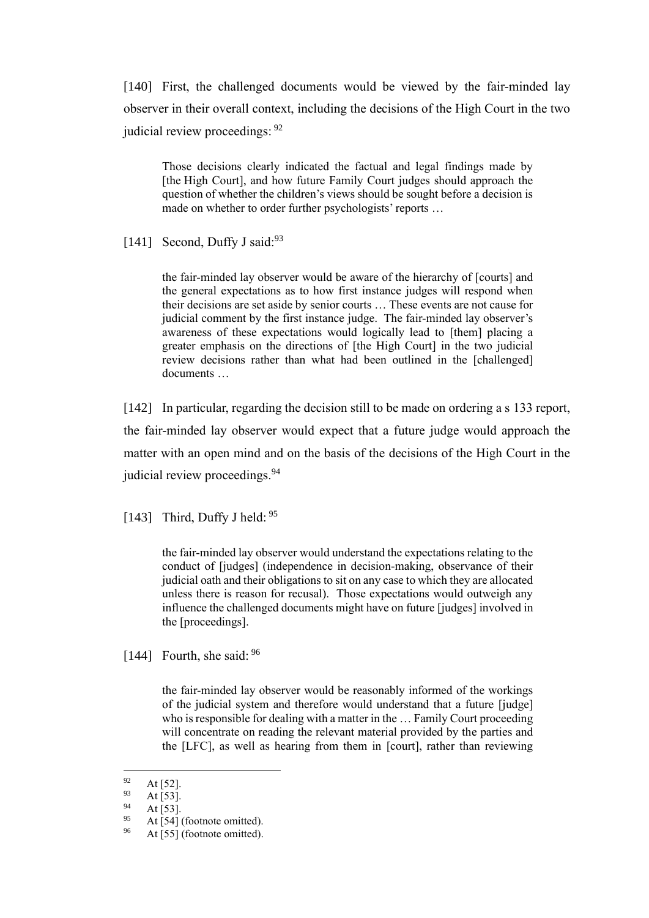[140] First, the challenged documents would be viewed by the fair-minded lay observer in their overall context, including the decisions of the High Court in the two judicial review proceedings: <sup>92</sup>

Those decisions clearly indicated the factual and legal findings made by [the High Court], and how future Family Court judges should approach the question of whether the children's views should be sought before a decision is made on whether to order further psychologists' reports …

[141] Second, Duffy J said: $93$ 

the fair-minded lay observer would be aware of the hierarchy of [courts] and the general expectations as to how first instance judges will respond when their decisions are set aside by senior courts … These events are not cause for judicial comment by the first instance judge. The fair-minded lay observer's awareness of these expectations would logically lead to [them] placing a greater emphasis on the directions of [the High Court] in the two judicial review decisions rather than what had been outlined in the [challenged] documents …

[142] In particular, regarding the decision still to be made on ordering a s 133 report, the fair-minded lay observer would expect that a future judge would approach the matter with an open mind and on the basis of the decisions of the High Court in the judicial review proceedings.<sup>94</sup>

[143] Third, Duffy J held: 95

the fair-minded lay observer would understand the expectations relating to the conduct of [judges] (independence in decision-making, observance of their judicial oath and their obligations to sit on any case to which they are allocated unless there is reason for recusal). Those expectations would outweigh any influence the challenged documents might have on future [judges] involved in the [proceedings].

[144] Fourth, she said:  $96$ 

the fair-minded lay observer would be reasonably informed of the workings of the judicial system and therefore would understand that a future [judge] who is responsible for dealing with a matter in the … Family Court proceeding will concentrate on reading the relevant material provided by the parties and the [LFC], as well as hearing from them in [court], rather than reviewing

 $\frac{92}{93}$  At [52].

At [53].

 $^{94}$  At [53].

At [54] (footnote omitted).

 $96$  At [55] (footnote omitted).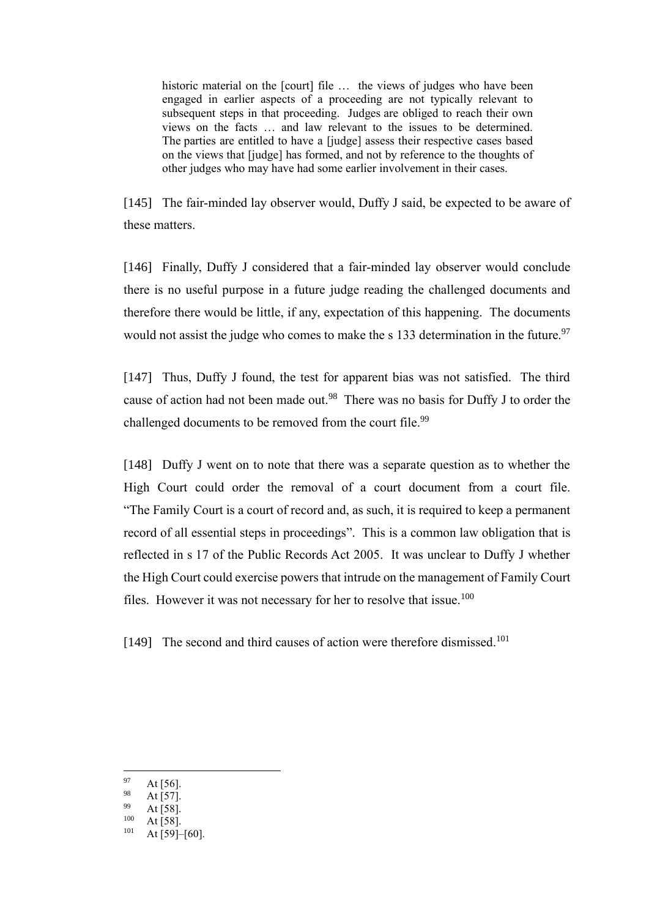historic material on the [court] file … the views of judges who have been engaged in earlier aspects of a proceeding are not typically relevant to subsequent steps in that proceeding. Judges are obliged to reach their own views on the facts … and law relevant to the issues to be determined. The parties are entitled to have a [judge] assess their respective cases based on the views that [judge] has formed, and not by reference to the thoughts of other judges who may have had some earlier involvement in their cases.

[145] The fair-minded lay observer would, Duffy J said, be expected to be aware of these matters.

[146] Finally, Duffy J considered that a fair-minded lay observer would conclude there is no useful purpose in a future judge reading the challenged documents and therefore there would be little, if any, expectation of this happening. The documents would not assist the judge who comes to make the s  $133$  determination in the future.<sup>97</sup>

[147] Thus, Duffy J found, the test for apparent bias was not satisfied. The third cause of action had not been made out.<sup>98</sup> There was no basis for Duffy J to order the challenged documents to be removed from the court file.<sup>99</sup>

[148] Duffy J went on to note that there was a separate question as to whether the High Court could order the removal of a court document from a court file. "The Family Court is a court of record and, as such, it is required to keep a permanent record of all essential steps in proceedings". This is a common law obligation that is reflected in s 17 of the Public Records Act 2005. It was unclear to Duffy J whether the High Court could exercise powers that intrude on the management of Family Court files. However it was not necessary for her to resolve that issue.<sup>100</sup>

[149] The second and third causes of action were therefore dismissed.<sup>101</sup>

 $97$  At [56].

 $98$  At [57].

 $^{99}$  At [58].

 $\frac{100}{101}$  At [58].

At  $[59]$ – $[60]$ .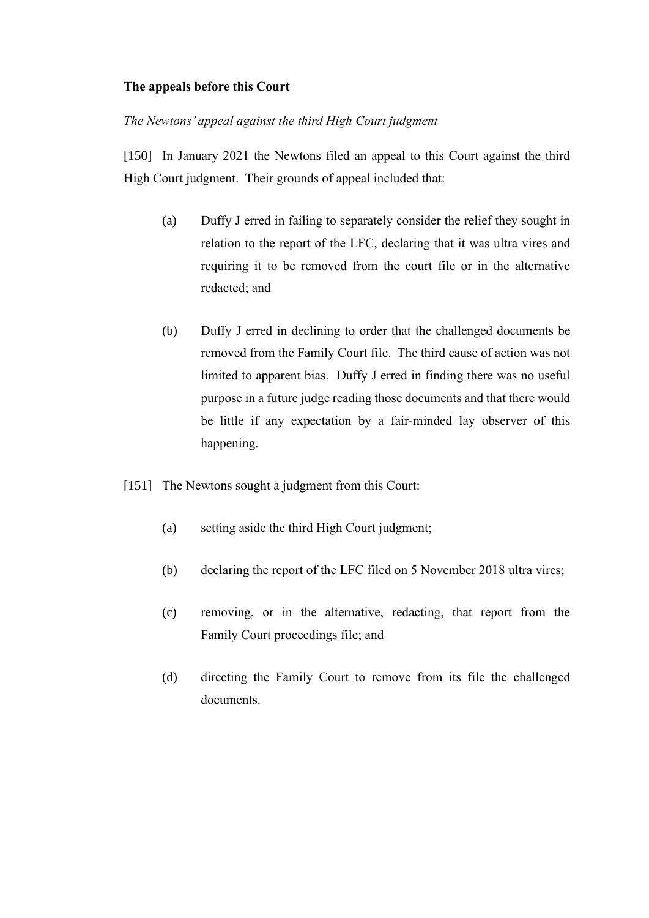## **The appeals before this Court**

## *The Newtons' appeal against the third High Court judgment*

[150] In January 2021 the Newtons filed an appeal to this Court against the third High Court judgment. Their grounds of appeal included that:

- (a) Duffy J erred in failing to separately consider the relief they sought in relation to the report of the LFC, declaring that it was ultra vires and requiring it to be removed from the court file or in the alternative redacted; and
- (b) Duffy J erred in declining to order that the challenged documents be removed from the Family Court file. The third cause of action was not limited to apparent bias. Duffy J erred in finding there was no useful purpose in a future judge reading those documents and that there would be little if any expectation by a fair-minded lay observer of this happening.
- [151] The Newtons sought a judgment from this Court:
	- (a) setting aside the third High Court judgment;
	- (b) declaring the report of the LFC filed on 5 November 2018 ultra vires;
	- (c) removing, or in the alternative, redacting, that report from the Family Court proceedings file; and
	- (d) directing the Family Court to remove from its file the challenged documents.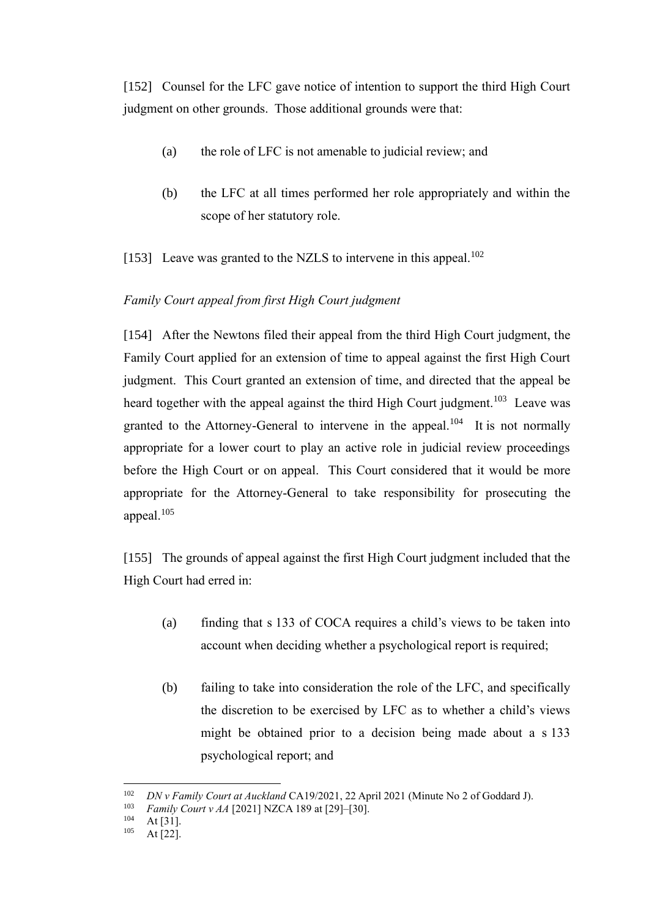[152] Counsel for the LFC gave notice of intention to support the third High Court judgment on other grounds. Those additional grounds were that:

- (a) the role of LFC is not amenable to judicial review; and
- (b) the LFC at all times performed her role appropriately and within the scope of her statutory role.
- [153] Leave was granted to the NZLS to intervene in this appeal.<sup>102</sup>

## *Family Court appeal from first High Court judgment*

[154] After the Newtons filed their appeal from the third High Court judgment, the Family Court applied for an extension of time to appeal against the first High Court judgment. This Court granted an extension of time, and directed that the appeal be heard together with the appeal against the third High Court judgment.<sup>103</sup> Leave was granted to the Attorney-General to intervene in the appeal.<sup>104</sup> It is not normally appropriate for a lower court to play an active role in judicial review proceedings before the High Court or on appeal. This Court considered that it would be more appropriate for the Attorney-General to take responsibility for prosecuting the appeal.<sup>105</sup>

[155] The grounds of appeal against the first High Court judgment included that the High Court had erred in:

- (a) finding that s 133 of COCA requires a child's views to be taken into account when deciding whether a psychological report is required;
- (b) failing to take into consideration the role of the LFC, and specifically the discretion to be exercised by LFC as to whether a child's views might be obtained prior to a decision being made about a s 133 psychological report; and

<sup>102</sup> *DN v Family Court at Auckland* CA19/2021, 22 April 2021 (Minute No 2 of Goddard J).

<sup>&</sup>lt;sup>103</sup> *Family Court v AA* [2021] NZCA 189 at [29]–[30].

 $104$  At [31].

At  $[22]$ .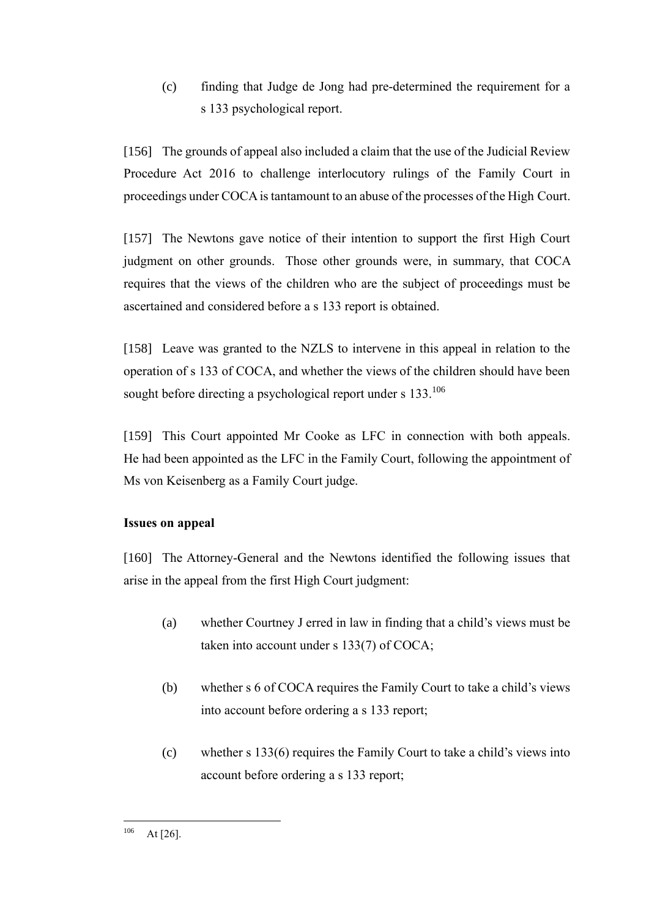(c) finding that Judge de Jong had pre-determined the requirement for a s 133 psychological report.

[156] The grounds of appeal also included a claim that the use of the Judicial Review Procedure Act 2016 to challenge interlocutory rulings of the Family Court in proceedings under COCA is tantamount to an abuse of the processes of the High Court.

[157] The Newtons gave notice of their intention to support the first High Court judgment on other grounds. Those other grounds were, in summary, that COCA requires that the views of the children who are the subject of proceedings must be ascertained and considered before a s 133 report is obtained.

[158] Leave was granted to the NZLS to intervene in this appeal in relation to the operation of s 133 of COCA, and whether the views of the children should have been sought before directing a psychological report under s 133.<sup>106</sup>

[159] This Court appointed Mr Cooke as LFC in connection with both appeals. He had been appointed as the LFC in the Family Court, following the appointment of Ms von Keisenberg as a Family Court judge.

# **Issues on appeal**

[160] The Attorney-General and the Newtons identified the following issues that arise in the appeal from the first High Court judgment:

- (a) whether Courtney J erred in law in finding that a child's views must be taken into account under s 133(7) of COCA;
- (b) whether s 6 of COCA requires the Family Court to take a child's views into account before ordering a s 133 report;
- (c) whether s 133(6) requires the Family Court to take a child's views into account before ordering a s 133 report;

 $106$  At [26].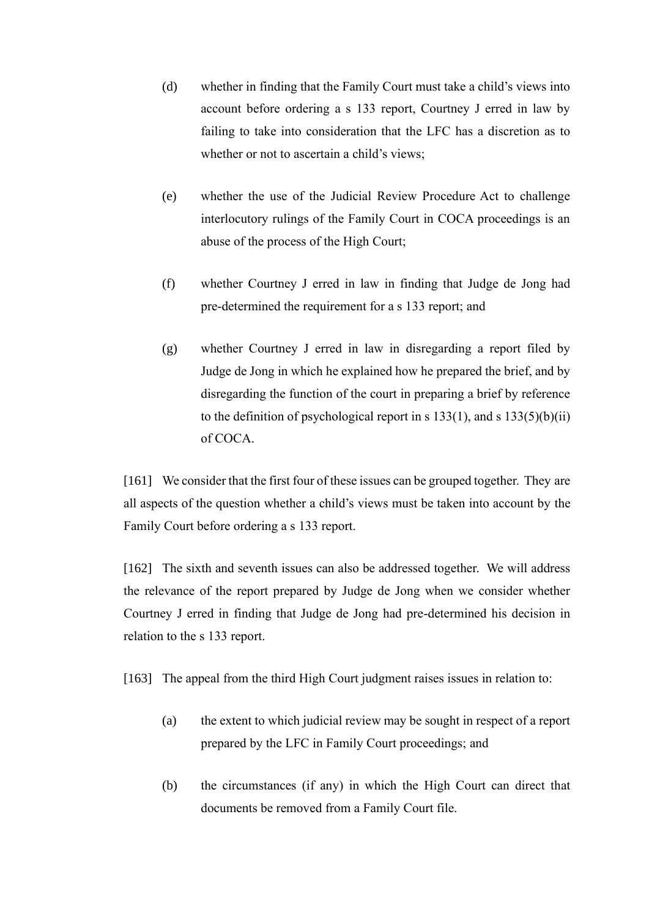- (d) whether in finding that the Family Court must take a child's views into account before ordering a s 133 report, Courtney J erred in law by failing to take into consideration that the LFC has a discretion as to whether or not to ascertain a child's views;
- (e) whether the use of the Judicial Review Procedure Act to challenge interlocutory rulings of the Family Court in COCA proceedings is an abuse of the process of the High Court;
- (f) whether Courtney J erred in law in finding that Judge de Jong had pre-determined the requirement for a s 133 report; and
- (g) whether Courtney J erred in law in disregarding a report filed by Judge de Jong in which he explained how he prepared the brief, and by disregarding the function of the court in preparing a brief by reference to the definition of psychological report in s  $133(1)$ , and s  $133(5)(b)(ii)$ of COCA.

[161] We consider that the first four of these issues can be grouped together. They are all aspects of the question whether a child's views must be taken into account by the Family Court before ordering a s 133 report.

[162] The sixth and seventh issues can also be addressed together. We will address the relevance of the report prepared by Judge de Jong when we consider whether Courtney J erred in finding that Judge de Jong had pre-determined his decision in relation to the s 133 report.

[163] The appeal from the third High Court judgment raises issues in relation to:

- (a) the extent to which judicial review may be sought in respect of a report prepared by the LFC in Family Court proceedings; and
- (b) the circumstances (if any) in which the High Court can direct that documents be removed from a Family Court file.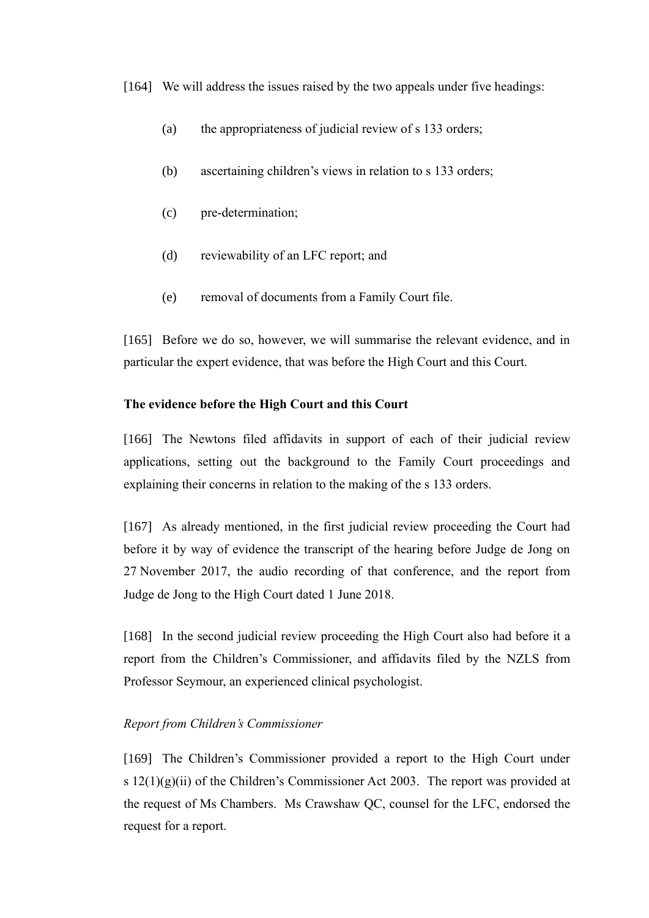[164] We will address the issues raised by the two appeals under five headings:

- (a) the appropriateness of judicial review of s 133 orders;
- (b) ascertaining children's views in relation to s 133 orders;
- (c) pre-determination;
- (d) reviewability of an LFC report; and
- (e) removal of documents from a Family Court file.

[165] Before we do so, however, we will summarise the relevant evidence, and in particular the expert evidence, that was before the High Court and this Court.

#### **The evidence before the High Court and this Court**

[166] The Newtons filed affidavits in support of each of their judicial review applications, setting out the background to the Family Court proceedings and explaining their concerns in relation to the making of the s 133 orders.

[167] As already mentioned, in the first judicial review proceeding the Court had before it by way of evidence the transcript of the hearing before Judge de Jong on 27 November 2017, the audio recording of that conference, and the report from Judge de Jong to the High Court dated 1 June 2018.

[168] In the second judicial review proceeding the High Court also had before it a report from the Children's Commissioner, and affidavits filed by the NZLS from Professor Seymour, an experienced clinical psychologist.

### *Report from Children's Commissioner*

[169] The Children's Commissioner provided a report to the High Court under s  $12(1)(g)(ii)$  of the Children's Commissioner Act 2003. The report was provided at the request of Ms Chambers. Ms Crawshaw QC, counsel for the LFC, endorsed the request for a report.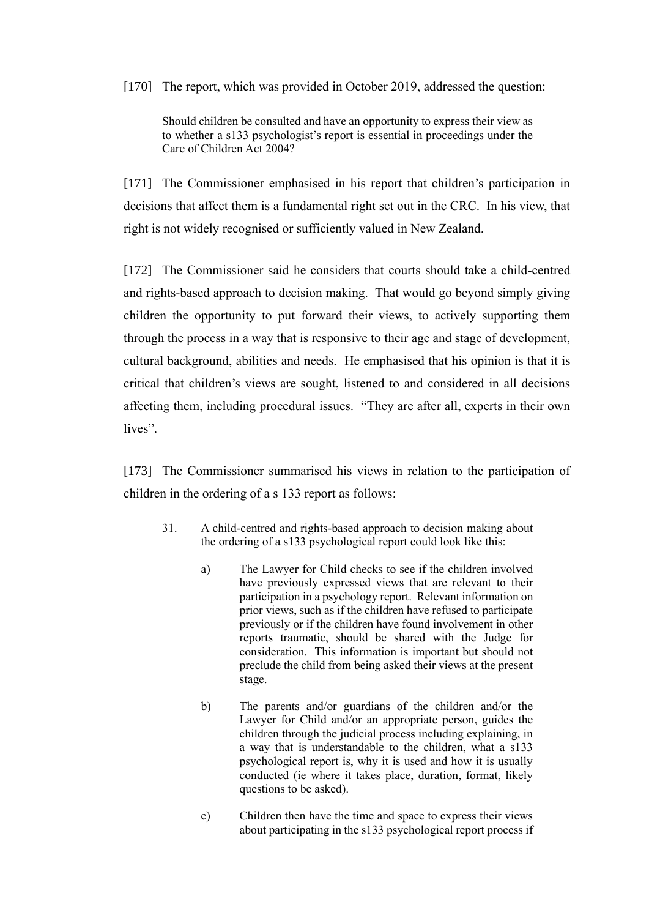[170] The report, which was provided in October 2019, addressed the question:

Should children be consulted and have an opportunity to express their view as to whether a s133 psychologist's report is essential in proceedings under the Care of Children Act 2004?

[171] The Commissioner emphasised in his report that children's participation in decisions that affect them is a fundamental right set out in the CRC. In his view, that right is not widely recognised or sufficiently valued in New Zealand.

[172] The Commissioner said he considers that courts should take a child-centred and rights-based approach to decision making. That would go beyond simply giving children the opportunity to put forward their views, to actively supporting them through the process in a way that is responsive to their age and stage of development, cultural background, abilities and needs. He emphasised that his opinion is that it is critical that children's views are sought, listened to and considered in all decisions affecting them, including procedural issues. "They are after all, experts in their own lives".

[173] The Commissioner summarised his views in relation to the participation of children in the ordering of a s 133 report as follows:

- 31. A child-centred and rights-based approach to decision making about the ordering of a s133 psychological report could look like this:
	- a) The Lawyer for Child checks to see if the children involved have previously expressed views that are relevant to their participation in a psychology report. Relevant information on prior views, such as if the children have refused to participate previously or if the children have found involvement in other reports traumatic, should be shared with the Judge for consideration. This information is important but should not preclude the child from being asked their views at the present stage.
	- b) The parents and/or guardians of the children and/or the Lawyer for Child and/or an appropriate person, guides the children through the judicial process including explaining, in a way that is understandable to the children, what a s133 psychological report is, why it is used and how it is usually conducted (ie where it takes place, duration, format, likely questions to be asked).
	- c) Children then have the time and space to express their views about participating in the s133 psychological report process if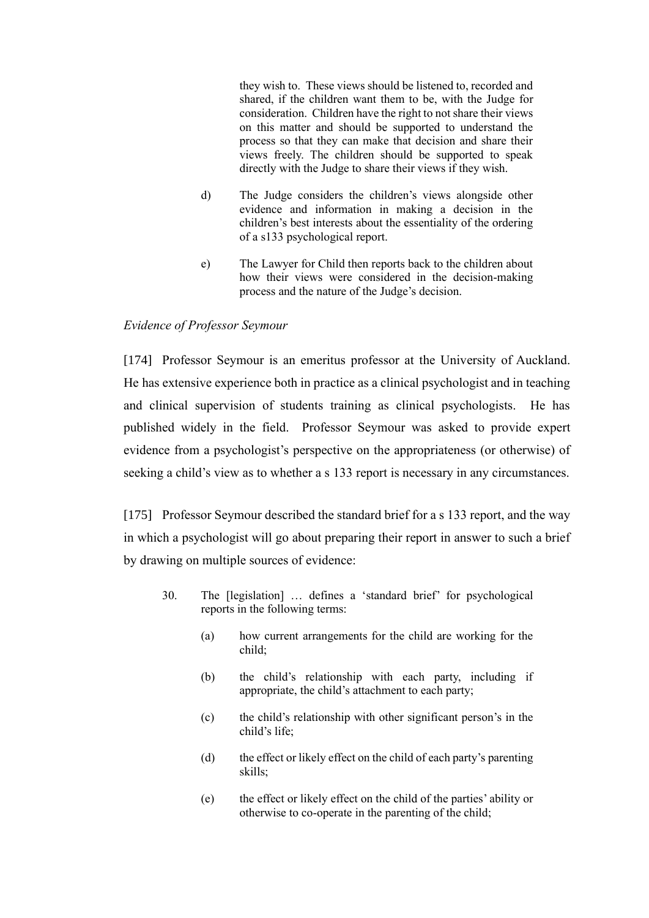they wish to. These views should be listened to, recorded and shared, if the children want them to be, with the Judge for consideration. Children have the right to not share their views on this matter and should be supported to understand the process so that they can make that decision and share their views freely. The children should be supported to speak directly with the Judge to share their views if they wish.

- d) The Judge considers the children's views alongside other evidence and information in making a decision in the children's best interests about the essentiality of the ordering of a s133 psychological report.
- e) The Lawyer for Child then reports back to the children about how their views were considered in the decision-making process and the nature of the Judge's decision.

### *Evidence of Professor Seymour*

[174] Professor Seymour is an emeritus professor at the University of Auckland. He has extensive experience both in practice as a clinical psychologist and in teaching and clinical supervision of students training as clinical psychologists. He has published widely in the field. Professor Seymour was asked to provide expert evidence from a psychologist's perspective on the appropriateness (or otherwise) of seeking a child's view as to whether a s 133 report is necessary in any circumstances.

<span id="page-50-0"></span>[175] Professor Seymour described the standard brief for a s 133 report, and the way in which a psychologist will go about preparing their report in answer to such a brief by drawing on multiple sources of evidence:

- 30. The [legislation] … defines a 'standard brief' for psychological reports in the following terms:
	- (a) how current arrangements for the child are working for the child;
	- (b) the child's relationship with each party, including if appropriate, the child's attachment to each party;
	- (c) the child's relationship with other significant person's in the child's life;
	- (d) the effect or likely effect on the child of each party's parenting skills;
	- (e) the effect or likely effect on the child of the parties' ability or otherwise to co-operate in the parenting of the child;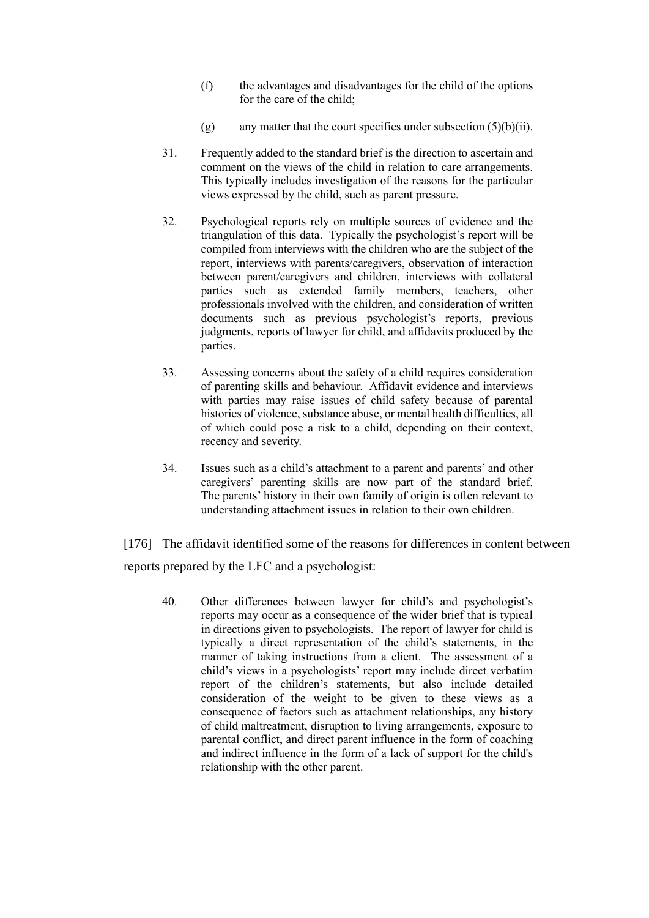- (f) the advantages and disadvantages for the child of the options for the care of the child;
- $(g)$  any matter that the court specifies under subsection  $(5)(b)(ii)$ .
- 31. Frequently added to the standard brief is the direction to ascertain and comment on the views of the child in relation to care arrangements. This typically includes investigation of the reasons for the particular views expressed by the child, such as parent pressure.
- 32. Psychological reports rely on multiple sources of evidence and the triangulation of this data. Typically the psychologist's report will be compiled from interviews with the children who are the subject of the report, interviews with parents/caregivers, observation of interaction between parent/caregivers and children, interviews with collateral parties such as extended family members, teachers, other professionals involved with the children, and consideration of written documents such as previous psychologist's reports, previous judgments, reports of lawyer for child, and affidavits produced by the parties.
- 33. Assessing concerns about the safety of a child requires consideration of parenting skills and behaviour. Affidavit evidence and interviews with parties may raise issues of child safety because of parental histories of violence, substance abuse, or mental health difficulties, all of which could pose a risk to a child, depending on their context, recency and severity.
- 34. Issues such as a child's attachment to a parent and parents' and other caregivers' parenting skills are now part of the standard brief. The parents' history in their own family of origin is often relevant to understanding attachment issues in relation to their own children.

[176] The affidavit identified some of the reasons for differences in content between reports prepared by the LFC and a psychologist:

40. Other differences between lawyer for child's and psychologist's reports may occur as a consequence of the wider brief that is typical in directions given to psychologists. The report of lawyer for child is typically a direct representation of the child's statements, in the manner of taking instructions from a client. The assessment of a child's views in a psychologists' report may include direct verbatim report of the children's statements, but also include detailed consideration of the weight to be given to these views as a consequence of factors such as attachment relationships, any history of child maltreatment, disruption to living arrangements, exposure to parental conflict, and direct parent influence in the form of coaching and indirect influence in the form of a lack of support for the child's relationship with the other parent.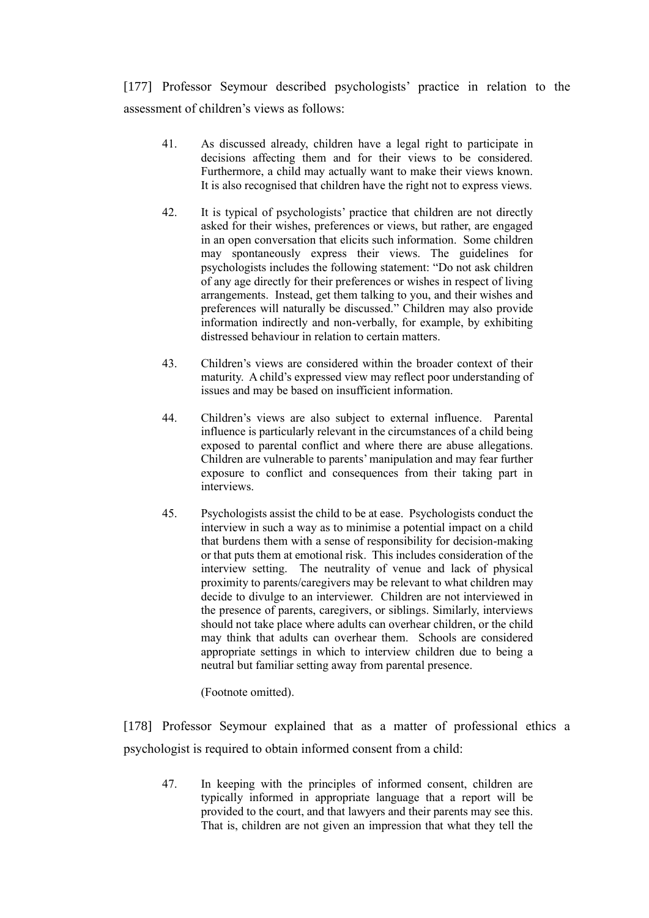[177] Professor Seymour described psychologists' practice in relation to the assessment of children's views as follows:

- 41. As discussed already, children have a legal right to participate in decisions affecting them and for their views to be considered. Furthermore, a child may actually want to make their views known. It is also recognised that children have the right not to express views.
- 42. It is typical of psychologists' practice that children are not directly asked for their wishes, preferences or views, but rather, are engaged in an open conversation that elicits such information. Some children may spontaneously express their views. The guidelines for psychologists includes the following statement: "Do not ask children of any age directly for their preferences or wishes in respect of living arrangements. Instead, get them talking to you, and their wishes and preferences will naturally be discussed." Children may also provide information indirectly and non-verbally, for example, by exhibiting distressed behaviour in relation to certain matters.
- 43. Children's views are considered within the broader context of their maturity. A child's expressed view may reflect poor understanding of issues and may be based on insufficient information.
- 44. Children's views are also subject to external influence. Parental influence is particularly relevant in the circumstances of a child being exposed to parental conflict and where there are abuse allegations. Children are vulnerable to parents'manipulation and may fear further exposure to conflict and consequences from their taking part in interviews.
- 45. Psychologists assist the child to be at ease. Psychologists conduct the interview in such a way as to minimise a potential impact on a child that burdens them with a sense of responsibility for decision-making or that puts them at emotional risk. This includes consideration of the interview setting. The neutrality of venue and lack of physical proximity to parents/caregivers may be relevant to what children may decide to divulge to an interviewer. Children are not interviewed in the presence of parents, caregivers, or siblings. Similarly, interviews should not take place where adults can overhear children, or the child may think that adults can overhear them. Schools are considered appropriate settings in which to interview children due to being a neutral but familiar setting away from parental presence.

(Footnote omitted).

[178] Professor Seymour explained that as a matter of professional ethics a psychologist is required to obtain informed consent from a child:

47. In keeping with the principles of informed consent, children are typically informed in appropriate language that a report will be provided to the court, and that lawyers and their parents may see this. That is, children are not given an impression that what they tell the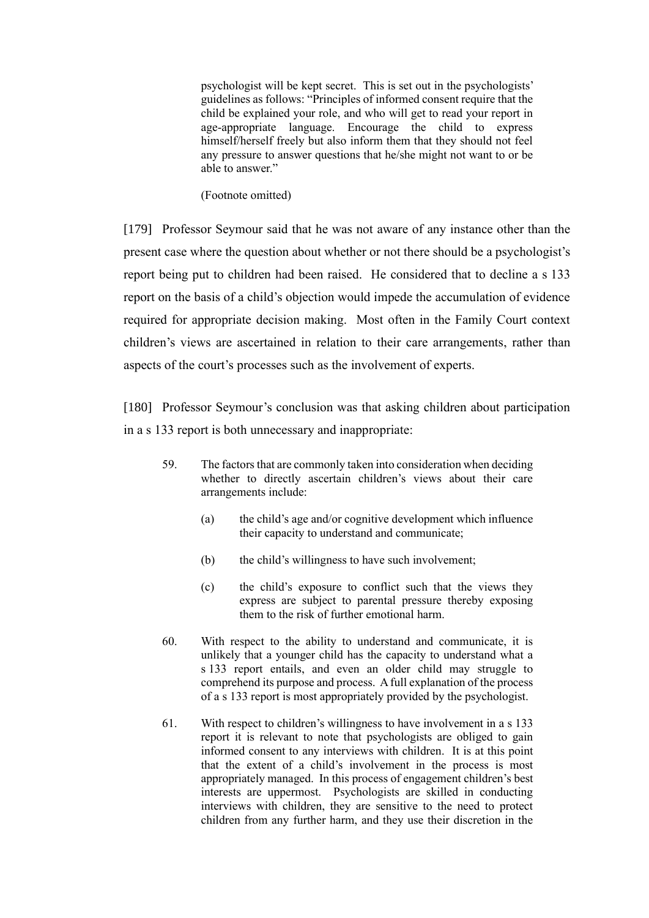psychologist will be kept secret. This is set out in the psychologists' guidelines as follows: "Principles of informed consent require that the child be explained your role, and who will get to read your report in age-appropriate language. Encourage the child to express himself/herself freely but also inform them that they should not feel any pressure to answer questions that he/she might not want to or be able to answer."

(Footnote omitted)

[179] Professor Seymour said that he was not aware of any instance other than the present case where the question about whether or not there should be a psychologist's report being put to children had been raised. He considered that to decline a s 133 report on the basis of a child's objection would impede the accumulation of evidence required for appropriate decision making. Most often in the Family Court context children's views are ascertained in relation to their care arrangements, rather than aspects of the court's processes such as the involvement of experts.

[180] Professor Seymour's conclusion was that asking children about participation in a s 133 report is both unnecessary and inappropriate:

- 59. The factors that are commonly taken into consideration when deciding whether to directly ascertain children's views about their care arrangements include:
	- (a) the child's age and/or cognitive development which influence their capacity to understand and communicate;
	- (b) the child's willingness to have such involvement;
	- (c) the child's exposure to conflict such that the views they express are subject to parental pressure thereby exposing them to the risk of further emotional harm.
- 60. With respect to the ability to understand and communicate, it is unlikely that a younger child has the capacity to understand what a s 133 report entails, and even an older child may struggle to comprehend its purpose and process. A full explanation of the process of a s 133 report is most appropriately provided by the psychologist.
- 61. With respect to children's willingness to have involvement in a s 133 report it is relevant to note that psychologists are obliged to gain informed consent to any interviews with children. It is at this point that the extent of a child's involvement in the process is most appropriately managed. In this process of engagement children's best interests are uppermost. Psychologists are skilled in conducting interviews with children, they are sensitive to the need to protect children from any further harm, and they use their discretion in the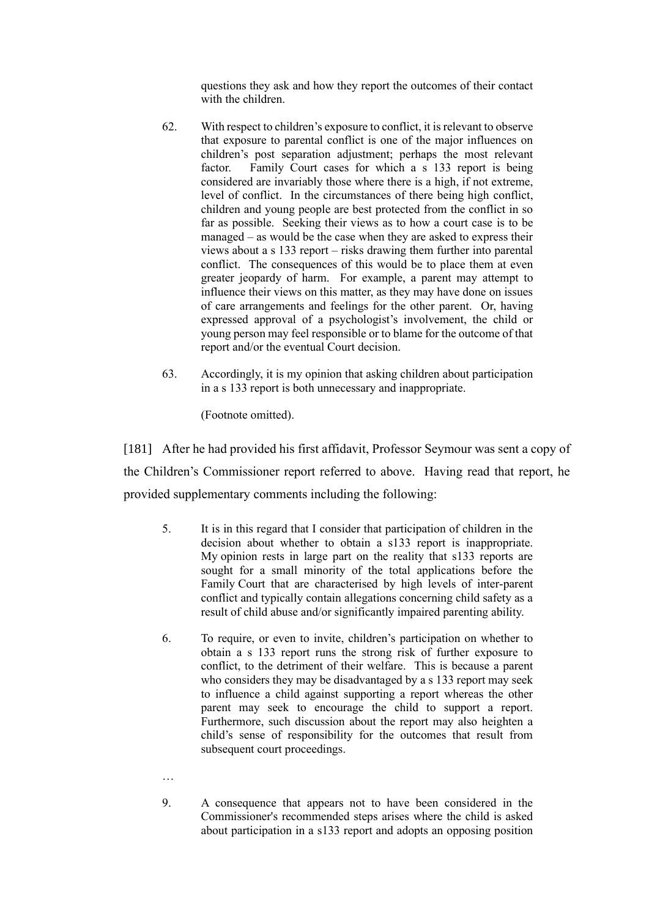questions they ask and how they report the outcomes of their contact with the children.

- 62. With respect to children's exposure to conflict, it is relevant to observe that exposure to parental conflict is one of the major influences on children's post separation adjustment; perhaps the most relevant factor. Family Court cases for which a s 133 report is being considered are invariably those where there is a high, if not extreme, level of conflict. In the circumstances of there being high conflict, children and young people are best protected from the conflict in so far as possible. Seeking their views as to how a court case is to be managed – as would be the case when they are asked to express their views about a s 133 report – risks drawing them further into parental conflict. The consequences of this would be to place them at even greater jeopardy of harm. For example, a parent may attempt to influence their views on this matter, as they may have done on issues of care arrangements and feelings for the other parent. Or, having expressed approval of a psychologist's involvement, the child or young person may feel responsible or to blame for the outcome of that report and/or the eventual Court decision.
- 63. Accordingly, it is my opinion that asking children about participation in a s 133 report is both unnecessary and inappropriate.

(Footnote omitted).

[181] After he had provided his first affidavit, Professor Seymour was sent a copy of the Children's Commissioner report referred to above. Having read that report, he provided supplementary comments including the following:

- 5. It is in this regard that I consider that participation of children in the decision about whether to obtain a s133 report is inappropriate. My opinion rests in large part on the reality that s133 reports are sought for a small minority of the total applications before the Family Court that are characterised by high levels of inter-parent conflict and typically contain allegations concerning child safety as a result of child abuse and/or significantly impaired parenting ability.
- 6. To require, or even to invite, children's participation on whether to obtain a s 133 report runs the strong risk of further exposure to conflict, to the detriment of their welfare. This is because a parent who considers they may be disadvantaged by a s 133 report may seek to influence a child against supporting a report whereas the other parent may seek to encourage the child to support a report. Furthermore, such discussion about the report may also heighten a child's sense of responsibility for the outcomes that result from subsequent court proceedings.

…

9. A consequence that appears not to have been considered in the Commissioner's recommended steps arises where the child is asked about participation in a s133 report and adopts an opposing position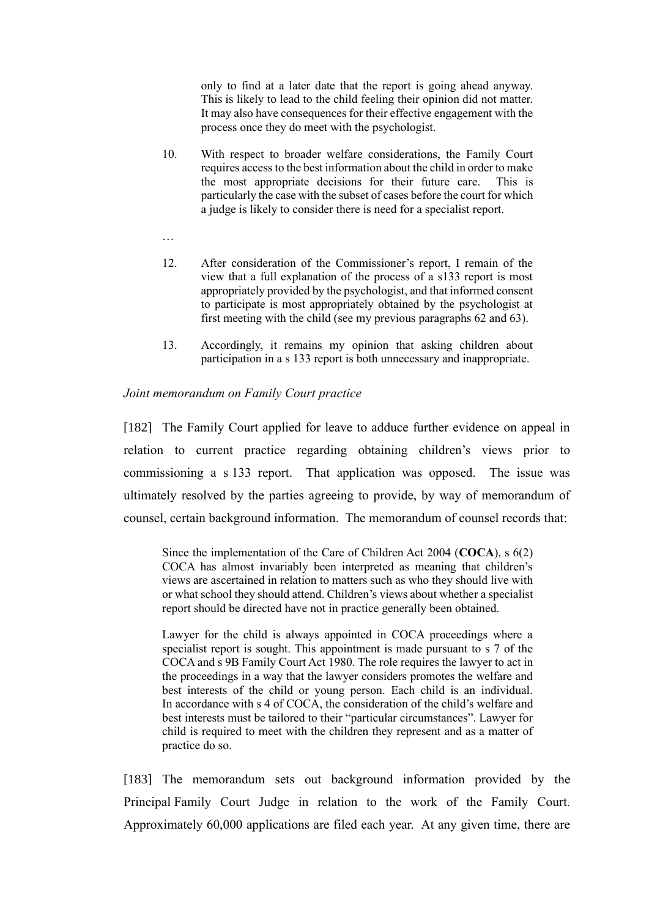only to find at a later date that the report is going ahead anyway. This is likely to lead to the child feeling their opinion did not matter. It may also have consequences for their effective engagement with the process once they do meet with the psychologist.

- 10. With respect to broader welfare considerations, the Family Court requires access to the best information about the child in order to make the most appropriate decisions for their future care. This is particularly the case with the subset of cases before the court for which a judge is likely to consider there is need for a specialist report.
- …
- 12. After consideration of the Commissioner's report, I remain of the view that a full explanation of the process of a s133 report is most appropriately provided by the psychologist, and that informed consent to participate is most appropriately obtained by the psychologist at first meeting with the child (see my previous paragraphs 62 and 63).
- 13. Accordingly, it remains my opinion that asking children about participation in a s 133 report is both unnecessary and inappropriate.

### *Joint memorandum on Family Court practice*

[182] The Family Court applied for leave to adduce further evidence on appeal in relation to current practice regarding obtaining children's views prior to commissioning a s 133 report. That application was opposed. The issue was ultimately resolved by the parties agreeing to provide, by way of memorandum of counsel, certain background information. The memorandum of counsel records that:

Since the implementation of the Care of Children Act 2004 (**COCA**), s 6(2) COCA has almost invariably been interpreted as meaning that children's views are ascertained in relation to matters such as who they should live with or what school they should attend. Children's views about whether a specialist report should be directed have not in practice generally been obtained.

Lawyer for the child is always appointed in COCA proceedings where a specialist report is sought. This appointment is made pursuant to s 7 of the COCA and s 9B Family Court Act 1980. The role requires the lawyer to act in the proceedings in a way that the lawyer considers promotes the welfare and best interests of the child or young person. Each child is an individual. In accordance with s 4 of COCA, the consideration of the child's welfare and best interests must be tailored to their "particular circumstances". Lawyer for child is required to meet with the children they represent and as a matter of practice do so.

[183] The memorandum sets out background information provided by the Principal Family Court Judge in relation to the work of the Family Court. Approximately 60,000 applications are filed each year. At any given time, there are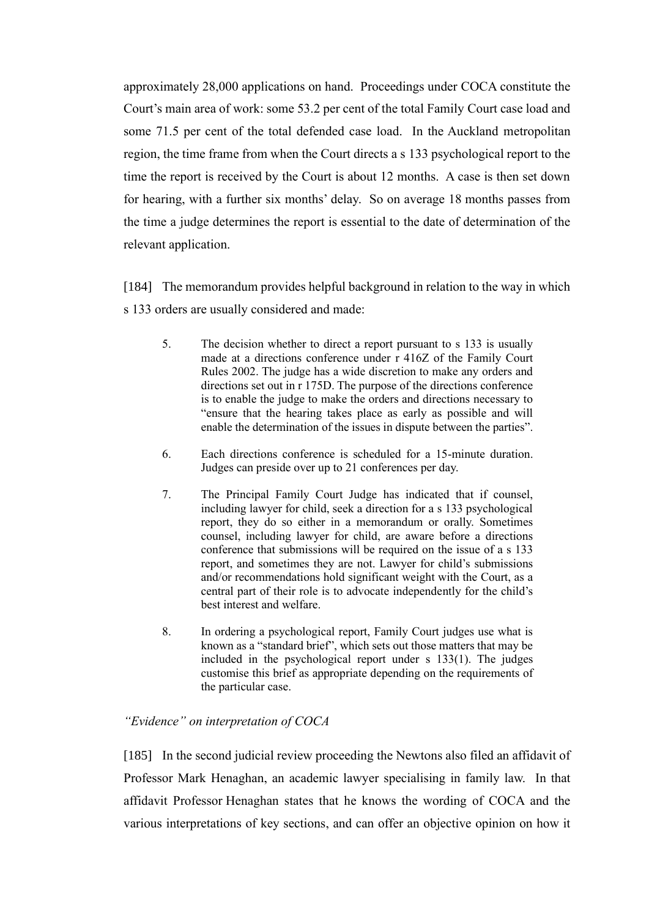approximately 28,000 applications on hand. Proceedings under COCA constitute the Court's main area of work: some 53.2 per cent of the total Family Court case load and some 71.5 per cent of the total defended case load. In the Auckland metropolitan region, the time frame from when the Court directs a s 133 psychological report to the time the report is received by the Court is about 12 months. A case is then set down for hearing, with a further six months' delay. So on average 18 months passes from the time a judge determines the report is essential to the date of determination of the relevant application.

[184] The memorandum provides helpful background in relation to the way in which s 133 orders are usually considered and made:

- 5. The decision whether to direct a report pursuant to s 133 is usually made at a directions conference under r 416Z of the Family Court Rules 2002. The judge has a wide discretion to make any orders and directions set out in r 175D. The purpose of the directions conference is to enable the judge to make the orders and directions necessary to "ensure that the hearing takes place as early as possible and will enable the determination of the issues in dispute between the parties".
- 6. Each directions conference is scheduled for a 15-minute duration. Judges can preside over up to 21 conferences per day.
- 7. The Principal Family Court Judge has indicated that if counsel, including lawyer for child, seek a direction for a s 133 psychological report, they do so either in a memorandum or orally. Sometimes counsel, including lawyer for child, are aware before a directions conference that submissions will be required on the issue of a s 133 report, and sometimes they are not. Lawyer for child's submissions and/or recommendations hold significant weight with the Court, as a central part of their role is to advocate independently for the child's best interest and welfare.
- 8. In ordering a psychological report, Family Court judges use what is known as a "standard brief", which sets out those matters that may be included in the psychological report under s 133(1). The judges customise this brief as appropriate depending on the requirements of the particular case.

### *"Evidence" on interpretation of COCA*

[185] In the second judicial review proceeding the Newtons also filed an affidavit of Professor Mark Henaghan, an academic lawyer specialising in family law. In that affidavit Professor Henaghan states that he knows the wording of COCA and the various interpretations of key sections, and can offer an objective opinion on how it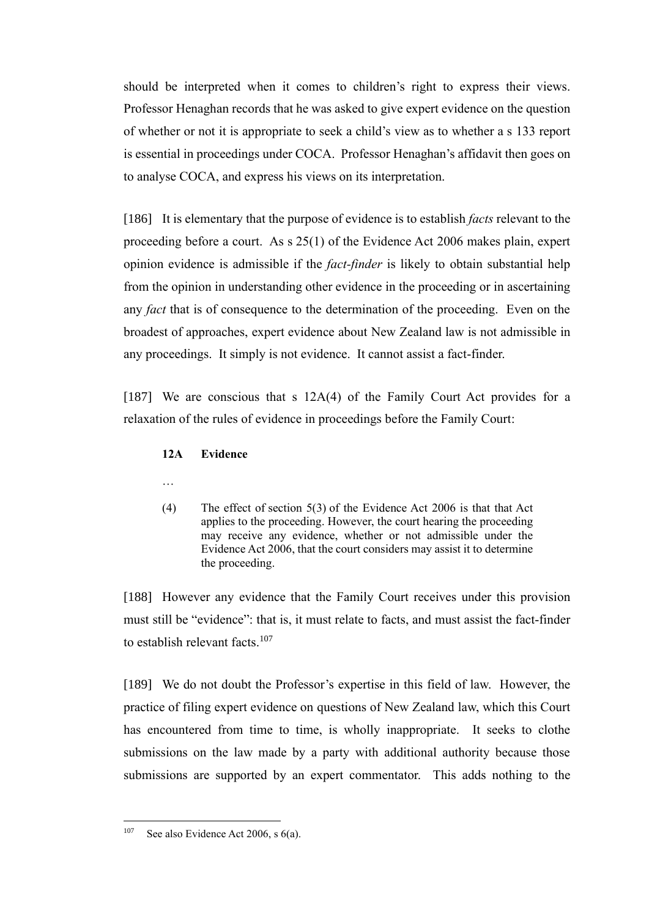should be interpreted when it comes to children's right to express their views. Professor Henaghan records that he was asked to give expert evidence on the question of whether or not it is appropriate to seek a child's view as to whether a s 133 report is essential in proceedings under COCA. Professor Henaghan's affidavit then goes on to analyse COCA, and express his views on its interpretation.

[186] It is elementary that the purpose of evidence is to establish *facts* relevant to the proceeding before a court. As s 25(1) of the Evidence Act 2006 makes plain, expert opinion evidence is admissible if the *fact-finder* is likely to obtain substantial help from the opinion in understanding other evidence in the proceeding or in ascertaining any *fact* that is of consequence to the determination of the proceeding. Even on the broadest of approaches, expert evidence about New Zealand law is not admissible in any proceedings. It simply is not evidence. It cannot assist a fact-finder.

[187] We are conscious that s 12A(4) of the Family Court Act provides for a relaxation of the rules of evidence in proceedings before the Family Court:

#### **12A Evidence**

- …
- (4) The effect of section  $5(3)$  of the Evidence Act 2006 is that that Act applies to the proceeding. However, the court hearing the proceeding may receive any evidence, whether or not admissible under the Evidence Act 2006, that the court considers may assist it to determine the proceeding.

[188] However any evidence that the Family Court receives under this provision must still be "evidence": that is, it must relate to facts, and must assist the fact-finder to establish relevant facts. $107$ 

[189] We do not doubt the Professor's expertise in this field of law. However, the practice of filing expert evidence on questions of New Zealand law, which this Court has encountered from time to time, is wholly inappropriate. It seeks to clothe submissions on the law made by a party with additional authority because those submissions are supported by an expert commentator. This adds nothing to the

<sup>&</sup>lt;sup>107</sup> See also Evidence Act 2006, s  $6(a)$ .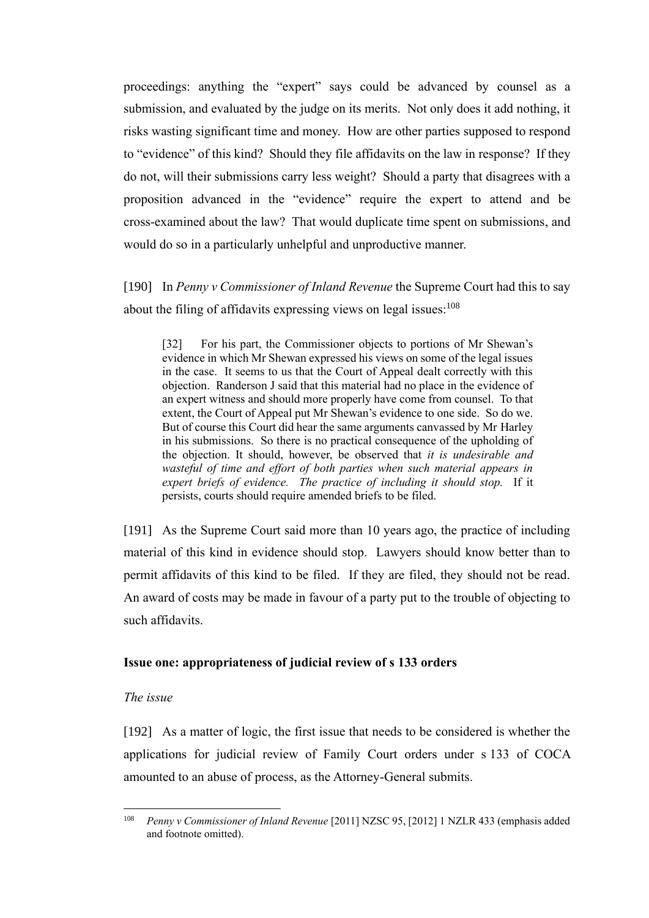proceedings: anything the "expert" says could be advanced by counsel as a submission, and evaluated by the judge on its merits. Not only does it add nothing, it risks wasting significant time and money. How are other parties supposed to respond to "evidence" of this kind? Should they file affidavits on the law in response? If they do not, will their submissions carry less weight? Should a party that disagrees with a proposition advanced in the "evidence" require the expert to attend and be cross-examined about the law? That would duplicate time spent on submissions, and would do so in a particularly unhelpful and unproductive manner.

[190] In *Penny v Commissioner of Inland Revenue* the Supreme Court had this to say about the filing of affidavits expressing views on legal issues:<sup>108</sup>

[32] For his part, the Commissioner objects to portions of Mr Shewan's evidence in which Mr Shewan expressed his views on some of the legal issues in the case. It seems to us that the Court of Appeal dealt correctly with this objection. Randerson J said that this material had no place in the evidence of an expert witness and should more properly have come from counsel. To that extent, the Court of Appeal put Mr Shewan's evidence to one side. So do we. But of course this Court did hear the same arguments canvassed by Mr Harley in his submissions. So there is no practical consequence of the upholding of the objection. It should, however, be observed that *it is undesirable and wasteful of time and effort of both parties when such material appears in expert briefs of evidence. The practice of including it should stop.* If it persists, courts should require amended briefs to be filed.

[191] As the Supreme Court said more than 10 years ago, the practice of including material of this kind in evidence should stop. Lawyers should know better than to permit affidavits of this kind to be filed. If they are filed, they should not be read. An award of costs may be made in favour of a party put to the trouble of objecting to such affidavits.

### **Issue one: appropriateness of judicial review of s 133 orders**

## *The issue*

[192] As a matter of logic, the first issue that needs to be considered is whether the applications for judicial review of Family Court orders under s 133 of COCA amounted to an abuse of process, as the Attorney-General submits.

<sup>108</sup> *Penny v Commissioner of Inland Revenue* [2011] NZSC 95, [2012] 1 NZLR 433 (emphasis added and footnote omitted).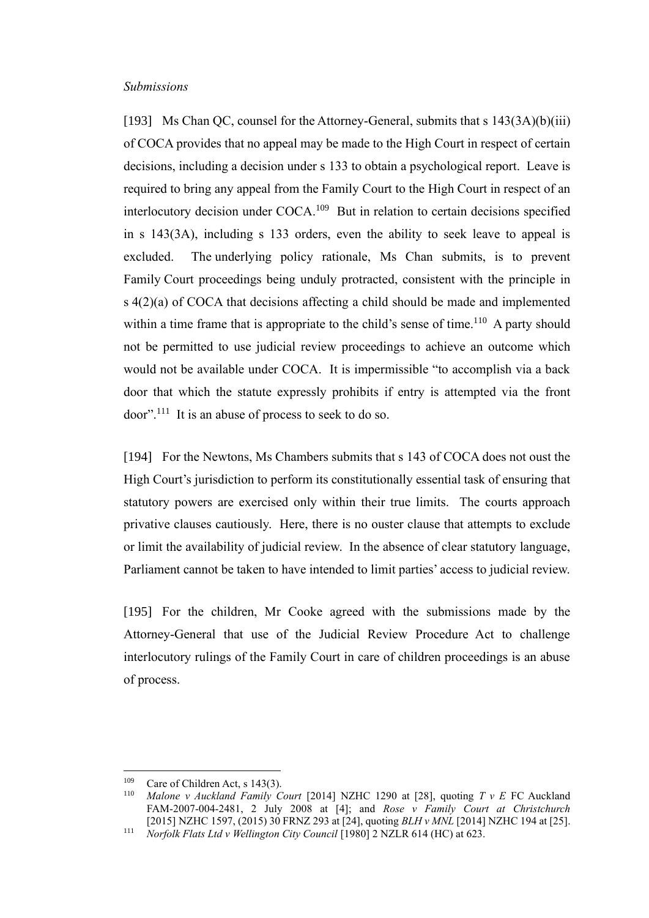#### *Submissions*

[193] Ms Chan QC, counsel for the Attorney-General, submits that s  $143(3A)(b)(iii)$ of COCA provides that no appeal may be made to the High Court in respect of certain decisions, including a decision under s 133 to obtain a psychological report. Leave is required to bring any appeal from the Family Court to the High Court in respect of an interlocutory decision under COCA.<sup>109</sup> But in relation to certain decisions specified in s 143(3A), including s 133 orders, even the ability to seek leave to appeal is excluded. The underlying policy rationale, Ms Chan submits, is to prevent Family Court proceedings being unduly protracted, consistent with the principle in s 4(2)(a) of COCA that decisions affecting a child should be made and implemented within a time frame that is appropriate to the child's sense of time.<sup>110</sup> A party should not be permitted to use judicial review proceedings to achieve an outcome which would not be available under COCA. It is impermissible "to accomplish via a back door that which the statute expressly prohibits if entry is attempted via the front  $door$ <sup>". 111</sup> It is an abuse of process to seek to do so.

<span id="page-59-0"></span>[194] For the Newtons, Ms Chambers submits that s 143 of COCA does not oust the High Court's jurisdiction to perform its constitutionally essential task of ensuring that statutory powers are exercised only within their true limits. The courts approach privative clauses cautiously. Here, there is no ouster clause that attempts to exclude or limit the availability of judicial review. In the absence of clear statutory language, Parliament cannot be taken to have intended to limit parties' access to judicial review.

[195] For the children, Mr Cooke agreed with the submissions made by the Attorney-General that use of the Judicial Review Procedure Act to challenge interlocutory rulings of the Family Court in care of children proceedings is an abuse of process.

<sup>&</sup>lt;sup>109</sup> Care of Children Act, s 143(3).<br><sup>110</sup> Malone y Auckland Family C

<sup>110</sup> *Malone v Auckland Family Court* [2014] NZHC 1290 at [28], quoting *T v E* FC Auckland FAM-2007-004-2481, 2 July 2008 at [4]; and *Rose v Family Court at Christchurch* [2015] NZHC 1597, (2015) 30 FRNZ 293 at [24], quoting *BLH v MNL* [2014] NZHC 194 at [25].

<sup>111</sup> *Norfolk Flats Ltd v Wellington City Council* [1980] 2 NZLR 614 (HC) at 623.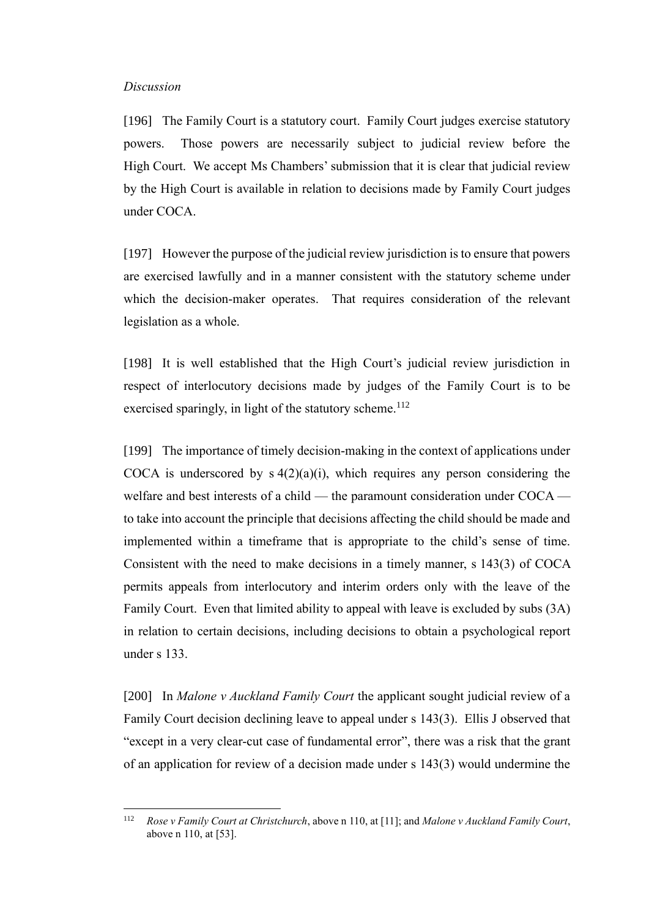#### *Discussion*

[196] The Family Court is a statutory court. Family Court judges exercise statutory powers. Those powers are necessarily subject to judicial review before the High Court. We accept Ms Chambers' submission that it is clear that judicial review by the High Court is available in relation to decisions made by Family Court judges under COCA.

[197] However the purpose of the judicial review jurisdiction is to ensure that powers are exercised lawfully and in a manner consistent with the statutory scheme under which the decision-maker operates. That requires consideration of the relevant legislation as a whole.

[198] It is well established that the High Court's judicial review jurisdiction in respect of interlocutory decisions made by judges of the Family Court is to be exercised sparingly, in light of the statutory scheme.<sup>112</sup>

[199] The importance of timely decision-making in the context of applications under COCA is underscored by  $s \frac{4(2)(a)(i)}{i}$ , which requires any person considering the welfare and best interests of a child — the paramount consideration under COCA to take into account the principle that decisions affecting the child should be made and implemented within a timeframe that is appropriate to the child's sense of time. Consistent with the need to make decisions in a timely manner, s 143(3) of COCA permits appeals from interlocutory and interim orders only with the leave of the Family Court. Even that limited ability to appeal with leave is excluded by subs (3A) in relation to certain decisions, including decisions to obtain a psychological report under s 133.

[200] In *Malone v Auckland Family Court* the applicant sought judicial review of a Family Court decision declining leave to appeal under s 143(3). Ellis J observed that "except in a very clear-cut case of fundamental error", there was a risk that the grant of an application for review of a decision made under s 143(3) would undermine the

<sup>112</sup> *Rose v Family Court at Christchurch*, above n [110,](#page-59-0) at [11]; and *Malone v Auckland Family Court*, above [n 110,](#page-59-0) at [53].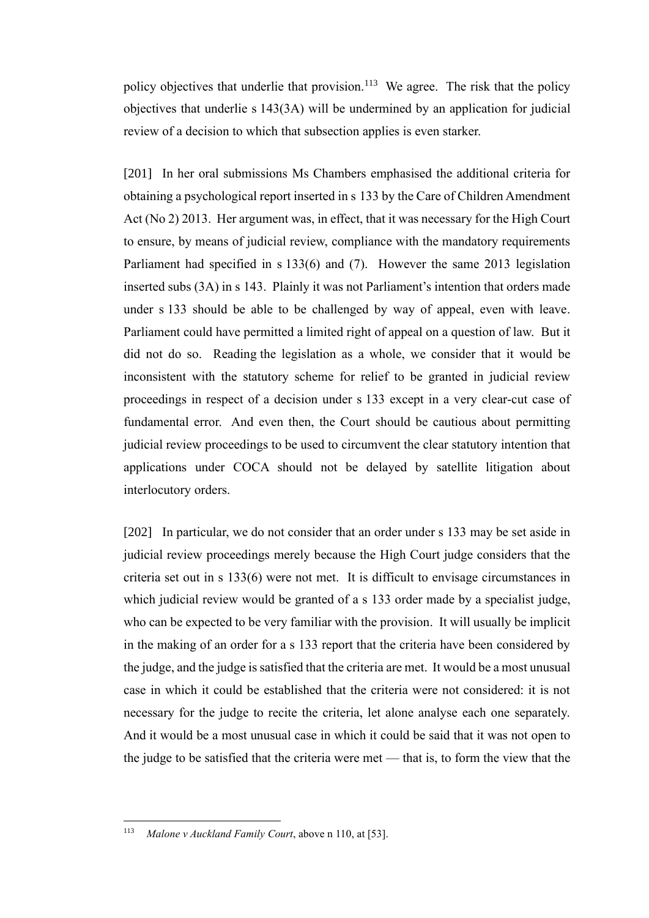policy objectives that underlie that provision.<sup>113</sup> We agree. The risk that the policy objectives that underlie s 143(3A) will be undermined by an application for judicial review of a decision to which that subsection applies is even starker.

[201] In her oral submissions Ms Chambers emphasised the additional criteria for obtaining a psychological report inserted in s 133 by the Care of Children Amendment Act (No 2) 2013. Her argument was, in effect, that it was necessary for the High Court to ensure, by means of judicial review, compliance with the mandatory requirements Parliament had specified in s 133(6) and (7). However the same 2013 legislation inserted subs (3A) in s 143. Plainly it was not Parliament's intention that orders made under s 133 should be able to be challenged by way of appeal, even with leave. Parliament could have permitted a limited right of appeal on a question of law. But it did not do so. Reading the legislation as a whole, we consider that it would be inconsistent with the statutory scheme for relief to be granted in judicial review proceedings in respect of a decision under s 133 except in a very clear-cut case of fundamental error. And even then, the Court should be cautious about permitting judicial review proceedings to be used to circumvent the clear statutory intention that applications under COCA should not be delayed by satellite litigation about interlocutory orders.

[202] In particular, we do not consider that an order under s 133 may be set aside in judicial review proceedings merely because the High Court judge considers that the criteria set out in s 133(6) were not met. It is difficult to envisage circumstances in which judicial review would be granted of a s 133 order made by a specialist judge, who can be expected to be very familiar with the provision. It will usually be implicit in the making of an order for a s 133 report that the criteria have been considered by the judge, and the judge is satisfied that the criteria are met. It would be a most unusual case in which it could be established that the criteria were not considered: it is not necessary for the judge to recite the criteria, let alone analyse each one separately. And it would be a most unusual case in which it could be said that it was not open to the judge to be satisfied that the criteria were met — that is, to form the view that the

<sup>113</sup> *Malone v Auckland Family Court*, above n [110,](#page-59-0) at [53].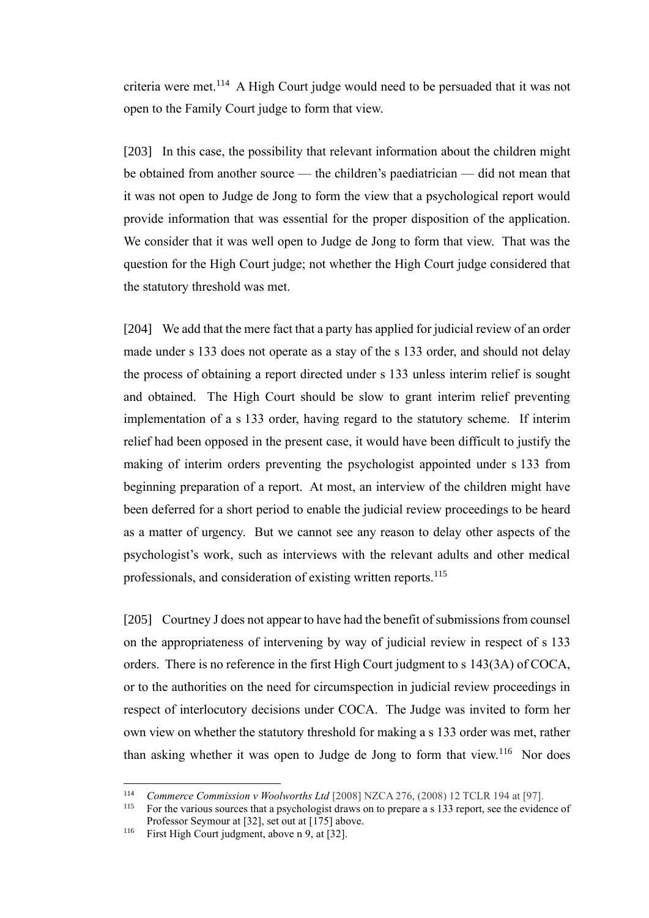criteria were met.<sup>114</sup> A High Court judge would need to be persuaded that it was not open to the Family Court judge to form that view.

[203] In this case, the possibility that relevant information about the children might be obtained from another source — the children's paediatrician — did not mean that it was not open to Judge de Jong to form the view that a psychological report would provide information that was essential for the proper disposition of the application. We consider that it was well open to Judge de Jong to form that view. That was the question for the High Court judge; not whether the High Court judge considered that the statutory threshold was met.

[204] We add that the mere fact that a party has applied for judicial review of an order made under s 133 does not operate as a stay of the s 133 order, and should not delay the process of obtaining a report directed under s 133 unless interim relief is sought and obtained. The High Court should be slow to grant interim relief preventing implementation of a s 133 order, having regard to the statutory scheme. If interim relief had been opposed in the present case, it would have been difficult to justify the making of interim orders preventing the psychologist appointed under s 133 from beginning preparation of a report. At most, an interview of the children might have been deferred for a short period to enable the judicial review proceedings to be heard as a matter of urgency. But we cannot see any reason to delay other aspects of the psychologist's work, such as interviews with the relevant adults and other medical professionals, and consideration of existing written reports.<sup>115</sup>

[205] Courtney J does not appear to have had the benefit of submissions from counsel on the appropriateness of intervening by way of judicial review in respect of s 133 orders. There is no reference in the first High Court judgment to s 143(3A) of COCA, or to the authorities on the need for circumspection in judicial review proceedings in respect of interlocutory decisions under COCA. The Judge was invited to form her own view on whether the statutory threshold for making a s 133 order was met, rather than asking whether it was open to Judge de Jong to form that view.<sup>116</sup> Nor does

<sup>&</sup>lt;sup>114</sup> *Commerce Commission v Woolworths Ltd* [2008] NZCA 276, (2008) 12 TCLR 194 at [97].

For the various sources that a psychologist draws on to prepare a s 133 report, see the evidence of Professor Seymour at [32], set out at [\[175\]](#page-50-0) above.

<sup>116</sup> First High Court judgment, above n [9,](#page-21-0) at [32].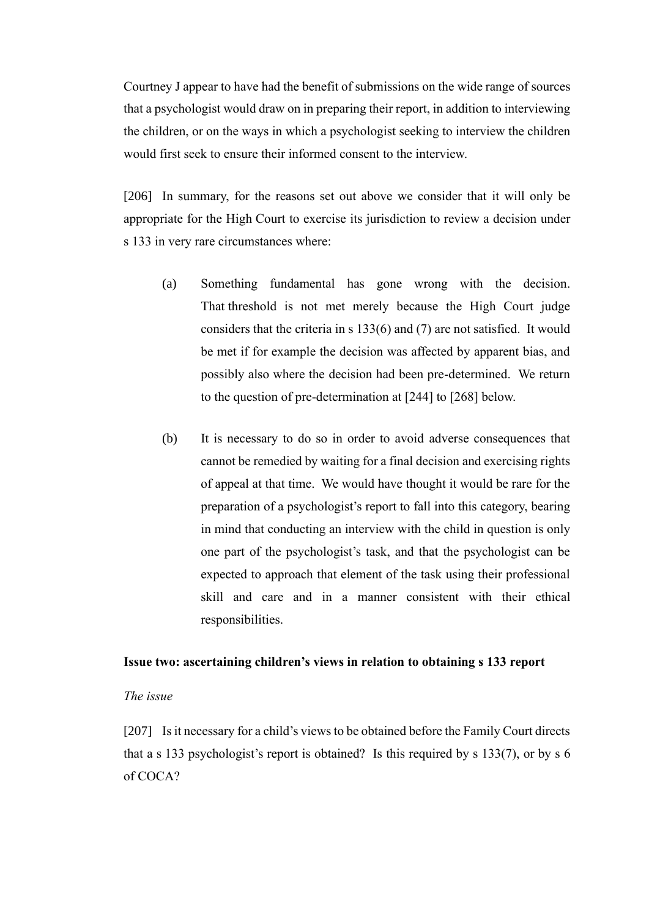Courtney J appear to have had the benefit of submissions on the wide range of sources that a psychologist would draw on in preparing their report, in addition to interviewing the children, or on the ways in which a psychologist seeking to interview the children would first seek to ensure their informed consent to the interview.

[206] In summary, for the reasons set out above we consider that it will only be appropriate for the High Court to exercise its jurisdiction to review a decision under s 133 in very rare circumstances where:

- (a) Something fundamental has gone wrong with the decision. That threshold is not met merely because the High Court judge considers that the criteria in s 133(6) and (7) are not satisfied. It would be met if for example the decision was affected by apparent bias, and possibly also where the decision had been pre-determined. We return to the question of pre-determination at [\[244\]](#page-74-0) to [\[268\]](#page-81-0) below.
- (b) It is necessary to do so in order to avoid adverse consequences that cannot be remedied by waiting for a final decision and exercising rights of appeal at that time. We would have thought it would be rare for the preparation of a psychologist's report to fall into this category, bearing in mind that conducting an interview with the child in question is only one part of the psychologist's task, and that the psychologist can be expected to approach that element of the task using their professional skill and care and in a manner consistent with their ethical responsibilities.

#### **Issue two: ascertaining children's views in relation to obtaining s 133 report**

#### *The issue*

[207] Is it necessary for a child's views to be obtained before the Family Court directs that a s 133 psychologist's report is obtained? Is this required by s 133(7), or by s 6 of COCA?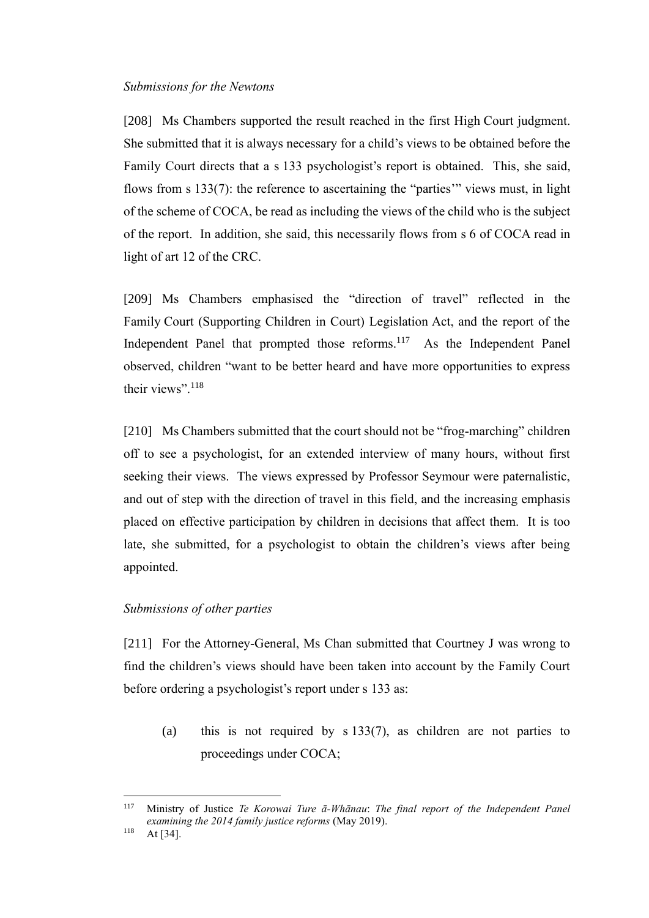### *Submissions for the Newtons*

[208] Ms Chambers supported the result reached in the first High Court judgment. She submitted that it is always necessary for a child's views to be obtained before the Family Court directs that a s 133 psychologist's report is obtained. This, she said, flows from s 133(7): the reference to ascertaining the "parties'" views must, in light of the scheme of COCA, be read as including the views of the child who is the subject of the report. In addition, she said, this necessarily flows from s 6 of COCA read in light of art 12 of the CRC.

[209] Ms Chambers emphasised the "direction of travel" reflected in the Family Court (Supporting Children in Court) Legislation Act, and the report of the Independent Panel that prompted those reforms.<sup>117</sup> As the Independent Panel observed, children "want to be better heard and have more opportunities to express their views".<sup>118</sup>

[210] Ms Chambers submitted that the court should not be "frog-marching" children off to see a psychologist, for an extended interview of many hours, without first seeking their views. The views expressed by Professor Seymour were paternalistic, and out of step with the direction of travel in this field, and the increasing emphasis placed on effective participation by children in decisions that affect them. It is too late, she submitted, for a psychologist to obtain the children's views after being appointed.

# *Submissions of other parties*

[211] For the Attorney-General, Ms Chan submitted that Courtney J was wrong to find the children's views should have been taken into account by the Family Court before ordering a psychologist's report under s 133 as:

(a) this is not required by s 133(7), as children are not parties to proceedings under COCA;

<sup>117</sup> Ministry of Justice *Te Korowai Ture ā-Whānau*: *The final report of the Independent Panel examining the 2014 family justice reforms* (May 2019).

 $118$  At [34].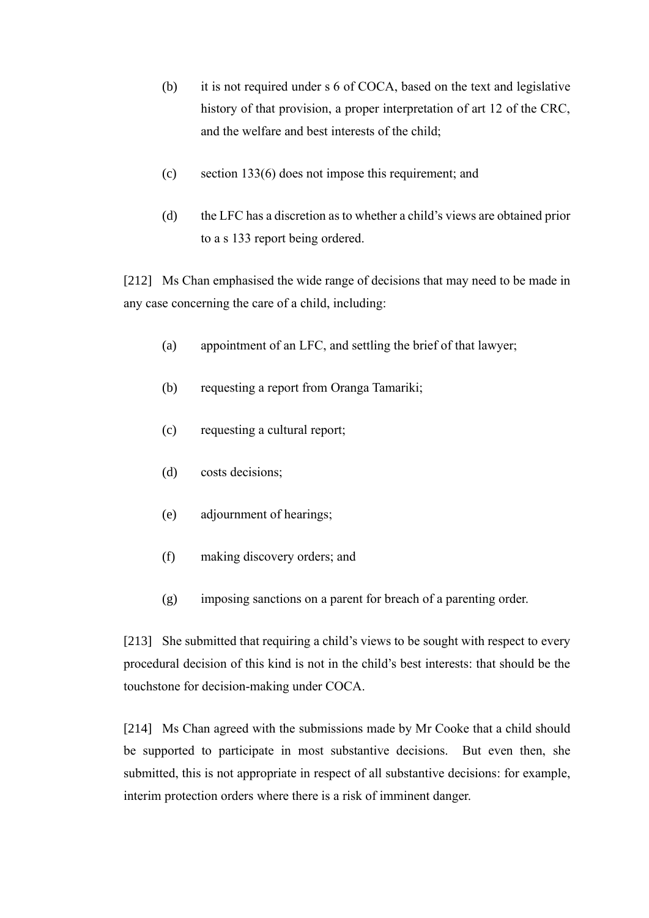- (b) it is not required under s 6 of COCA, based on the text and legislative history of that provision, a proper interpretation of art 12 of the CRC, and the welfare and best interests of the child;
- (c) section 133(6) does not impose this requirement; and
- (d) the LFC has a discretion as to whether a child's views are obtained prior to a s 133 report being ordered.

[212] Ms Chan emphasised the wide range of decisions that may need to be made in any case concerning the care of a child, including:

- (a) appointment of an LFC, and settling the brief of that lawyer;
- (b) requesting a report from Oranga Tamariki;
- (c) requesting a cultural report;
- (d) costs decisions;
- (e) adjournment of hearings;
- (f) making discovery orders; and
- (g) imposing sanctions on a parent for breach of a parenting order.

[213] She submitted that requiring a child's views to be sought with respect to every procedural decision of this kind is not in the child's best interests: that should be the touchstone for decision-making under COCA.

[214] Ms Chan agreed with the submissions made by Mr Cooke that a child should be supported to participate in most substantive decisions. But even then, she submitted, this is not appropriate in respect of all substantive decisions: for example, interim protection orders where there is a risk of imminent danger.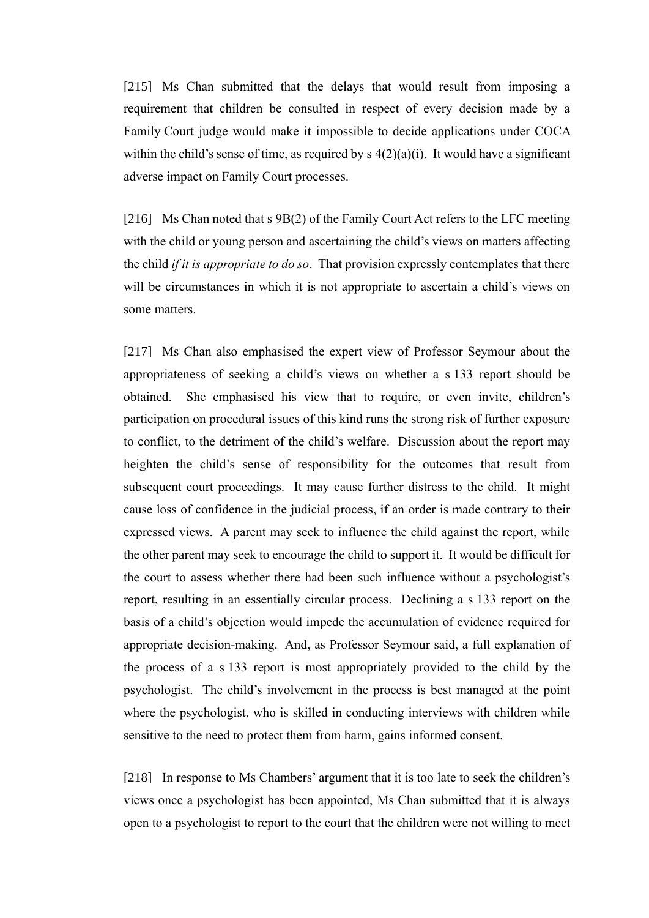[215] Ms Chan submitted that the delays that would result from imposing a requirement that children be consulted in respect of every decision made by a Family Court judge would make it impossible to decide applications under COCA within the child's sense of time, as required by  $s(2)(a)(i)$ . It would have a significant adverse impact on Family Court processes.

[216] Ms Chan noted that s 9B(2) of the Family Court Act refers to the LFC meeting with the child or young person and ascertaining the child's views on matters affecting the child *if it is appropriate to do so*. That provision expressly contemplates that there will be circumstances in which it is not appropriate to ascertain a child's views on some matters.

[217] Ms Chan also emphasised the expert view of Professor Seymour about the appropriateness of seeking a child's views on whether a s 133 report should be obtained. She emphasised his view that to require, or even invite, children's participation on procedural issues of this kind runs the strong risk of further exposure to conflict, to the detriment of the child's welfare. Discussion about the report may heighten the child's sense of responsibility for the outcomes that result from subsequent court proceedings. It may cause further distress to the child. It might cause loss of confidence in the judicial process, if an order is made contrary to their expressed views. A parent may seek to influence the child against the report, while the other parent may seek to encourage the child to support it. It would be difficult for the court to assess whether there had been such influence without a psychologist's report, resulting in an essentially circular process. Declining a s 133 report on the basis of a child's objection would impede the accumulation of evidence required for appropriate decision-making. And, as Professor Seymour said, a full explanation of the process of a s 133 report is most appropriately provided to the child by the psychologist. The child's involvement in the process is best managed at the point where the psychologist, who is skilled in conducting interviews with children while sensitive to the need to protect them from harm, gains informed consent.

[218] In response to Ms Chambers' argument that it is too late to seek the children's views once a psychologist has been appointed, Ms Chan submitted that it is always open to a psychologist to report to the court that the children were not willing to meet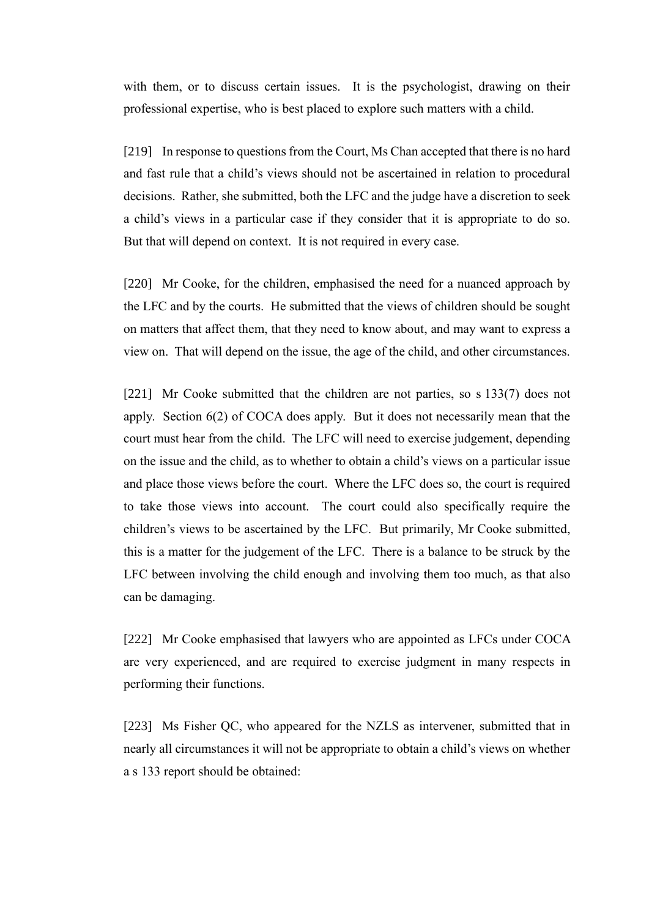with them, or to discuss certain issues. It is the psychologist, drawing on their professional expertise, who is best placed to explore such matters with a child.

[219] In response to questions from the Court, Ms Chan accepted that there is no hard and fast rule that a child's views should not be ascertained in relation to procedural decisions. Rather, she submitted, both the LFC and the judge have a discretion to seek a child's views in a particular case if they consider that it is appropriate to do so. But that will depend on context. It is not required in every case.

[220] Mr Cooke, for the children, emphasised the need for a nuanced approach by the LFC and by the courts. He submitted that the views of children should be sought on matters that affect them, that they need to know about, and may want to express a view on. That will depend on the issue, the age of the child, and other circumstances.

[221] Mr Cooke submitted that the children are not parties, so s 133(7) does not apply. Section 6(2) of COCA does apply. But it does not necessarily mean that the court must hear from the child. The LFC will need to exercise judgement, depending on the issue and the child, as to whether to obtain a child's views on a particular issue and place those views before the court. Where the LFC does so, the court is required to take those views into account. The court could also specifically require the children's views to be ascertained by the LFC. But primarily, Mr Cooke submitted, this is a matter for the judgement of the LFC. There is a balance to be struck by the LFC between involving the child enough and involving them too much, as that also can be damaging.

[222] Mr Cooke emphasised that lawyers who are appointed as LFCs under COCA are very experienced, and are required to exercise judgment in many respects in performing their functions.

[223] Ms Fisher QC, who appeared for the NZLS as intervener, submitted that in nearly all circumstances it will not be appropriate to obtain a child's views on whether a s 133 report should be obtained: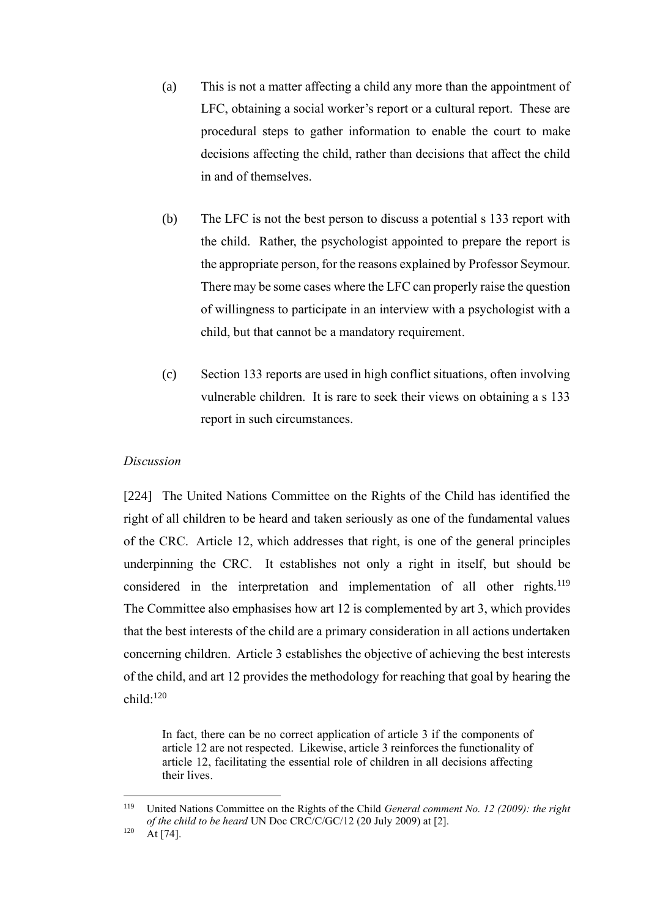- (a) This is not a matter affecting a child any more than the appointment of LFC, obtaining a social worker's report or a cultural report. These are procedural steps to gather information to enable the court to make decisions affecting the child, rather than decisions that affect the child in and of themselves.
- (b) The LFC is not the best person to discuss a potential s 133 report with the child. Rather, the psychologist appointed to prepare the report is the appropriate person, for the reasons explained by Professor Seymour. There may be some cases where the LFC can properly raise the question of willingness to participate in an interview with a psychologist with a child, but that cannot be a mandatory requirement.
- (c) Section 133 reports are used in high conflict situations, often involving vulnerable children. It is rare to seek their views on obtaining a s 133 report in such circumstances.

#### *Discussion*

[224] The United Nations Committee on the Rights of the Child has identified the right of all children to be heard and taken seriously as one of the fundamental values of the CRC. Article 12, which addresses that right, is one of the general principles underpinning the CRC. It establishes not only a right in itself, but should be considered in the interpretation and implementation of all other rights.<sup>119</sup> The Committee also emphasises how art 12 is complemented by art 3, which provides that the best interests of the child are a primary consideration in all actions undertaken concerning children. Article 3 establishes the objective of achieving the best interests of the child, and art 12 provides the methodology for reaching that goal by hearing the child: 120

In fact, there can be no correct application of article 3 if the components of article 12 are not respected. Likewise, article 3 reinforces the functionality of article 12, facilitating the essential role of children in all decisions affecting their lives.

<sup>119</sup> United Nations Committee on the Rights of the Child *General comment No. 12 (2009): the right of the child to be heard* UN Doc CRC/C/GC/12 (20 July 2009) at [2].

 $120$  At [74].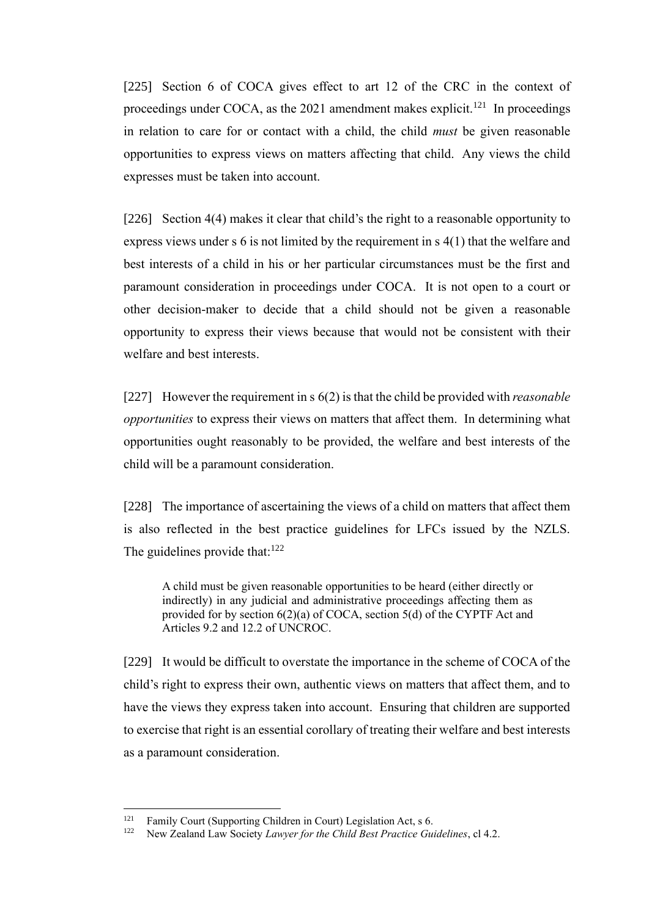[225] Section 6 of COCA gives effect to art 12 of the CRC in the context of proceedings under COCA, as the 2021 amendment makes explicit.<sup>121</sup> In proceedings in relation to care for or contact with a child, the child *must* be given reasonable opportunities to express views on matters affecting that child. Any views the child expresses must be taken into account.

[226] Section 4(4) makes it clear that child's the right to a reasonable opportunity to express views under s 6 is not limited by the requirement in s 4(1) that the welfare and best interests of a child in his or her particular circumstances must be the first and paramount consideration in proceedings under COCA. It is not open to a court or other decision-maker to decide that a child should not be given a reasonable opportunity to express their views because that would not be consistent with their welfare and best interests.

[227] However the requirement in s 6(2) is that the child be provided with *reasonable opportunities* to express their views on matters that affect them. In determining what opportunities ought reasonably to be provided, the welfare and best interests of the child will be a paramount consideration.

[228] The importance of ascertaining the views of a child on matters that affect them is also reflected in the best practice guidelines for LFCs issued by the NZLS. The guidelines provide that: $122$ 

A child must be given reasonable opportunities to be heard (either directly or indirectly) in any judicial and administrative proceedings affecting them as provided for by section 6(2)(a) of COCA, section 5(d) of the CYPTF Act and Articles 9.2 and 12.2 of UNCROC.

[229] It would be difficult to overstate the importance in the scheme of COCA of the child's right to express their own, authentic views on matters that affect them, and to have the views they express taken into account. Ensuring that children are supported to exercise that right is an essential corollary of treating their welfare and best interests as a paramount consideration.

<sup>&</sup>lt;sup>121</sup> Family Court (Supporting Children in Court) Legislation Act, s 6.<br><sup>122</sup> Nove Zealand Law Society Lawyer for the Child Rest Puration Cur

<sup>122</sup> New Zealand Law Society *Lawyer for the Child Best Practice Guidelines*, cl 4.2.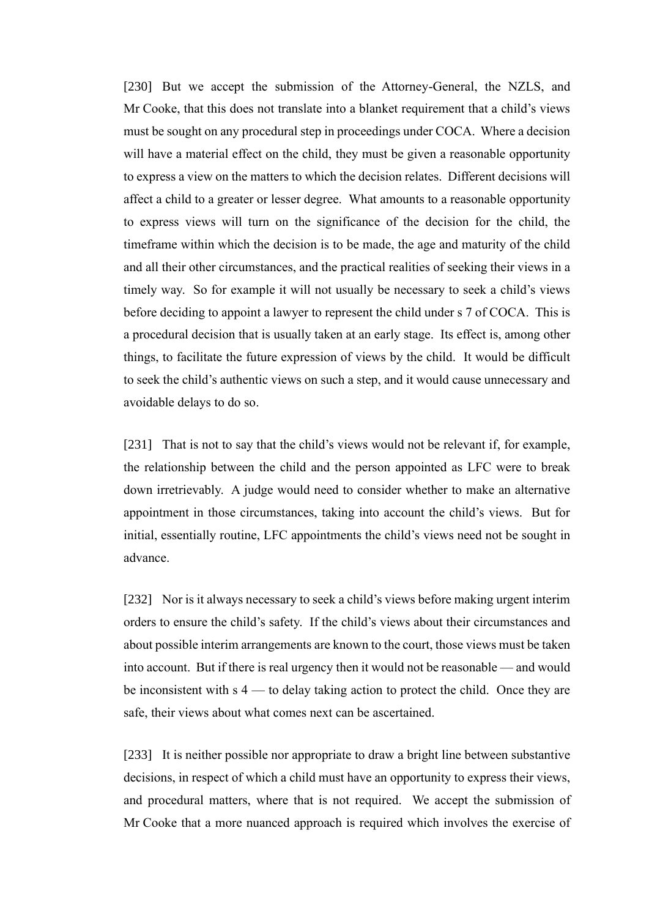[230] But we accept the submission of the Attorney-General, the NZLS, and Mr Cooke, that this does not translate into a blanket requirement that a child's views must be sought on any procedural step in proceedings under COCA. Where a decision will have a material effect on the child, they must be given a reasonable opportunity to express a view on the matters to which the decision relates. Different decisions will affect a child to a greater or lesser degree. What amounts to a reasonable opportunity to express views will turn on the significance of the decision for the child, the timeframe within which the decision is to be made, the age and maturity of the child and all their other circumstances, and the practical realities of seeking their views in a timely way. So for example it will not usually be necessary to seek a child's views before deciding to appoint a lawyer to represent the child under s 7 of COCA. This is a procedural decision that is usually taken at an early stage. Its effect is, among other things, to facilitate the future expression of views by the child. It would be difficult to seek the child's authentic views on such a step, and it would cause unnecessary and avoidable delays to do so.

[231] That is not to say that the child's views would not be relevant if, for example, the relationship between the child and the person appointed as LFC were to break down irretrievably. A judge would need to consider whether to make an alternative appointment in those circumstances, taking into account the child's views. But for initial, essentially routine, LFC appointments the child's views need not be sought in advance.

[232] Nor is it always necessary to seek a child's views before making urgent interim orders to ensure the child's safety. If the child's views about their circumstances and about possible interim arrangements are known to the court, those views must be taken into account. But if there is real urgency then it would not be reasonable — and would be inconsistent with s 4 — to delay taking action to protect the child. Once they are safe, their views about what comes next can be ascertained.

[233] It is neither possible nor appropriate to draw a bright line between substantive decisions, in respect of which a child must have an opportunity to express their views, and procedural matters, where that is not required. We accept the submission of Mr Cooke that a more nuanced approach is required which involves the exercise of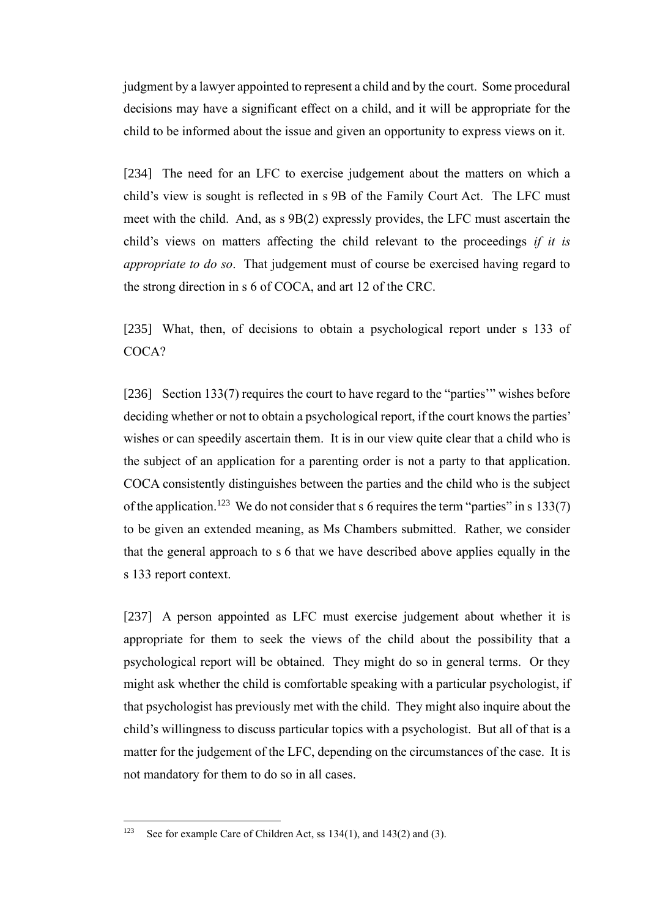judgment by a lawyer appointed to represent a child and by the court. Some procedural decisions may have a significant effect on a child, and it will be appropriate for the child to be informed about the issue and given an opportunity to express views on it.

[234] The need for an LFC to exercise judgement about the matters on which a child's view is sought is reflected in s 9B of the Family Court Act. The LFC must meet with the child. And, as s 9B(2) expressly provides, the LFC must ascertain the child's views on matters affecting the child relevant to the proceedings *if it is appropriate to do so*. That judgement must of course be exercised having regard to the strong direction in s 6 of COCA, and art 12 of the CRC.

[235] What, then, of decisions to obtain a psychological report under s 133 of COCA?

[236] Section 133(7) requires the court to have regard to the "parties" wishes before deciding whether or not to obtain a psychological report, if the court knows the parties' wishes or can speedily ascertain them. It is in our view quite clear that a child who is the subject of an application for a parenting order is not a party to that application. COCA consistently distinguishes between the parties and the child who is the subject of the application.<sup>123</sup> We do not consider that s 6 requires the term "parties" in s 133(7) to be given an extended meaning, as Ms Chambers submitted. Rather, we consider that the general approach to s 6 that we have described above applies equally in the s 133 report context.

[237] A person appointed as LFC must exercise judgement about whether it is appropriate for them to seek the views of the child about the possibility that a psychological report will be obtained. They might do so in general terms. Or they might ask whether the child is comfortable speaking with a particular psychologist, if that psychologist has previously met with the child. They might also inquire about the child's willingness to discuss particular topics with a psychologist. But all of that is a matter for the judgement of the LFC, depending on the circumstances of the case. It is not mandatory for them to do so in all cases.

<sup>&</sup>lt;sup>123</sup> See for example Care of Children Act, ss  $134(1)$ , and  $143(2)$  and (3).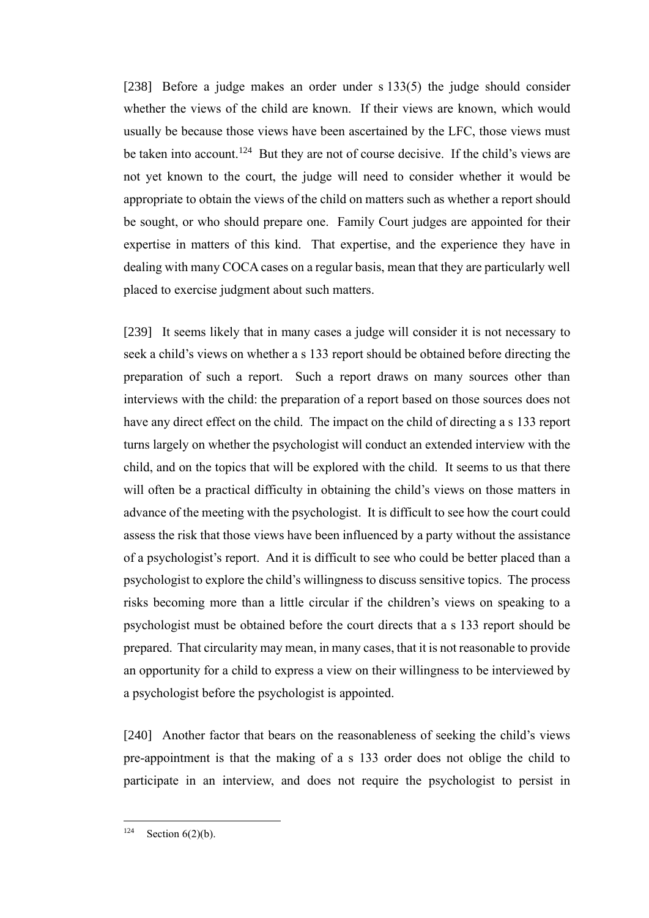[238] Before a judge makes an order under s 133(5) the judge should consider whether the views of the child are known. If their views are known, which would usually be because those views have been ascertained by the LFC, those views must be taken into account.<sup>124</sup> But they are not of course decisive. If the child's views are not yet known to the court, the judge will need to consider whether it would be appropriate to obtain the views of the child on matters such as whether a report should be sought, or who should prepare one. Family Court judges are appointed for their expertise in matters of this kind. That expertise, and the experience they have in dealing with many COCA cases on a regular basis, mean that they are particularly well placed to exercise judgment about such matters.

[239] It seems likely that in many cases a judge will consider it is not necessary to seek a child's views on whether a s 133 report should be obtained before directing the preparation of such a report. Such a report draws on many sources other than interviews with the child: the preparation of a report based on those sources does not have any direct effect on the child. The impact on the child of directing a s 133 report turns largely on whether the psychologist will conduct an extended interview with the child, and on the topics that will be explored with the child. It seems to us that there will often be a practical difficulty in obtaining the child's views on those matters in advance of the meeting with the psychologist. It is difficult to see how the court could assess the risk that those views have been influenced by a party without the assistance of a psychologist's report. And it is difficult to see who could be better placed than a psychologist to explore the child's willingness to discuss sensitive topics. The process risks becoming more than a little circular if the children's views on speaking to a psychologist must be obtained before the court directs that a s 133 report should be prepared. That circularity may mean, in many cases, that it is not reasonable to provide an opportunity for a child to express a view on their willingness to be interviewed by a psychologist before the psychologist is appointed.

[240] Another factor that bears on the reasonableness of seeking the child's views pre-appointment is that the making of a s 133 order does not oblige the child to participate in an interview, and does not require the psychologist to persist in

 $124$  Section 6(2)(b).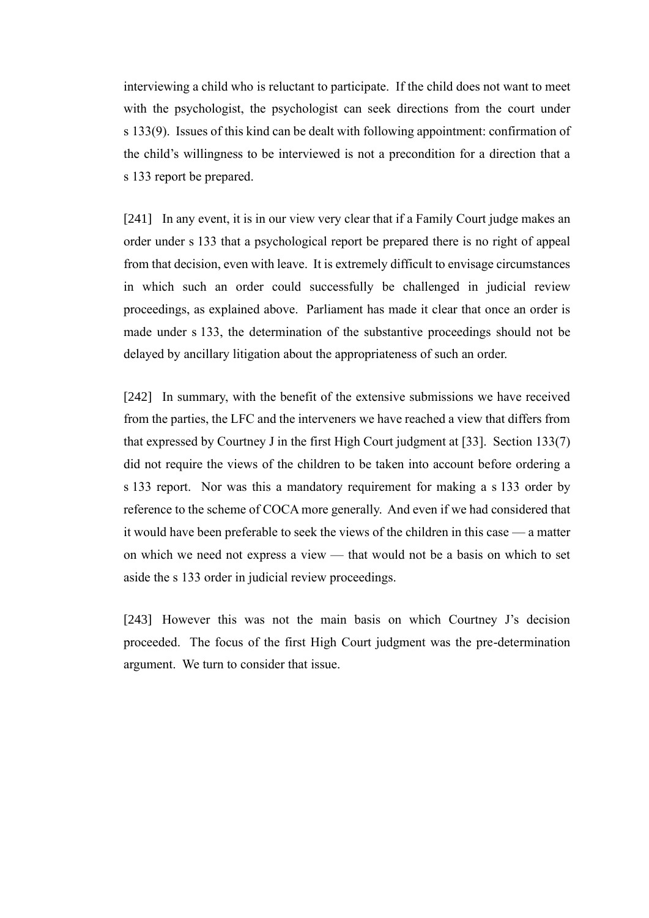interviewing a child who is reluctant to participate. If the child does not want to meet with the psychologist, the psychologist can seek directions from the court under s 133(9). Issues of this kind can be dealt with following appointment: confirmation of the child's willingness to be interviewed is not a precondition for a direction that a s 133 report be prepared.

[241] In any event, it is in our view very clear that if a Family Court judge makes an order under s 133 that a psychological report be prepared there is no right of appeal from that decision, even with leave. It is extremely difficult to envisage circumstances in which such an order could successfully be challenged in judicial review proceedings, as explained above. Parliament has made it clear that once an order is made under s 133, the determination of the substantive proceedings should not be delayed by ancillary litigation about the appropriateness of such an order.

[242] In summary, with the benefit of the extensive submissions we have received from the parties, the LFC and the interveners we have reached a view that differs from that expressed by Courtney J in the first High Court judgment at [33]. Section 133(7) did not require the views of the children to be taken into account before ordering a s 133 report. Nor was this a mandatory requirement for making a s 133 order by reference to the scheme of COCA more generally. And even if we had considered that it would have been preferable to seek the views of the children in this case — a matter on which we need not express a view — that would not be a basis on which to set aside the s 133 order in judicial review proceedings.

[243] However this was not the main basis on which Courtney J's decision proceeded. The focus of the first High Court judgment was the pre-determination argument. We turn to consider that issue.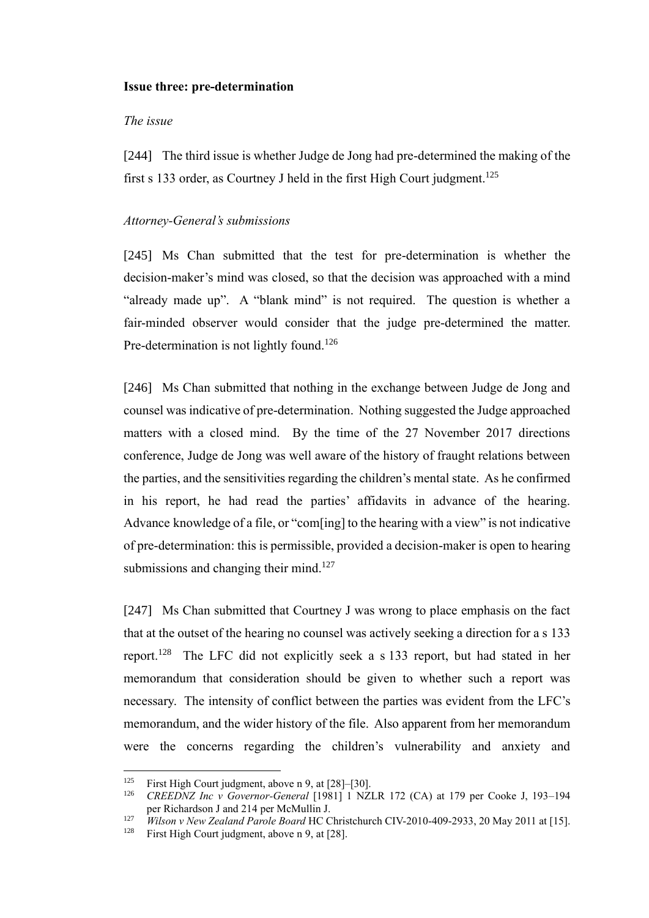#### **Issue three: pre-determination**

## *The issue*

[244] The third issue is whether Judge de Jong had pre-determined the making of the first s 133 order, as Courtney J held in the first High Court judgment.<sup>125</sup>

#### *Attorney-General's submissions*

[245] Ms Chan submitted that the test for pre-determination is whether the decision-maker's mind was closed, so that the decision was approached with a mind "already made up". A "blank mind" is not required. The question is whether a fair-minded observer would consider that the judge pre-determined the matter. Pre-determination is not lightly found.<sup>126</sup>

<span id="page-74-1"></span>[246] Ms Chan submitted that nothing in the exchange between Judge de Jong and counsel was indicative of pre-determination. Nothing suggested the Judge approached matters with a closed mind. By the time of the 27 November 2017 directions conference, Judge de Jong was well aware of the history of fraught relations between the parties, and the sensitivities regarding the children's mental state. As he confirmed in his report, he had read the parties' affidavits in advance of the hearing. Advance knowledge of a file, or "com[ing] to the hearing with a view" is not indicative of pre-determination: this is permissible, provided a decision-maker is open to hearing submissions and changing their mind.<sup>127</sup>

<span id="page-74-0"></span>[247] Ms Chan submitted that Courtney J was wrong to place emphasis on the fact that at the outset of the hearing no counsel was actively seeking a direction for a s 133 report.<sup>128</sup> The LFC did not explicitly seek a s 133 report, but had stated in her memorandum that consideration should be given to whether such a report was necessary. The intensity of conflict between the parties was evident from the LFC's memorandum, and the wider history of the file. Also apparent from her memorandum were the concerns regarding the children's vulnerability and anxiety and

<sup>&</sup>lt;sup>125</sup> First High Court judgment, above n [9,](#page-21-0) at  $[28]-[30]$ .<br><sup>126</sup> CREEDNZ *Inc. y Governor General* [1981] 1 NZ

<sup>126</sup> *CREEDNZ Inc v Governor-General* [1981] 1 NZLR 172 (CA) at 179 per Cooke J, 193–194 per Richardson J and 214 per McMullin J.

<sup>&</sup>lt;sup>127</sup> *Wilson v New Zealand Parole Board* HC Christchurch CIV-2010-409-2933, 20 May 2011 at [15].<br><sup>128</sup> First High Court judgment, above n 9, at [28]

First High Court judgment, above n [9,](#page-21-0) at [28].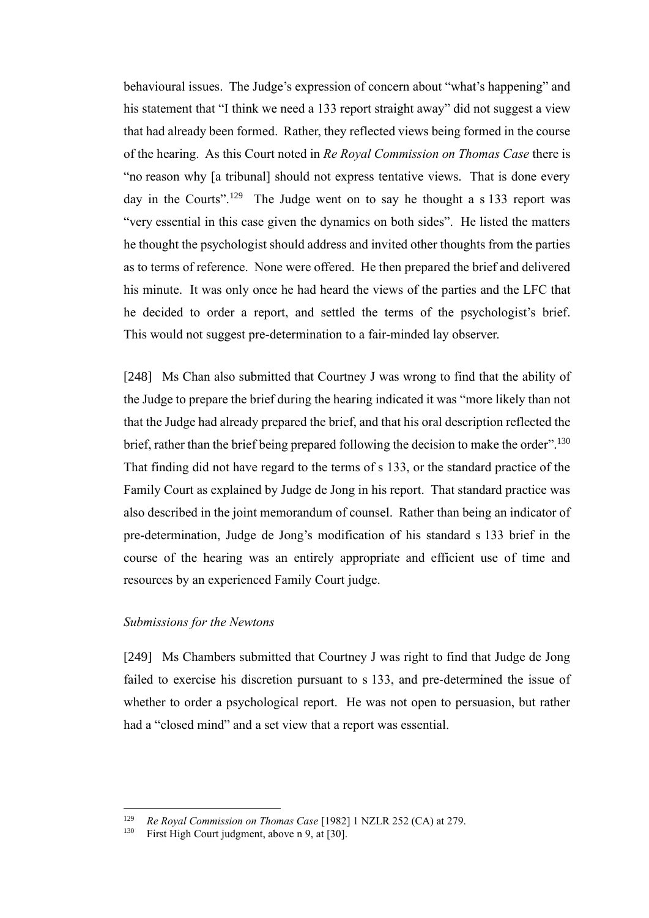behavioural issues. The Judge's expression of concern about "what's happening" and his statement that "I think we need a 133 report straight away" did not suggest a view that had already been formed. Rather, they reflected views being formed in the course of the hearing. As this Court noted in *Re Royal Commission on Thomas Case* there is "no reason why [a tribunal] should not express tentative views. That is done every day in the Courts".<sup>129</sup> The Judge went on to say he thought a s 133 report was "very essential in this case given the dynamics on both sides". He listed the matters he thought the psychologist should address and invited other thoughts from the parties as to terms of reference. None were offered. He then prepared the brief and delivered his minute. It was only once he had heard the views of the parties and the LFC that he decided to order a report, and settled the terms of the psychologist's brief. This would not suggest pre-determination to a fair-minded lay observer.

[248] Ms Chan also submitted that Courtney J was wrong to find that the ability of the Judge to prepare the brief during the hearing indicated it was "more likely than not that the Judge had already prepared the brief, and that his oral description reflected the brief, rather than the brief being prepared following the decision to make the order".<sup>130</sup> That finding did not have regard to the terms of s 133, or the standard practice of the Family Court as explained by Judge de Jong in his report. That standard practice was also described in the joint memorandum of counsel. Rather than being an indicator of pre-determination, Judge de Jong's modification of his standard s 133 brief in the course of the hearing was an entirely appropriate and efficient use of time and resources by an experienced Family Court judge.

#### *Submissions for the Newtons*

[249] Ms Chambers submitted that Courtney J was right to find that Judge de Jong failed to exercise his discretion pursuant to s 133, and pre-determined the issue of whether to order a psychological report. He was not open to persuasion, but rather had a "closed mind" and a set view that a report was essential.

<sup>129</sup> *Re Royal Commission on Thomas Case* [1982] 1 NZLR 252 (CA) at 279.

First High Court judgment, above n [9,](#page-21-0) at [30].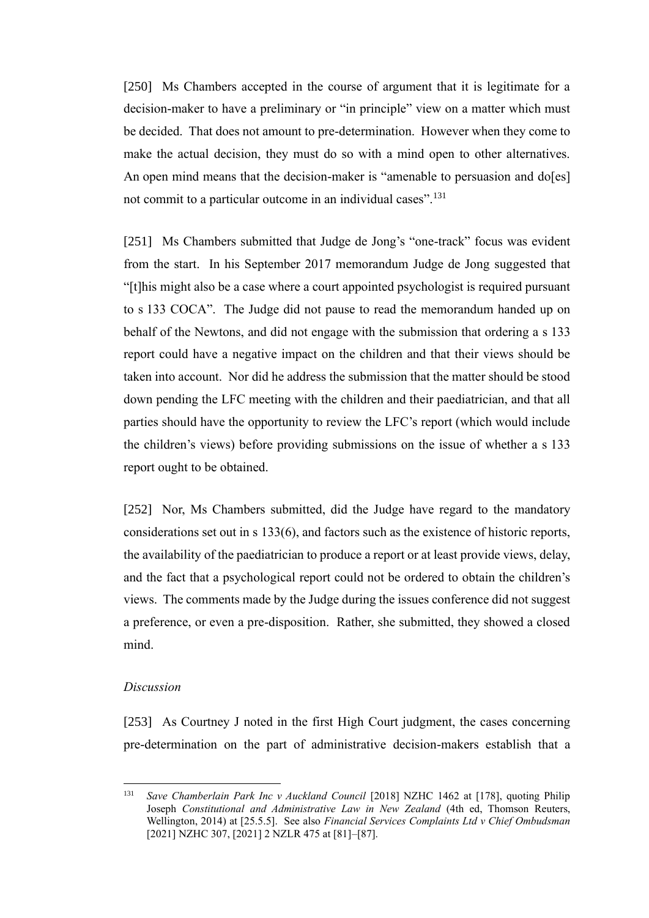[250] Ms Chambers accepted in the course of argument that it is legitimate for a decision-maker to have a preliminary or "in principle" view on a matter which must be decided. That does not amount to pre-determination. However when they come to make the actual decision, they must do so with a mind open to other alternatives. An open mind means that the decision-maker is "amenable to persuasion and do[es] not commit to a particular outcome in an individual cases".<sup>131</sup>

[251] Ms Chambers submitted that Judge de Jong's "one-track" focus was evident from the start. In his September 2017 memorandum Judge de Jong suggested that "[t]his might also be a case where a court appointed psychologist is required pursuant to s 133 COCA". The Judge did not pause to read the memorandum handed up on behalf of the Newtons, and did not engage with the submission that ordering a s 133 report could have a negative impact on the children and that their views should be taken into account. Nor did he address the submission that the matter should be stood down pending the LFC meeting with the children and their paediatrician, and that all parties should have the opportunity to review the LFC's report (which would include the children's views) before providing submissions on the issue of whether a s 133 report ought to be obtained.

[252] Nor, Ms Chambers submitted, did the Judge have regard to the mandatory considerations set out in s 133(6), and factors such as the existence of historic reports, the availability of the paediatrician to produce a report or at least provide views, delay, and the fact that a psychological report could not be ordered to obtain the children's views. The comments made by the Judge during the issues conference did not suggest a preference, or even a pre-disposition. Rather, she submitted, they showed a closed mind.

## *Discussion*

[253] As Courtney J noted in the first High Court judgment, the cases concerning pre-determination on the part of administrative decision-makers establish that a

<sup>&</sup>lt;sup>131</sup> *Save Chamberlain Park Inc v Auckland Council* [2018] NZHC 1462 at [178], quoting Philip Joseph *Constitutional and Administrative Law in New Zealand* (4th ed, Thomson Reuters, Wellington, 2014) at [25.5.5]. See also *Financial Services Complaints Ltd v Chief Ombudsman*  [2021] NZHC 307, [2021] 2 NZLR 475 at [81]–[87].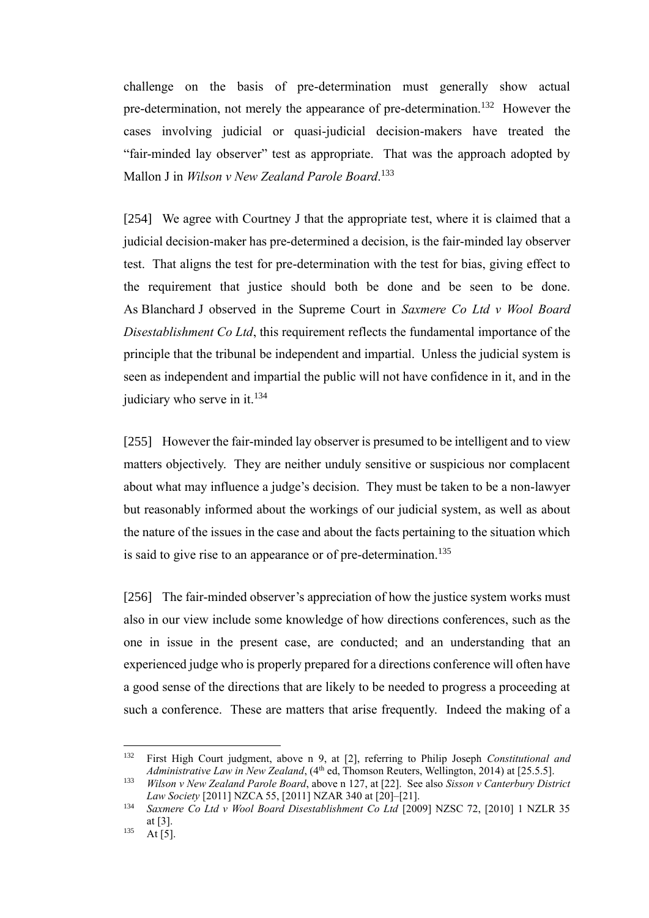challenge on the basis of pre-determination must generally show actual pre-determination, not merely the appearance of pre-determination.<sup>132</sup> However the cases involving judicial or quasi-judicial decision-makers have treated the "fair-minded lay observer" test as appropriate. That was the approach adopted by Mallon J in *Wilson v New Zealand Parole Board*. 133

[254] We agree with Courtney J that the appropriate test, where it is claimed that a judicial decision-maker has pre-determined a decision, is the fair-minded lay observer test. That aligns the test for pre-determination with the test for bias, giving effect to the requirement that justice should both be done and be seen to be done. As Blanchard J observed in the Supreme Court in *Saxmere Co Ltd v Wool Board Disestablishment Co Ltd*, this requirement reflects the fundamental importance of the principle that the tribunal be independent and impartial. Unless the judicial system is seen as independent and impartial the public will not have confidence in it, and in the judiciary who serve in it.<sup>134</sup>

[255] However the fair-minded lay observer is presumed to be intelligent and to view matters objectively. They are neither unduly sensitive or suspicious nor complacent about what may influence a judge's decision. They must be taken to be a non-lawyer but reasonably informed about the workings of our judicial system, as well as about the nature of the issues in the case and about the facts pertaining to the situation which is said to give rise to an appearance or of pre-determination.<sup>135</sup>

[256] The fair-minded observer's appreciation of how the justice system works must also in our view include some knowledge of how directions conferences, such as the one in issue in the present case, are conducted; and an understanding that an experienced judge who is properly prepared for a directions conference will often have a good sense of the directions that are likely to be needed to progress a proceeding at such a conference. These are matters that arise frequently. Indeed the making of a

<sup>132</sup> First High Court judgment, above n [9,](#page-21-0) at [2], referring to Philip Joseph *Constitutional and Administrative Law in New Zealand*, (4<sup>th</sup> ed, Thomson Reuters, Wellington, 2014) at [25.5.5].

<sup>133</sup> *Wilson v New Zealand Parole Board*, above n [127,](#page-74-0) at [22]. See also *Sisson v Canterbury District Law Society* [2011] NZCA 55, [2011] NZAR 340 at [20]–[21].

<sup>134</sup> *Saxmere Co Ltd v Wool Board Disestablishment Co Ltd* [2009] NZSC 72, [2010] 1 NZLR 35 at [3].

 $135$  At [5].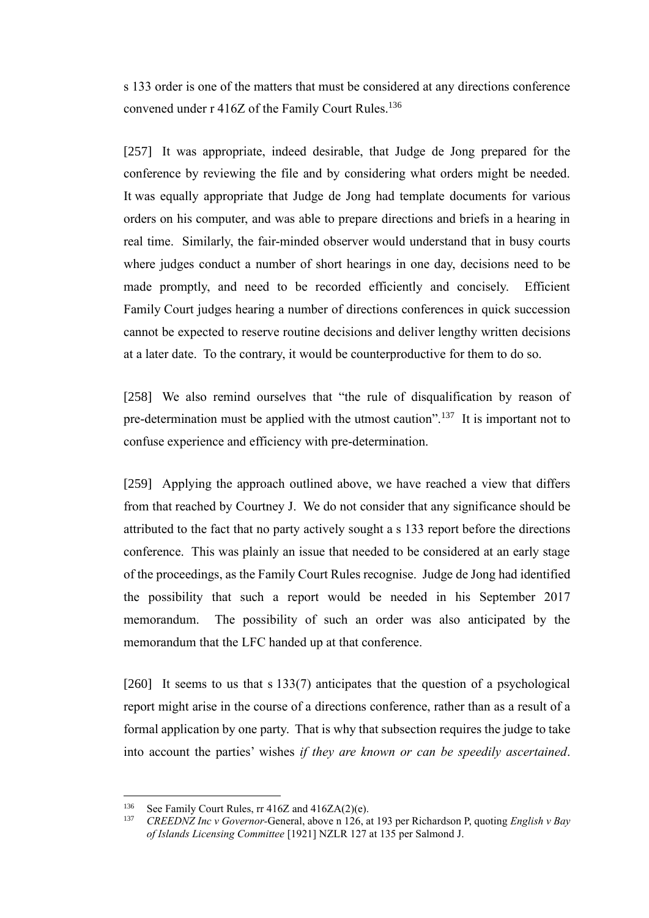s 133 order is one of the matters that must be considered at any directions conference convened under r 416Z of the Family Court Rules.<sup>136</sup>

[257] It was appropriate, indeed desirable, that Judge de Jong prepared for the conference by reviewing the file and by considering what orders might be needed. It was equally appropriate that Judge de Jong had template documents for various orders on his computer, and was able to prepare directions and briefs in a hearing in real time. Similarly, the fair-minded observer would understand that in busy courts where judges conduct a number of short hearings in one day, decisions need to be made promptly, and need to be recorded efficiently and concisely. Efficient Family Court judges hearing a number of directions conferences in quick succession cannot be expected to reserve routine decisions and deliver lengthy written decisions at a later date. To the contrary, it would be counterproductive for them to do so.

[258] We also remind ourselves that "the rule of disqualification by reason of pre-determination must be applied with the utmost caution".<sup>137</sup> It is important not to confuse experience and efficiency with pre-determination.

[259] Applying the approach outlined above, we have reached a view that differs from that reached by Courtney J. We do not consider that any significance should be attributed to the fact that no party actively sought a s 133 report before the directions conference. This was plainly an issue that needed to be considered at an early stage of the proceedings, as the Family Court Rules recognise. Judge de Jong had identified the possibility that such a report would be needed in his September 2017 memorandum. The possibility of such an order was also anticipated by the memorandum that the LFC handed up at that conference.

[260] It seems to us that s 133(7) anticipates that the question of a psychological report might arise in the course of a directions conference, rather than as a result of a formal application by one party. That is why that subsection requires the judge to take into account the parties' wishes *if they are known or can be speedily ascertained*.

<sup>&</sup>lt;sup>136</sup> See Family Court Rules, rr 416Z and 416ZA(2)(e).<br><sup>137</sup> CREEDVZ Inc.y Courmon Canaral, above a 126 a

<sup>137</sup> *CREEDNZ Inc v Governor-*General, above [n 126,](#page-74-1) at 193 per Richardson P, quoting *English v Bay of Islands Licensing Committee* [1921] NZLR 127 at 135 per Salmond J.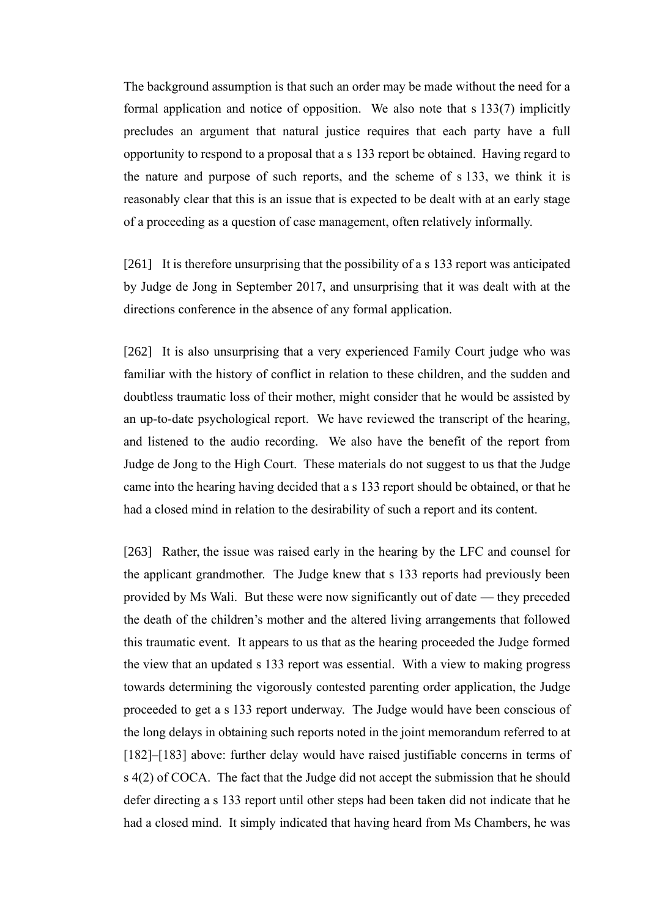The background assumption is that such an order may be made without the need for a formal application and notice of opposition. We also note that s 133(7) implicitly precludes an argument that natural justice requires that each party have a full opportunity to respond to a proposal that a s 133 report be obtained. Having regard to the nature and purpose of such reports, and the scheme of s 133, we think it is reasonably clear that this is an issue that is expected to be dealt with at an early stage of a proceeding as a question of case management, often relatively informally.

[261] It is therefore unsurprising that the possibility of a s 133 report was anticipated by Judge de Jong in September 2017, and unsurprising that it was dealt with at the directions conference in the absence of any formal application.

[262] It is also unsurprising that a very experienced Family Court judge who was familiar with the history of conflict in relation to these children, and the sudden and doubtless traumatic loss of their mother, might consider that he would be assisted by an up-to-date psychological report. We have reviewed the transcript of the hearing, and listened to the audio recording. We also have the benefit of the report from Judge de Jong to the High Court. These materials do not suggest to us that the Judge came into the hearing having decided that a s 133 report should be obtained, or that he had a closed mind in relation to the desirability of such a report and its content.

[263] Rather, the issue was raised early in the hearing by the LFC and counsel for the applicant grandmother. The Judge knew that s 133 reports had previously been provided by Ms Wali. But these were now significantly out of date — they preceded the death of the children's mother and the altered living arrangements that followed this traumatic event. It appears to us that as the hearing proceeded the Judge formed the view that an updated s 133 report was essential. With a view to making progress towards determining the vigorously contested parenting order application, the Judge proceeded to get a s 133 report underway. The Judge would have been conscious of the long delays in obtaining such reports noted in the joint memorandum referred to at [\[182\]–](#page-55-0)[\[183\]](#page-55-1) above: further delay would have raised justifiable concerns in terms of s 4(2) of COCA. The fact that the Judge did not accept the submission that he should defer directing a s 133 report until other steps had been taken did not indicate that he had a closed mind. It simply indicated that having heard from Ms Chambers, he was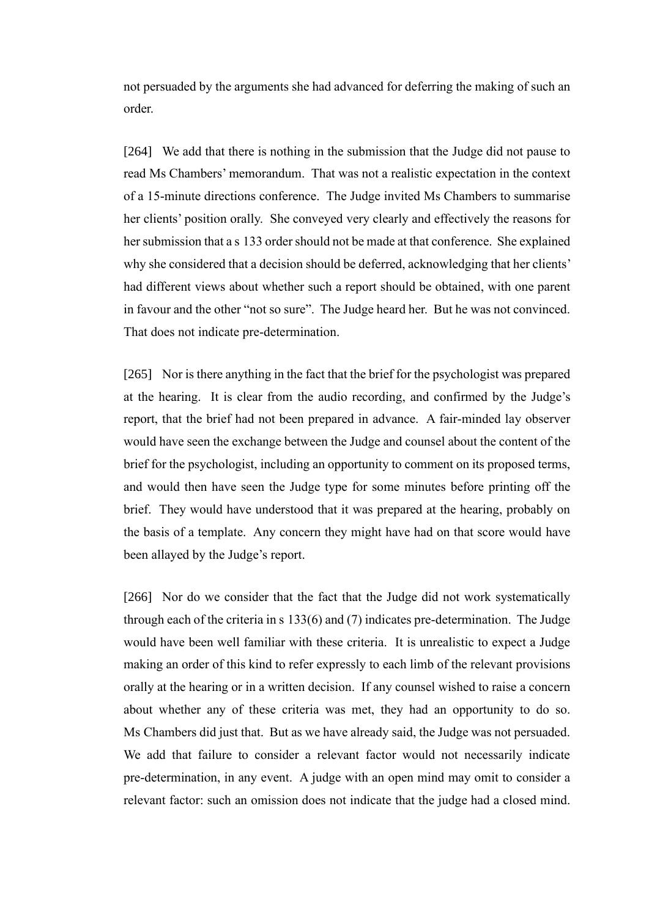not persuaded by the arguments she had advanced for deferring the making of such an order.

[264] We add that there is nothing in the submission that the Judge did not pause to read Ms Chambers' memorandum. That was not a realistic expectation in the context of a 15-minute directions conference. The Judge invited Ms Chambers to summarise her clients' position orally. She conveyed very clearly and effectively the reasons for her submission that a s 133 order should not be made at that conference. She explained why she considered that a decision should be deferred, acknowledging that her clients' had different views about whether such a report should be obtained, with one parent in favour and the other "not so sure". The Judge heard her. But he was not convinced. That does not indicate pre-determination.

[265] Nor is there anything in the fact that the brief for the psychologist was prepared at the hearing. It is clear from the audio recording, and confirmed by the Judge's report, that the brief had not been prepared in advance. A fair-minded lay observer would have seen the exchange between the Judge and counsel about the content of the brief for the psychologist, including an opportunity to comment on its proposed terms, and would then have seen the Judge type for some minutes before printing off the brief. They would have understood that it was prepared at the hearing, probably on the basis of a template. Any concern they might have had on that score would have been allayed by the Judge's report.

[266] Nor do we consider that the fact that the Judge did not work systematically through each of the criteria in s 133(6) and (7) indicates pre-determination. The Judge would have been well familiar with these criteria. It is unrealistic to expect a Judge making an order of this kind to refer expressly to each limb of the relevant provisions orally at the hearing or in a written decision. If any counsel wished to raise a concern about whether any of these criteria was met, they had an opportunity to do so. Ms Chambers did just that. But as we have already said, the Judge was not persuaded. We add that failure to consider a relevant factor would not necessarily indicate pre-determination, in any event. A judge with an open mind may omit to consider a relevant factor: such an omission does not indicate that the judge had a closed mind.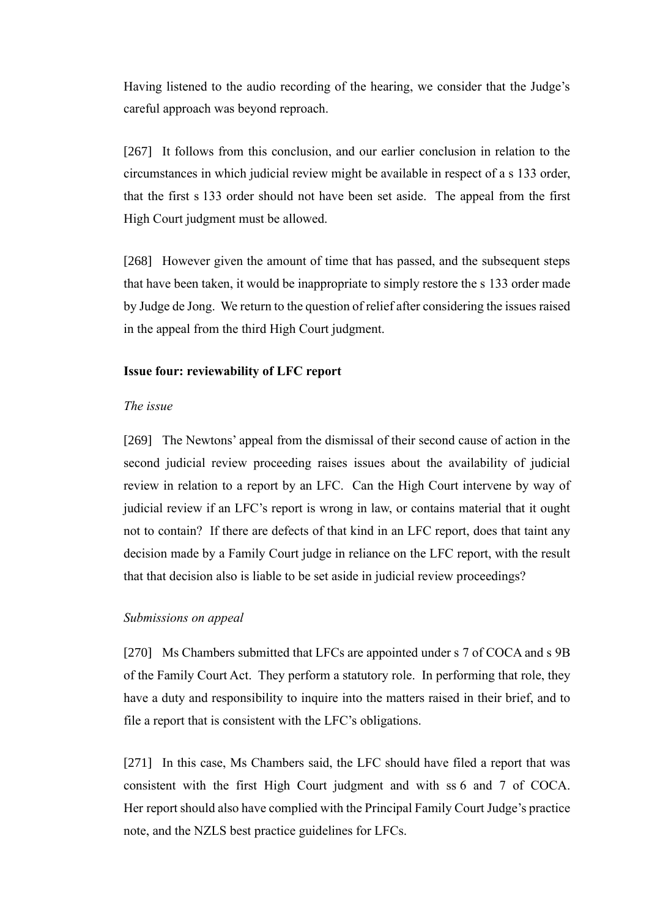Having listened to the audio recording of the hearing, we consider that the Judge's careful approach was beyond reproach.

[267] It follows from this conclusion, and our earlier conclusion in relation to the circumstances in which judicial review might be available in respect of a s 133 order, that the first s 133 order should not have been set aside. The appeal from the first High Court judgment must be allowed.

[268] However given the amount of time that has passed, and the subsequent steps that have been taken, it would be inappropriate to simply restore the s 133 order made by Judge de Jong. We return to the question of relief after considering the issues raised in the appeal from the third High Court judgment.

## **Issue four: reviewability of LFC report**

#### *The issue*

[269] The Newtons' appeal from the dismissal of their second cause of action in the second judicial review proceeding raises issues about the availability of judicial review in relation to a report by an LFC. Can the High Court intervene by way of judicial review if an LFC's report is wrong in law, or contains material that it ought not to contain? If there are defects of that kind in an LFC report, does that taint any decision made by a Family Court judge in reliance on the LFC report, with the result that that decision also is liable to be set aside in judicial review proceedings?

#### *Submissions on appeal*

[270] Ms Chambers submitted that LFCs are appointed under s 7 of COCA and s 9B of the Family Court Act. They perform a statutory role. In performing that role, they have a duty and responsibility to inquire into the matters raised in their brief, and to file a report that is consistent with the LFC's obligations.

[271] In this case, Ms Chambers said, the LFC should have filed a report that was consistent with the first High Court judgment and with ss 6 and 7 of COCA. Her report should also have complied with the Principal Family Court Judge's practice note, and the NZLS best practice guidelines for LFCs.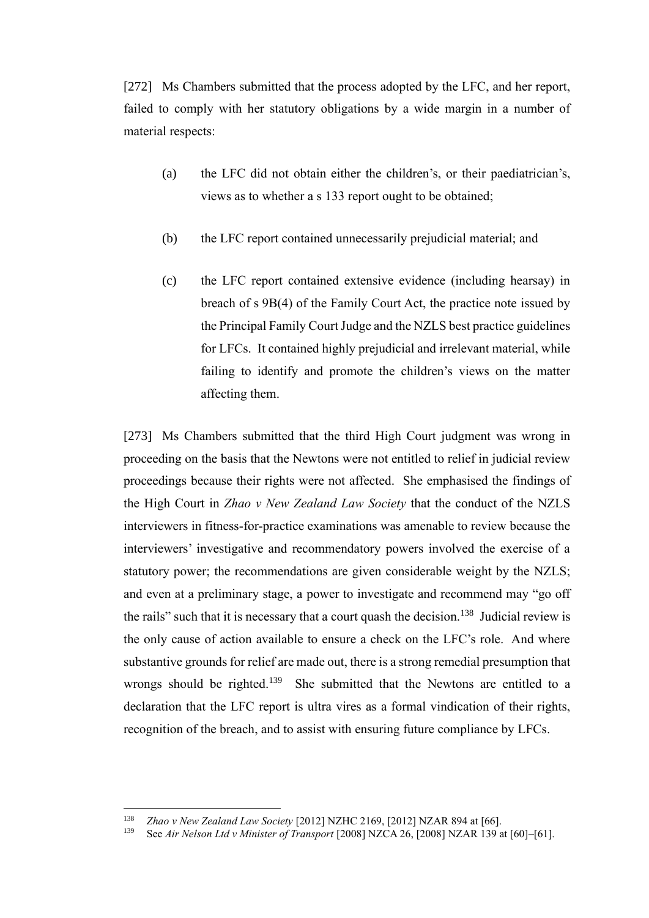[272] Ms Chambers submitted that the process adopted by the LFC, and her report, failed to comply with her statutory obligations by a wide margin in a number of material respects:

- (a) the LFC did not obtain either the children's, or their paediatrician's, views as to whether a s 133 report ought to be obtained;
- (b) the LFC report contained unnecessarily prejudicial material; and
- (c) the LFC report contained extensive evidence (including hearsay) in breach of s 9B(4) of the Family Court Act, the practice note issued by the Principal Family Court Judge and the NZLS best practice guidelines for LFCs. It contained highly prejudicial and irrelevant material, while failing to identify and promote the children's views on the matter affecting them.

[273] Ms Chambers submitted that the third High Court judgment was wrong in proceeding on the basis that the Newtons were not entitled to relief in judicial review proceedings because their rights were not affected. She emphasised the findings of the High Court in *Zhao v New Zealand Law Society* that the conduct of the NZLS interviewers in fitness-for-practice examinations was amenable to review because the interviewers' investigative and recommendatory powers involved the exercise of a statutory power; the recommendations are given considerable weight by the NZLS; and even at a preliminary stage, a power to investigate and recommend may "go off the rails" such that it is necessary that a court quash the decision.<sup>138</sup> Judicial review is the only cause of action available to ensure a check on the LFC's role. And where substantive grounds for relief are made out, there is a strong remedial presumption that wrongs should be righted.<sup>139</sup> She submitted that the Newtons are entitled to a declaration that the LFC report is ultra vires as a formal vindication of their rights, recognition of the breach, and to assist with ensuring future compliance by LFCs.

<sup>138</sup> *Zhao v New Zealand Law Society* [2012] NZHC 2169, [2012] NZAR 894 at [66].

<sup>139</sup> See *Air Nelson Ltd v Minister of Transport* [2008] NZCA 26, [2008] NZAR 139 at [60]–[61].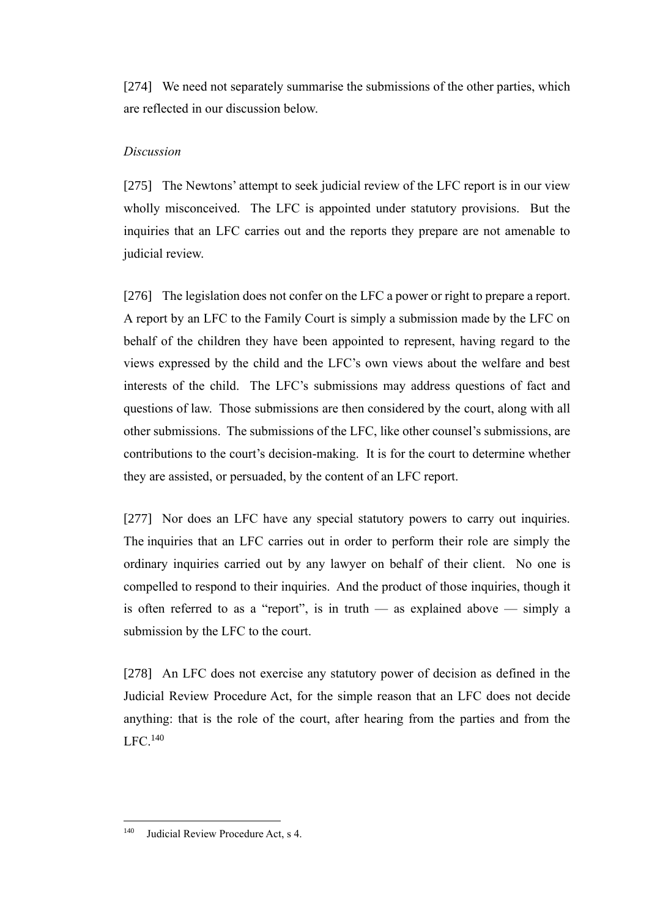[274] We need not separately summarise the submissions of the other parties, which are reflected in our discussion below.

## *Discussion*

[275] The Newtons' attempt to seek judicial review of the LFC report is in our view wholly misconceived. The LFC is appointed under statutory provisions. But the inquiries that an LFC carries out and the reports they prepare are not amenable to judicial review.

[276] The legislation does not confer on the LFC a power or right to prepare a report. A report by an LFC to the Family Court is simply a submission made by the LFC on behalf of the children they have been appointed to represent, having regard to the views expressed by the child and the LFC's own views about the welfare and best interests of the child. The LFC's submissions may address questions of fact and questions of law. Those submissions are then considered by the court, along with all other submissions. The submissions of the LFC, like other counsel's submissions, are contributions to the court's decision-making. It is for the court to determine whether they are assisted, or persuaded, by the content of an LFC report.

[277] Nor does an LFC have any special statutory powers to carry out inquiries. The inquiries that an LFC carries out in order to perform their role are simply the ordinary inquiries carried out by any lawyer on behalf of their client. No one is compelled to respond to their inquiries. And the product of those inquiries, though it is often referred to as a "report", is in truth — as explained above — simply a submission by the LFC to the court.

[278] An LFC does not exercise any statutory power of decision as defined in the Judicial Review Procedure Act, for the simple reason that an LFC does not decide anything: that is the role of the court, after hearing from the parties and from the LFC. 140

<sup>140</sup> Judicial Review Procedure Act, s 4.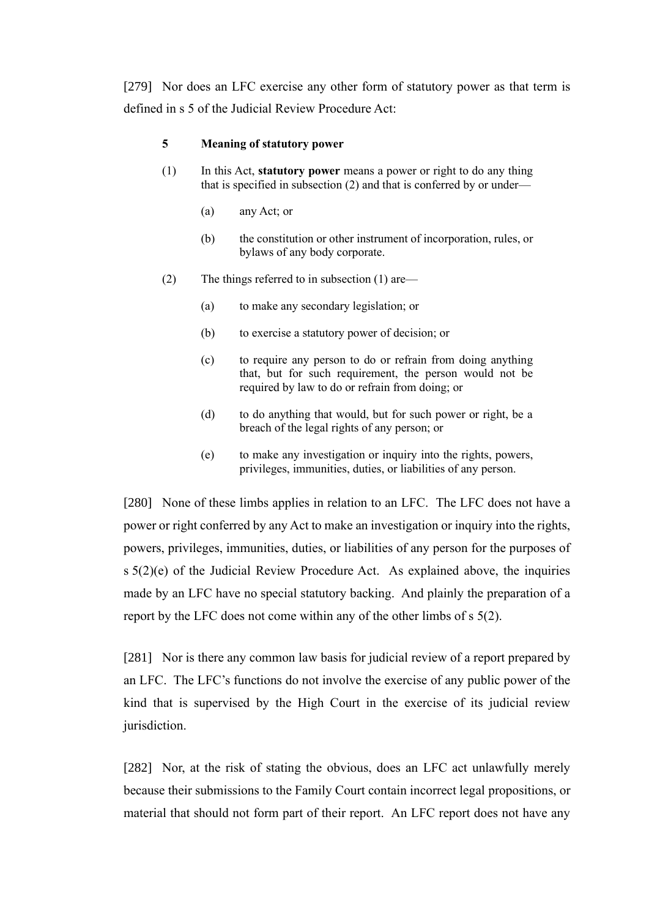[279] Nor does an LFC exercise any other form of statutory power as that term is defined in s 5 of the Judicial Review Procedure Act:

#### **5 Meaning of statutory power**

- (1) In this Act, **statutory power** means a power or right to do any thing that is specified in subsection (2) and that is conferred by or under—
	- (a) any Act; or
	- (b) the constitution or other instrument of incorporation, rules, or bylaws of any body corporate.
- (2) The things referred to in subsection (1) are—
	- (a) to make any secondary legislation; or
	- (b) to exercise a statutory power of decision; or
	- (c) to require any person to do or refrain from doing anything that, but for such requirement, the person would not be required by law to do or refrain from doing; or
	- (d) to do anything that would, but for such power or right, be a breach of the legal rights of any person; or
	- (e) to make any investigation or inquiry into the rights, powers, privileges, immunities, duties, or liabilities of any person.

[280] None of these limbs applies in relation to an LFC. The LFC does not have a power or right conferred by any Act to make an investigation or inquiry into the rights, powers, privileges, immunities, duties, or liabilities of any person for the purposes of  $s 5(2)(e)$  of the Judicial Review Procedure Act. As explained above, the inquiries made by an LFC have no special statutory backing. And plainly the preparation of a report by the LFC does not come within any of the other limbs of s 5(2).

[281] Nor is there any common law basis for judicial review of a report prepared by an LFC. The LFC's functions do not involve the exercise of any public power of the kind that is supervised by the High Court in the exercise of its judicial review jurisdiction.

[282] Nor, at the risk of stating the obvious, does an LFC act unlawfully merely because their submissions to the Family Court contain incorrect legal propositions, or material that should not form part of their report. An LFC report does not have any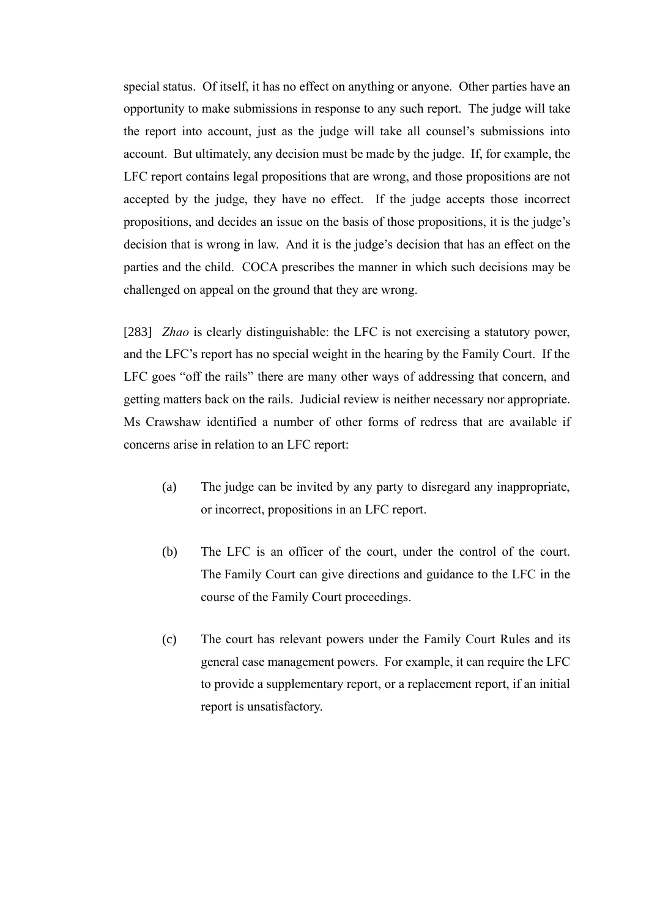special status. Of itself, it has no effect on anything or anyone. Other parties have an opportunity to make submissions in response to any such report. The judge will take the report into account, just as the judge will take all counsel's submissions into account. But ultimately, any decision must be made by the judge. If, for example, the LFC report contains legal propositions that are wrong, and those propositions are not accepted by the judge, they have no effect. If the judge accepts those incorrect propositions, and decides an issue on the basis of those propositions, it is the judge's decision that is wrong in law. And it is the judge's decision that has an effect on the parties and the child. COCA prescribes the manner in which such decisions may be challenged on appeal on the ground that they are wrong.

[283] *Zhao* is clearly distinguishable: the LFC is not exercising a statutory power, and the LFC's report has no special weight in the hearing by the Family Court. If the LFC goes "off the rails" there are many other ways of addressing that concern, and getting matters back on the rails. Judicial review is neither necessary nor appropriate. Ms Crawshaw identified a number of other forms of redress that are available if concerns arise in relation to an LFC report:

- (a) The judge can be invited by any party to disregard any inappropriate, or incorrect, propositions in an LFC report.
- (b) The LFC is an officer of the court, under the control of the court. The Family Court can give directions and guidance to the LFC in the course of the Family Court proceedings.
- (c) The court has relevant powers under the Family Court Rules and its general case management powers. For example, it can require the LFC to provide a supplementary report, or a replacement report, if an initial report is unsatisfactory.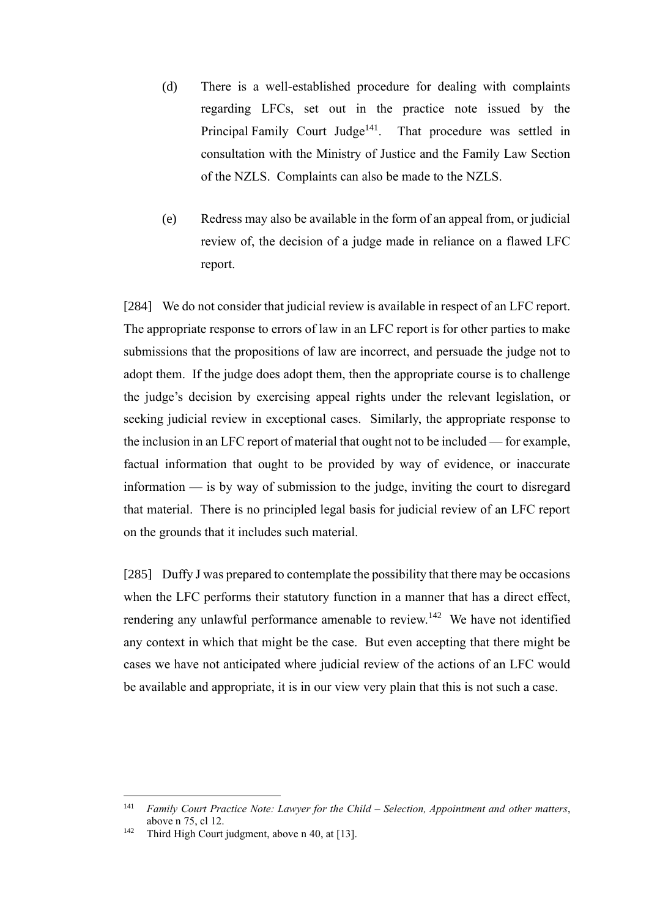- (d) There is a well-established procedure for dealing with complaints regarding LFCs, set out in the practice note issued by the Principal Family Court Judge<sup>141</sup>. That procedure was settled in consultation with the Ministry of Justice and the Family Law Section of the NZLS. Complaints can also be made to the NZLS.
- (e) Redress may also be available in the form of an appeal from, or judicial review of, the decision of a judge made in reliance on a flawed LFC report.

[284] We do not consider that judicial review is available in respect of an LFC report. The appropriate response to errors of law in an LFC report is for other parties to make submissions that the propositions of law are incorrect, and persuade the judge not to adopt them. If the judge does adopt them, then the appropriate course is to challenge the judge's decision by exercising appeal rights under the relevant legislation, or seeking judicial review in exceptional cases. Similarly, the appropriate response to the inclusion in an LFC report of material that ought not to be included — for example, factual information that ought to be provided by way of evidence, or inaccurate information — is by way of submission to the judge, inviting the court to disregard that material. There is no principled legal basis for judicial review of an LFC report on the grounds that it includes such material.

[285] Duffy J was prepared to contemplate the possibility that there may be occasions when the LFC performs their statutory function in a manner that has a direct effect, rendering any unlawful performance amenable to review.<sup>142</sup> We have not identified any context in which that might be the case. But even accepting that there might be cases we have not anticipated where judicial review of the actions of an LFC would be available and appropriate, it is in our view very plain that this is not such a case.

<sup>141</sup> *Family Court Practice Note: Lawyer for the Child – Selection, Appointment and other matters*, above [n 75,](#page-38-0) cl 12.

<sup>&</sup>lt;sup>142</sup> Third High Court judgment, above n [40,](#page-30-0) at [13].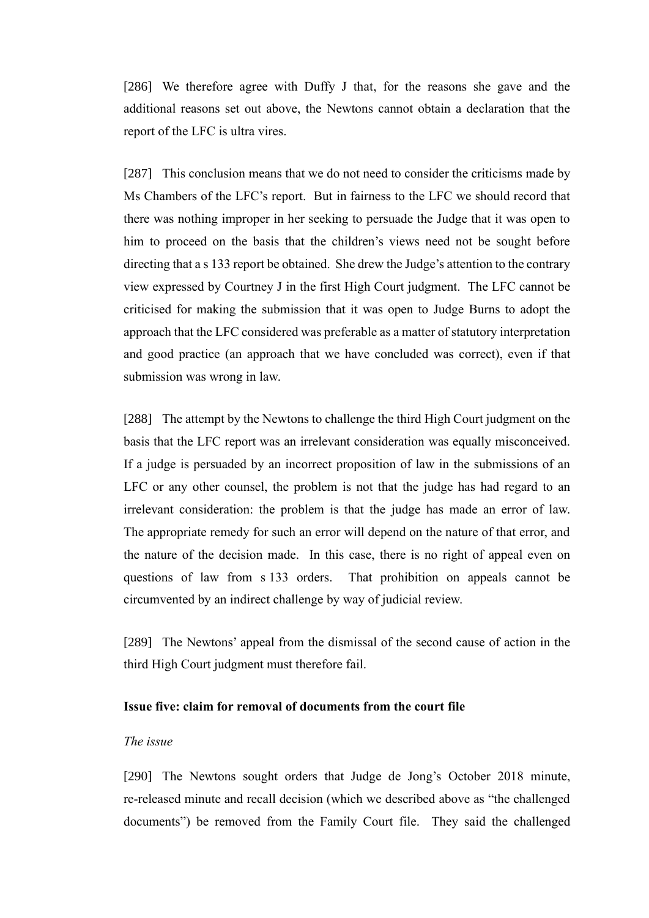[286] We therefore agree with Duffy J that, for the reasons she gave and the additional reasons set out above, the Newtons cannot obtain a declaration that the report of the LFC is ultra vires.

[287] This conclusion means that we do not need to consider the criticisms made by Ms Chambers of the LFC's report. But in fairness to the LFC we should record that there was nothing improper in her seeking to persuade the Judge that it was open to him to proceed on the basis that the children's views need not be sought before directing that a s 133 report be obtained. She drew the Judge's attention to the contrary view expressed by Courtney J in the first High Court judgment. The LFC cannot be criticised for making the submission that it was open to Judge Burns to adopt the approach that the LFC considered was preferable as a matter of statutory interpretation and good practice (an approach that we have concluded was correct), even if that submission was wrong in law.

[288] The attempt by the Newtons to challenge the third High Court judgment on the basis that the LFC report was an irrelevant consideration was equally misconceived. If a judge is persuaded by an incorrect proposition of law in the submissions of an LFC or any other counsel, the problem is not that the judge has had regard to an irrelevant consideration: the problem is that the judge has made an error of law. The appropriate remedy for such an error will depend on the nature of that error, and the nature of the decision made. In this case, there is no right of appeal even on questions of law from s 133 orders. That prohibition on appeals cannot be circumvented by an indirect challenge by way of judicial review.

[289] The Newtons' appeal from the dismissal of the second cause of action in the third High Court judgment must therefore fail.

#### **Issue five: claim for removal of documents from the court file**

## *The issue*

[290] The Newtons sought orders that Judge de Jong's October 2018 minute, re-released minute and recall decision (which we described above as "the challenged documents") be removed from the Family Court file. They said the challenged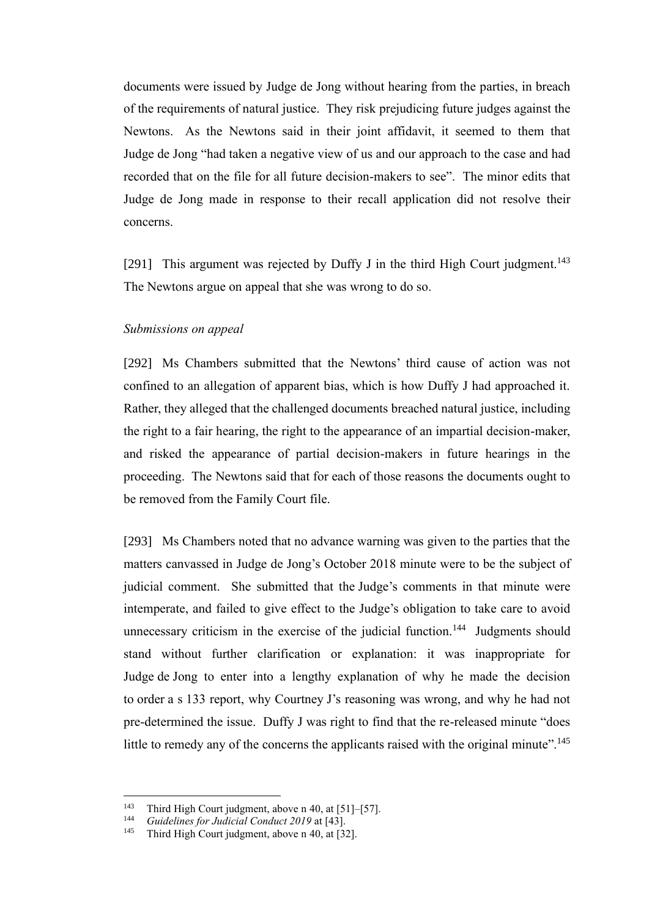documents were issued by Judge de Jong without hearing from the parties, in breach of the requirements of natural justice. They risk prejudicing future judges against the Newtons. As the Newtons said in their joint affidavit, it seemed to them that Judge de Jong "had taken a negative view of us and our approach to the case and had recorded that on the file for all future decision-makers to see". The minor edits that Judge de Jong made in response to their recall application did not resolve their concerns.

[291] This argument was rejected by Duffy J in the third High Court judgment.<sup>143</sup> The Newtons argue on appeal that she was wrong to do so.

#### *Submissions on appeal*

[292] Ms Chambers submitted that the Newtons' third cause of action was not confined to an allegation of apparent bias, which is how Duffy J had approached it. Rather, they alleged that the challenged documents breached natural justice, including the right to a fair hearing, the right to the appearance of an impartial decision-maker, and risked the appearance of partial decision-makers in future hearings in the proceeding. The Newtons said that for each of those reasons the documents ought to be removed from the Family Court file.

[293] Ms Chambers noted that no advance warning was given to the parties that the matters canvassed in Judge de Jong's October 2018 minute were to be the subject of judicial comment. She submitted that the Judge's comments in that minute were intemperate, and failed to give effect to the Judge's obligation to take care to avoid unnecessary criticism in the exercise of the judicial function.<sup>144</sup> Judgments should stand without further clarification or explanation: it was inappropriate for Judge de Jong to enter into a lengthy explanation of why he made the decision to order a s 133 report, why Courtney J's reasoning was wrong, and why he had not pre-determined the issue. Duffy J was right to find that the re-released minute "does little to remedy any of the concerns the applicants raised with the original minute".<sup>145</sup>

<sup>&</sup>lt;sup>143</sup> Third High Court judgment, above n [40,](#page-30-0) at [51]–[57].

<sup>144</sup> *Guidelines for Judicial Conduct 2019* at [43].

Third High Court judgment, above n [40,](#page-30-0) at [32].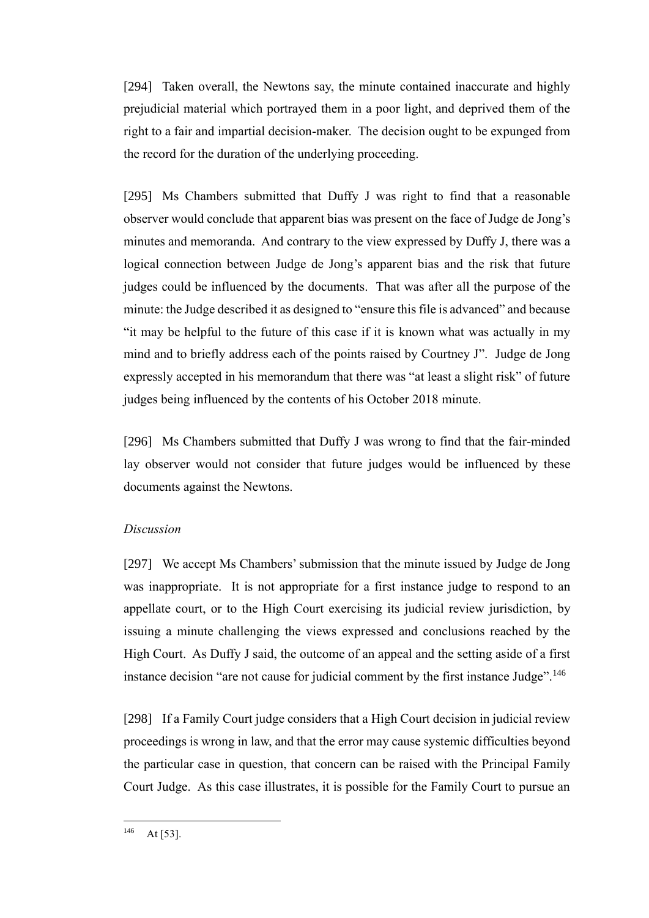[294] Taken overall, the Newtons say, the minute contained inaccurate and highly prejudicial material which portrayed them in a poor light, and deprived them of the right to a fair and impartial decision-maker. The decision ought to be expunged from the record for the duration of the underlying proceeding.

[295] Ms Chambers submitted that Duffy J was right to find that a reasonable observer would conclude that apparent bias was present on the face of Judge de Jong's minutes and memoranda. And contrary to the view expressed by Duffy J, there was a logical connection between Judge de Jong's apparent bias and the risk that future judges could be influenced by the documents. That was after all the purpose of the minute: the Judge described it as designed to "ensure this file is advanced" and because "it may be helpful to the future of this case if it is known what was actually in my mind and to briefly address each of the points raised by Courtney J". Judge de Jong expressly accepted in his memorandum that there was "at least a slight risk" of future judges being influenced by the contents of his October 2018 minute.

[296] Ms Chambers submitted that Duffy J was wrong to find that the fair-minded lay observer would not consider that future judges would be influenced by these documents against the Newtons.

#### *Discussion*

[297] We accept Ms Chambers' submission that the minute issued by Judge de Jong was inappropriate. It is not appropriate for a first instance judge to respond to an appellate court, or to the High Court exercising its judicial review jurisdiction, by issuing a minute challenging the views expressed and conclusions reached by the High Court. As Duffy J said, the outcome of an appeal and the setting aside of a first instance decision "are not cause for judicial comment by the first instance Judge".<sup>146</sup>

[298] If a Family Court judge considers that a High Court decision in judicial review proceedings is wrong in law, and that the error may cause systemic difficulties beyond the particular case in question, that concern can be raised with the Principal Family Court Judge. As this case illustrates, it is possible for the Family Court to pursue an

 $146$  At [53].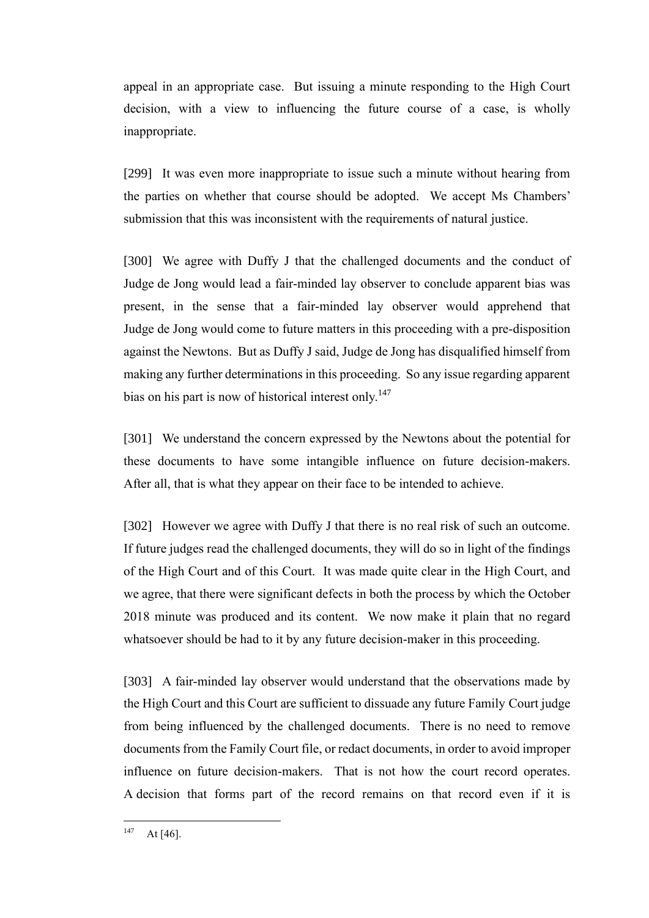appeal in an appropriate case. But issuing a minute responding to the High Court decision, with a view to influencing the future course of a case, is wholly inappropriate.

[299] It was even more inappropriate to issue such a minute without hearing from the parties on whether that course should be adopted. We accept Ms Chambers' submission that this was inconsistent with the requirements of natural justice.

[300] We agree with Duffy J that the challenged documents and the conduct of Judge de Jong would lead a fair-minded lay observer to conclude apparent bias was present, in the sense that a fair-minded lay observer would apprehend that Judge de Jong would come to future matters in this proceeding with a pre-disposition against the Newtons. But as Duffy J said, Judge de Jong has disqualified himself from making any further determinations in this proceeding. So any issue regarding apparent bias on his part is now of historical interest only.<sup>147</sup>

[301] We understand the concern expressed by the Newtons about the potential for these documents to have some intangible influence on future decision-makers. After all, that is what they appear on their face to be intended to achieve.

[302] However we agree with Duffy J that there is no real risk of such an outcome. If future judges read the challenged documents, they will do so in light of the findings of the High Court and of this Court. It was made quite clear in the High Court, and we agree, that there were significant defects in both the process by which the October 2018 minute was produced and its content. We now make it plain that no regard whatsoever should be had to it by any future decision-maker in this proceeding.

[303] A fair-minded lay observer would understand that the observations made by the High Court and this Court are sufficient to dissuade any future Family Court judge from being influenced by the challenged documents. There is no need to remove documents from the Family Court file, or redact documents, in order to avoid improper influence on future decision-makers. That is not how the court record operates. A decision that forms part of the record remains on that record even if it is

 $147$  At [46].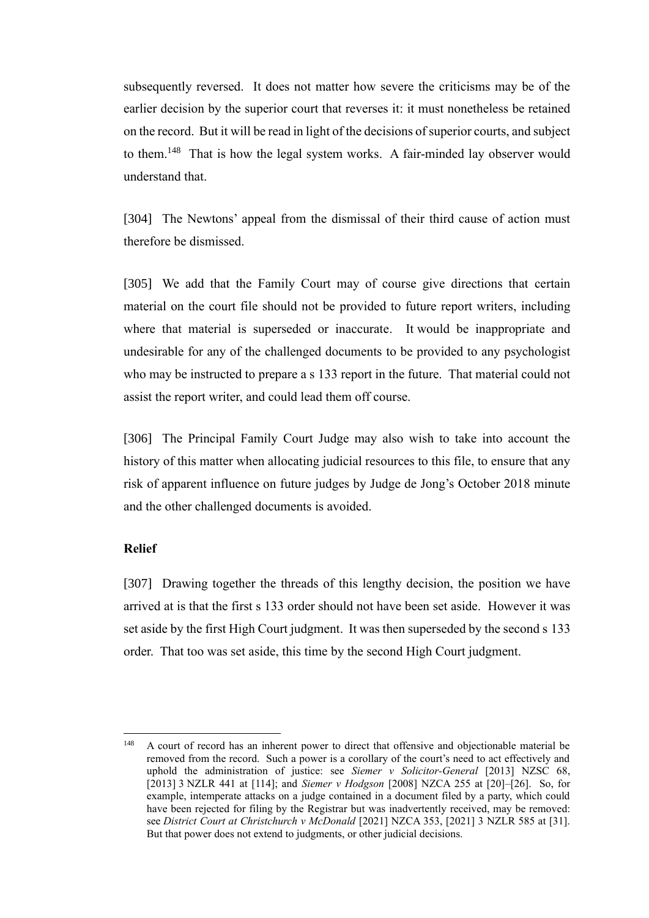subsequently reversed. It does not matter how severe the criticisms may be of the earlier decision by the superior court that reverses it: it must nonetheless be retained on the record. But it will be read in light of the decisions of superior courts, and subject to them.<sup>148</sup> That is how the legal system works. A fair-minded lay observer would understand that.

[304] The Newtons' appeal from the dismissal of their third cause of action must therefore be dismissed.

[305] We add that the Family Court may of course give directions that certain material on the court file should not be provided to future report writers, including where that material is superseded or inaccurate. It would be inappropriate and undesirable for any of the challenged documents to be provided to any psychologist who may be instructed to prepare a s 133 report in the future. That material could not assist the report writer, and could lead them off course.

[306] The Principal Family Court Judge may also wish to take into account the history of this matter when allocating judicial resources to this file, to ensure that any risk of apparent influence on future judges by Judge de Jong's October 2018 minute and the other challenged documents is avoided.

#### **Relief**

[307] Drawing together the threads of this lengthy decision, the position we have arrived at is that the first s 133 order should not have been set aside. However it was set aside by the first High Court judgment. It was then superseded by the second s 133 order. That too was set aside, this time by the second High Court judgment.

<sup>&</sup>lt;sup>148</sup> A court of record has an inherent power to direct that offensive and objectionable material be removed from the record. Such a power is a corollary of the court's need to act effectively and uphold the administration of justice: see *Siemer v Solicitor-General* [2013] NZSC 68, [2013] 3 NZLR 441 at [114]; and *Siemer v Hodgson* [2008] NZCA 255 at [20]–[26]. So, for example, intemperate attacks on a judge contained in a document filed by a party, which could have been rejected for filing by the Registrar but was inadvertently received, may be removed: see *District Court at Christchurch v McDonald* [2021] NZCA 353, [2021] 3 NZLR 585 at [31]. But that power does not extend to judgments, or other judicial decisions.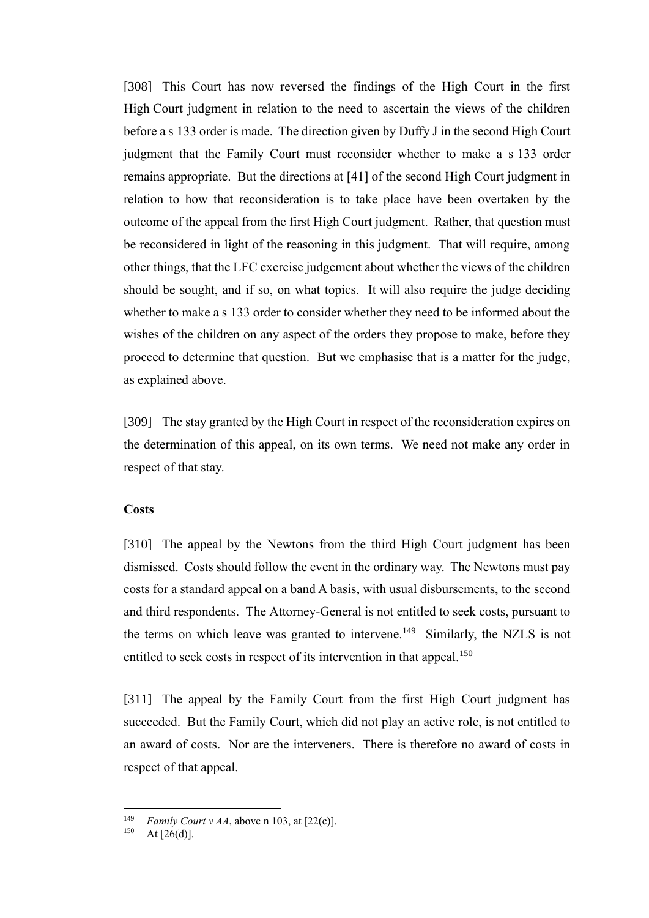[308] This Court has now reversed the findings of the High Court in the first High Court judgment in relation to the need to ascertain the views of the children before a s 133 order is made. The direction given by Duffy J in the second High Court judgment that the Family Court must reconsider whether to make a s 133 order remains appropriate. But the directions at [41] of the second High Court judgment in relation to how that reconsideration is to take place have been overtaken by the outcome of the appeal from the first High Court judgment. Rather, that question must be reconsidered in light of the reasoning in this judgment. That will require, among other things, that the LFC exercise judgement about whether the views of the children should be sought, and if so, on what topics. It will also require the judge deciding whether to make a s 133 order to consider whether they need to be informed about the wishes of the children on any aspect of the orders they propose to make, before they proceed to determine that question. But we emphasise that is a matter for the judge, as explained above.

[309] The stay granted by the High Court in respect of the reconsideration expires on the determination of this appeal, on its own terms. We need not make any order in respect of that stay.

## **Costs**

[310] The appeal by the Newtons from the third High Court judgment has been dismissed. Costs should follow the event in the ordinary way. The Newtons must pay costs for a standard appeal on a band A basis, with usual disbursements, to the second and third respondents. The Attorney-General is not entitled to seek costs, pursuant to the terms on which leave was granted to intervene.<sup>149</sup> Similarly, the NZLS is not entitled to seek costs in respect of its intervention in that appeal.<sup>150</sup>

[311] The appeal by the Family Court from the first High Court judgment has succeeded. But the Family Court, which did not play an active role, is not entitled to an award of costs. Nor are the interveners. There is therefore no award of costs in respect of that appeal.

<sup>&</sup>lt;sup>149</sup> *Family Court v AA*, above n [103,](#page-45-0) at [22(c)].<br><sup>150</sup> **A**  $\uparrow$  **C6(d)**]

At  $[26(d)]$ .